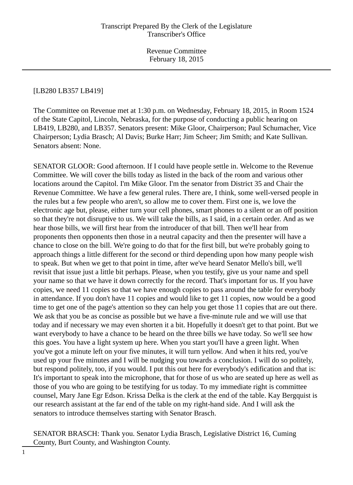#### [LB280 LB357 LB419]

The Committee on Revenue met at 1:30 p.m. on Wednesday, February 18, 2015, in Room 1524 of the State Capitol, Lincoln, Nebraska, for the purpose of conducting a public hearing on LB419, LB280, and LB357. Senators present: Mike Gloor, Chairperson; Paul Schumacher, Vice Chairperson; Lydia Brasch; Al Davis; Burke Harr; Jim Scheer; Jim Smith; and Kate Sullivan. Senators absent: None.

SENATOR GLOOR: Good afternoon. If I could have people settle in. Welcome to the Revenue Committee. We will cover the bills today as listed in the back of the room and various other locations around the Capitol. I'm Mike Gloor. I'm the senator from District 35 and Chair the Revenue Committee. We have a few general rules. There are, I think, some well-versed people in the rules but a few people who aren't, so allow me to cover them. First one is, we love the electronic age but, please, either turn your cell phones, smart phones to a silent or an off position so that they're not disruptive to us. We will take the bills, as I said, in a certain order. And as we hear those bills, we will first hear from the introducer of that bill. Then we'll hear from proponents then opponents then those in a neutral capacity and then the presenter will have a chance to close on the bill. We're going to do that for the first bill, but we're probably going to approach things a little different for the second or third depending upon how many people wish to speak. But when we get to that point in time, after we've heard Senator Mello's bill, we'll revisit that issue just a little bit perhaps. Please, when you testify, give us your name and spell your name so that we have it down correctly for the record. That's important for us. If you have copies, we need 11 copies so that we have enough copies to pass around the table for everybody in attendance. If you don't have 11 copies and would like to get 11 copies, now would be a good time to get one of the page's attention so they can help you get those 11 copies that are out there. We ask that you be as concise as possible but we have a five-minute rule and we will use that today and if necessary we may even shorten it a bit. Hopefully it doesn't get to that point. But we want everybody to have a chance to be heard on the three bills we have today. So we'll see how this goes. You have a light system up here. When you start you'll have a green light. When you've got a minute left on your five minutes, it will turn yellow. And when it hits red, you've used up your five minutes and I will be nudging you towards a conclusion. I will do so politely, but respond politely, too, if you would. I put this out here for everybody's edification and that is: It's important to speak into the microphone, that for those of us who are seated up here as well as those of you who are going to be testifying for us today. To my immediate right is committee counsel, Mary Jane Egr Edson. Krissa Delka is the clerk at the end of the table. Kay Bergquist is our research assistant at the far end of the table on my right-hand side. And I will ask the senators to introduce themselves starting with Senator Brasch.

SENATOR BRASCH: Thank you. Senator Lydia Brasch, Legislative District 16, Cuming County, Burt County, and Washington County.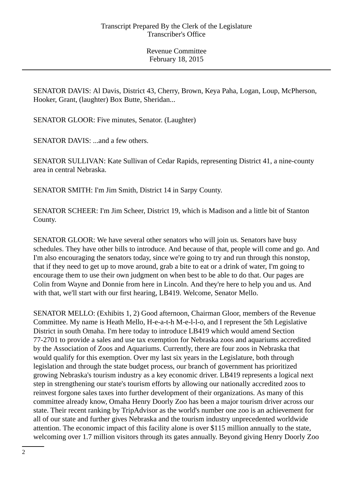SENATOR DAVIS: Al Davis, District 43, Cherry, Brown, Keya Paha, Logan, Loup, McPherson, Hooker, Grant, (laughter) Box Butte, Sheridan...

SENATOR GLOOR: Five minutes, Senator. (Laughter)

SENATOR DAVIS: ...and a few others.

SENATOR SULLIVAN: Kate Sullivan of Cedar Rapids, representing District 41, a nine-county area in central Nebraska.

SENATOR SMITH: I'm Jim Smith, District 14 in Sarpy County.

SENATOR SCHEER: I'm Jim Scheer, District 19, which is Madison and a little bit of Stanton County.

SENATOR GLOOR: We have several other senators who will join us. Senators have busy schedules. They have other bills to introduce. And because of that, people will come and go. And I'm also encouraging the senators today, since we're going to try and run through this nonstop, that if they need to get up to move around, grab a bite to eat or a drink of water, I'm going to encourage them to use their own judgment on when best to be able to do that. Our pages are Colin from Wayne and Donnie from here in Lincoln. And they're here to help you and us. And with that, we'll start with our first hearing, LB419. Welcome, Senator Mello.

SENATOR MELLO: (Exhibits 1, 2) Good afternoon, Chairman Gloor, members of the Revenue Committee. My name is Heath Mello, H-e-a-t-h M-e-l-l-o, and I represent the 5th Legislative District in south Omaha. I'm here today to introduce LB419 which would amend Section 77-2701 to provide a sales and use tax exemption for Nebraska zoos and aquariums accredited by the Association of Zoos and Aquariums. Currently, there are four zoos in Nebraska that would qualify for this exemption. Over my last six years in the Legislature, both through legislation and through the state budget process, our branch of government has prioritized growing Nebraska's tourism industry as a key economic driver. LB419 represents a logical next step in strengthening our state's tourism efforts by allowing our nationally accredited zoos to reinvest forgone sales taxes into further development of their organizations. As many of this committee already know, Omaha Henry Doorly Zoo has been a major tourism driver across our state. Their recent ranking by TripAdvisor as the world's number one zoo is an achievement for all of our state and further gives Nebraska and the tourism industry unprecedented worldwide attention. The economic impact of this facility alone is over \$115 million annually to the state, welcoming over 1.7 million visitors through its gates annually. Beyond giving Henry Doorly Zoo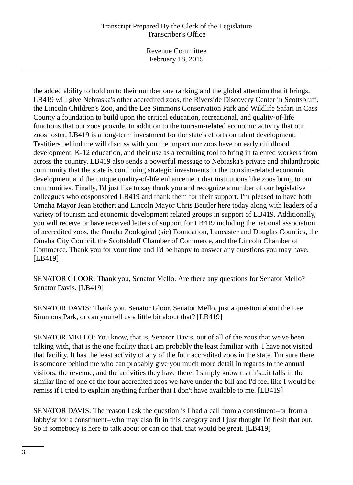Revenue Committee February 18, 2015

the added ability to hold on to their number one ranking and the global attention that it brings, LB419 will give Nebraska's other accredited zoos, the Riverside Discovery Center in Scottsbluff, the Lincoln Children's Zoo, and the Lee Simmons Conservation Park and Wildlife Safari in Cass County a foundation to build upon the critical education, recreational, and quality-of-life functions that our zoos provide. In addition to the tourism-related economic activity that our zoos foster, LB419 is a long-term investment for the state's efforts on talent development. Testifiers behind me will discuss with you the impact our zoos have on early childhood development, K-12 education, and their use as a recruiting tool to bring in talented workers from across the country. LB419 also sends a powerful message to Nebraska's private and philanthropic community that the state is continuing strategic investments in the toursim-related economic development and the unique quality-of-life enhancement that institutions like zoos bring to our communities. Finally, I'd just like to say thank you and recognize a number of our legislative colleagues who cosponsored LB419 and thank them for their support. I'm pleased to have both Omaha Mayor Jean Stothert and Lincoln Mayor Chris Beutler here today along with leaders of a variety of tourism and economic development related groups in support of LB419. Additionally, you will receive or have received letters of support for LB419 including the national association of accredited zoos, the Omaha Zoological (sic) Foundation, Lancaster and Douglas Counties, the Omaha City Council, the Scottsbluff Chamber of Commerce, and the Lincoln Chamber of Commerce. Thank you for your time and I'd be happy to answer any questions you may have. [LB419]

SENATOR GLOOR: Thank you, Senator Mello. Are there any questions for Senator Mello? Senator Davis. [LB419]

SENATOR DAVIS: Thank you, Senator Gloor. Senator Mello, just a question about the Lee Simmons Park, or can you tell us a little bit about that? [LB419]

SENATOR MELLO: You know, that is, Senator Davis, out of all of the zoos that we've been talking with, that is the one facility that I am probably the least familiar with. I have not visited that facility. It has the least activity of any of the four accredited zoos in the state. I'm sure there is someone behind me who can probably give you much more detail in regards to the annual visitors, the revenue, and the activities they have there. I simply know that it's...it falls in the similar line of one of the four accredited zoos we have under the bill and I'd feel like I would be remiss if I tried to explain anything further that I don't have available to me. [LB419]

SENATOR DAVIS: The reason I ask the question is I had a call from a constituent--or from a lobbyist for a constituent--who may also fit in this category and I just thought I'd flesh that out. So if somebody is here to talk about or can do that, that would be great. [LB419]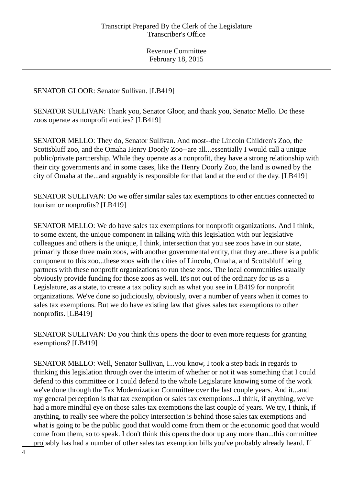SENATOR GLOOR: Senator Sullivan. [LB419]

SENATOR SULLIVAN: Thank you, Senator Gloor, and thank you, Senator Mello. Do these zoos operate as nonprofit entities? [LB419]

SENATOR MELLO: They do, Senator Sullivan. And most--the Lincoln Children's Zoo, the Scottsbluff zoo, and the Omaha Henry Doorly Zoo--are all...essentially I would call a unique public/private partnership. While they operate as a nonprofit, they have a strong relationship with their city governments and in some cases, like the Henry Doorly Zoo, the land is owned by the city of Omaha at the...and arguably is responsible for that land at the end of the day. [LB419]

SENATOR SULLIVAN: Do we offer similar sales tax exemptions to other entities connected to tourism or nonprofits? [LB419]

SENATOR MELLO: We do have sales tax exemptions for nonprofit organizations. And I think, to some extent, the unique component in talking with this legislation with our legislative colleagues and others is the unique, I think, intersection that you see zoos have in our state, primarily those three main zoos, with another governmental entity, that they are...there is a public component to this zoo...these zoos with the cities of Lincoln, Omaha, and Scottsbluff being partners with these nonprofit organizations to run these zoos. The local communities usually obviously provide funding for those zoos as well. It's not out of the ordinary for us as a Legislature, as a state, to create a tax policy such as what you see in LB419 for nonprofit organizations. We've done so judiciously, obviously, over a number of years when it comes to sales tax exemptions. But we do have existing law that gives sales tax exemptions to other nonprofits. [LB419]

SENATOR SULLIVAN: Do you think this opens the door to even more requests for granting exemptions? [LB419]

SENATOR MELLO: Well, Senator Sullivan, I...you know, I took a step back in regards to thinking this legislation through over the interim of whether or not it was something that I could defend to this committee or I could defend to the whole Legislature knowing some of the work we've done through the Tax Modernization Committee over the last couple years. And it...and my general perception is that tax exemption or sales tax exemptions...I think, if anything, we've had a more mindful eye on those sales tax exemptions the last couple of years. We try, I think, if anything, to really see where the policy intersection is behind those sales tax exemptions and what is going to be the public good that would come from them or the economic good that would come from them, so to speak. I don't think this opens the door up any more than...this committee probably has had a number of other sales tax exemption bills you've probably already heard. If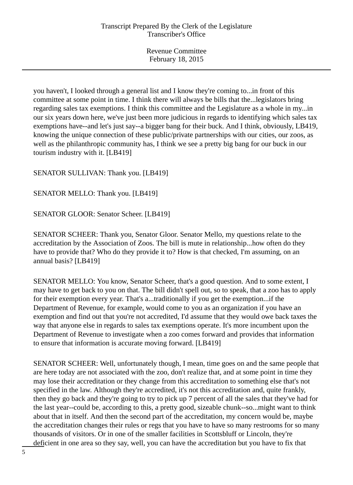you haven't, I looked through a general list and I know they're coming to...in front of this committee at some point in time. I think there will always be bills that the...legislators bring regarding sales tax exemptions. I think this committee and the Legislature as a whole in my...in our six years down here, we've just been more judicious in regards to identifying which sales tax exemptions have--and let's just say--a bigger bang for their buck. And I think, obviously, LB419, knowing the unique connection of these public/private partnerships with our cities, our zoos, as well as the philanthropic community has, I think we see a pretty big bang for our buck in our tourism industry with it. [LB419]

SENATOR SULLIVAN: Thank you. [LB419]

SENATOR MELLO: Thank you. [LB419]

SENATOR GLOOR: Senator Scheer. [LB419]

SENATOR SCHEER: Thank you, Senator Gloor. Senator Mello, my questions relate to the accreditation by the Association of Zoos. The bill is mute in relationship...how often do they have to provide that? Who do they provide it to? How is that checked, I'm assuming, on an annual basis? [LB419]

SENATOR MELLO: You know, Senator Scheer, that's a good question. And to some extent, I may have to get back to you on that. The bill didn't spell out, so to speak, that a zoo has to apply for their exemption every year. That's a...traditionally if you get the exemption...if the Department of Revenue, for example, would come to you as an organization if you have an exemption and find out that you're not accredited, I'd assume that they would owe back taxes the way that anyone else in regards to sales tax exemptions operate. It's more incumbent upon the Department of Revenue to investigate when a zoo comes forward and provides that information to ensure that information is accurate moving forward. [LB419]

SENATOR SCHEER: Well, unfortunately though, I mean, time goes on and the same people that are here today are not associated with the zoo, don't realize that, and at some point in time they may lose their accreditation or they change from this accreditation to something else that's not specified in the law. Although they're accredited, it's not this accreditation and, quite frankly, then they go back and they're going to try to pick up 7 percent of all the sales that they've had for the last year--could be, according to this, a pretty good, sizeable chunk--so...might want to think about that in itself. And then the second part of the accreditation, my concern would be, maybe the accreditation changes their rules or regs that you have to have so many restrooms for so many thousands of visitors. Or in one of the smaller facilities in Scottsbluff or Lincoln, they're deficient in one area so they say, well, you can have the accreditation but you have to fix that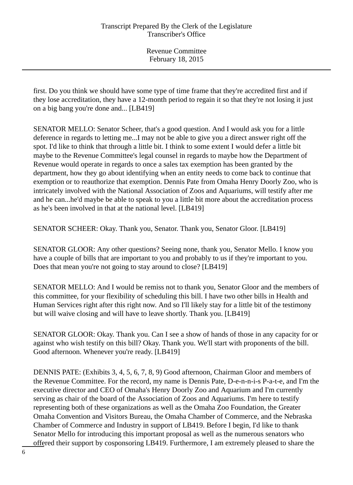first. Do you think we should have some type of time frame that they're accredited first and if they lose accreditation, they have a 12-month period to regain it so that they're not losing it just on a big bang you're done and... [LB419]

SENATOR MELLO: Senator Scheer, that's a good question. And I would ask you for a little deference in regards to letting me...I may not be able to give you a direct answer right off the spot. I'd like to think that through a little bit. I think to some extent I would defer a little bit maybe to the Revenue Committee's legal counsel in regards to maybe how the Department of Revenue would operate in regards to once a sales tax exemption has been granted by the department, how they go about identifying when an entity needs to come back to continue that exemption or to reauthorize that exemption. Dennis Pate from Omaha Henry Doorly Zoo, who is intricately involved with the National Association of Zoos and Aquariums, will testify after me and he can...he'd maybe be able to speak to you a little bit more about the accreditation process as he's been involved in that at the national level. [LB419]

SENATOR SCHEER: Okay. Thank you, Senator. Thank you, Senator Gloor. [LB419]

SENATOR GLOOR: Any other questions? Seeing none, thank you, Senator Mello. I know you have a couple of bills that are important to you and probably to us if they're important to you. Does that mean you're not going to stay around to close? [LB419]

SENATOR MELLO: And I would be remiss not to thank you, Senator Gloor and the members of this committee, for your flexibility of scheduling this bill. I have two other bills in Health and Human Services right after this right now. And so I'll likely stay for a little bit of the testimony but will waive closing and will have to leave shortly. Thank you. [LB419]

SENATOR GLOOR: Okay. Thank you. Can I see a show of hands of those in any capacity for or against who wish testify on this bill? Okay. Thank you. We'll start with proponents of the bill. Good afternoon. Whenever you're ready. [LB419]

DENNIS PATE: (Exhibits 3, 4, 5, 6, 7, 8, 9) Good afternoon, Chairman Gloor and members of the Revenue Committee. For the record, my name is Dennis Pate, D-e-n-n-i-s P-a-t-e, and I'm the executive director and CEO of Omaha's Henry Doorly Zoo and Aquarium and I'm currently serving as chair of the board of the Association of Zoos and Aquariums. I'm here to testify representing both of these organizations as well as the Omaha Zoo Foundation, the Greater Omaha Convention and Visitors Bureau, the Omaha Chamber of Commerce, and the Nebraska Chamber of Commerce and Industry in support of LB419. Before I begin, I'd like to thank Senator Mello for introducing this important proposal as well as the numerous senators who offered their support by cosponsoring LB419. Furthermore, I am extremely pleased to share the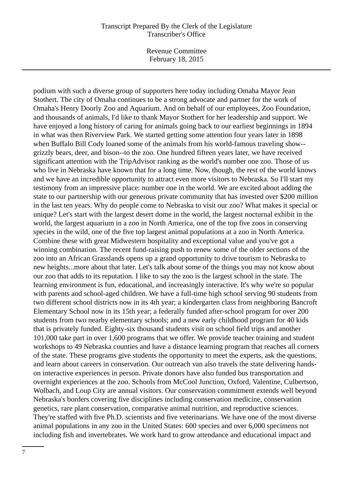Revenue Committee February 18, 2015

podium with such a diverse group of supporters here today including Omaha Mayor Jean Stothert. The city of Omaha continues to be a strong advocate and partner for the work of Omaha's Henry Doorly Zoo and Aquarium. And on behalf of our employees, Zoo Foundation, and thousands of animals, I'd like to thank Mayor Stothert for her leadership and support. We have enjoyed a long history of caring for animals going back to our earliest beginnings in 1894 in what was then Riverview Park. We started getting some attention four years later in 1898 when Buffalo Bill Cody loaned some of the animals from his world-famous traveling show- grizzly bears, deer, and bison--to the zoo. One hundred fifteen years later, we have received significant attention with the TripAdvisor ranking as the world's number one zoo. Those of us who live in Nebraska have known that for a long time. Now, though, the rest of the world knows and we have an incredible opportunity to attract even more visitors to Nebraska. So I'll start my testimony from an impressive place: number one in the world. We are excited about adding the state to our partnership with our generous private community that has invested over \$200 million in the last ten years. Why do people come to Nebraska to visit our zoo? What makes it special or unique? Let's start with the largest desert dome in the world, the largest nocturnal exhibit in the world, the largest aquarium in a zoo in North America, one of the top five zoos in conserving species in the wild, one of the five top largest animal populations at a zoo in North America. Combine these with great Midwestern hospitality and exceptional value and you've got a winning combination. The recent fund-raising push to renew some of the older sections of the zoo into an African Grasslands opens up a grand opportunity to drive tourism to Nebraska to new heights...more about that later. Let's talk about some of the things you may not know about our zoo that adds to its reputation. I like to say the zoo is the largest school in the state. The learning environment is fun, educational, and increasingly interactive. It's why we're so popular with parents and school-aged children. We have a full-time high school serving 90 students from two different school districts now in its 4th year; a kindergarten class from neighboring Bancroft Elementary School now in its 15th year; a federally funded after-school program for over 200 students from two nearby elementary schools; and a new early childhood program for 40 kids that is privately funded. Eighty-six thousand students visit on school field trips and another 101,000 take part in over 1,600 programs that we offer. We provide teacher training and student workshops to 49 Nebraska counties and have a distance learning program that reaches all corners of the state. These programs give students the opportunity to meet the experts, ask the questions, and learn about careers in conservation. Our outreach van also travels the state delivering handson interactive experiences in person. Private donors have also funded bus transportation and overnight experiences at the zoo. Schools from McCool Junction, Oxford, Valentine, Culbertson, Wolbach, and Loup City are annual visitors. Our conservation commitment extends well beyond Nebraska's borders covering five disciplines including conservation medicine, conservation genetics, rare plant conservation, comparative animal nutrition, and reproductive sciences. They're staffed with five Ph.D. scientists and five veterinarians. We have one of the most diverse animal populations in any zoo in the United States: 600 species and over 6,000 specimens not including fish and invertebrates. We work hard to grow attendance and educational impact and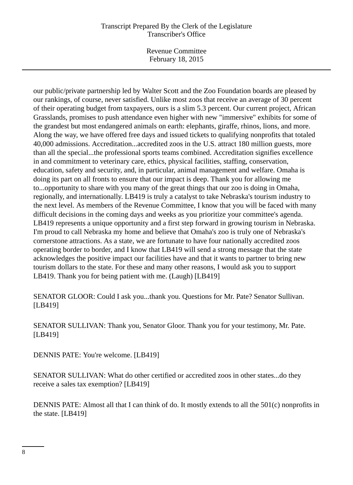Revenue Committee February 18, 2015

our public/private partnership led by Walter Scott and the Zoo Foundation boards are pleased by our rankings, of course, never satisfied. Unlike most zoos that receive an average of 30 percent of their operating budget from taxpayers, ours is a slim 5.3 percent. Our current project, African Grasslands, promises to push attendance even higher with new "immersive" exhibits for some of the grandest but most endangered animals on earth: elephants, giraffe, rhinos, lions, and more. Along the way, we have offered free days and issued tickets to qualifying nonprofits that totaled 40,000 admissions. Accreditation...accredited zoos in the U.S. attract 180 million guests, more than all the special...the professional sports teams combined. Accreditation signifies excellence in and commitment to veterinary care, ethics, physical facilities, staffing, conservation, education, safety and security, and, in particular, animal management and welfare. Omaha is doing its part on all fronts to ensure that our impact is deep. Thank you for allowing me to...opportunity to share with you many of the great things that our zoo is doing in Omaha, regionally, and internationally. LB419 is truly a catalyst to take Nebraska's tourism industry to the next level. As members of the Revenue Committee, I know that you will be faced with many difficult decisions in the coming days and weeks as you prioritize your committee's agenda. LB419 represents a unique opportunity and a first step forward in growing tourism in Nebraska. I'm proud to call Nebraska my home and believe that Omaha's zoo is truly one of Nebraska's cornerstone attractions. As a state, we are fortunate to have four nationally accredited zoos operating border to border, and I know that LB419 will send a strong message that the state acknowledges the positive impact our facilities have and that it wants to partner to bring new tourism dollars to the state. For these and many other reasons, I would ask you to support LB419. Thank you for being patient with me. (Laugh) [LB419]

SENATOR GLOOR: Could I ask you...thank you. Questions for Mr. Pate? Senator Sullivan. [LB419]

SENATOR SULLIVAN: Thank you, Senator Gloor. Thank you for your testimony, Mr. Pate. [LB419]

DENNIS PATE: You're welcome. [LB419]

SENATOR SULLIVAN: What do other certified or accredited zoos in other states...do they receive a sales tax exemption? [LB419]

DENNIS PATE: Almost all that I can think of do. It mostly extends to all the 501(c) nonprofits in the state. [LB419]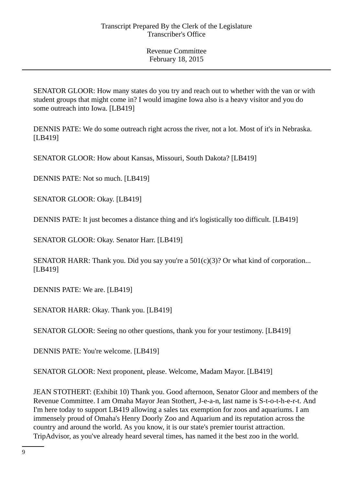SENATOR GLOOR: How many states do you try and reach out to whether with the van or with student groups that might come in? I would imagine Iowa also is a heavy visitor and you do some outreach into Iowa. [LB419]

DENNIS PATE: We do some outreach right across the river, not a lot. Most of it's in Nebraska. [LB419]

SENATOR GLOOR: How about Kansas, Missouri, South Dakota? [LB419]

DENNIS PATE: Not so much. [LB419]

SENATOR GLOOR: Okay. [LB419]

DENNIS PATE: It just becomes a distance thing and it's logistically too difficult. [LB419]

SENATOR GLOOR: Okay. Senator Harr. [LB419]

SENATOR HARR: Thank you. Did you say you're a  $501(c)(3)$ ? Or what kind of corporation... [LB419]

DENNIS PATE: We are. [LB419]

SENATOR HARR: Okay. Thank you. [LB419]

SENATOR GLOOR: Seeing no other questions, thank you for your testimony. [LB419]

DENNIS PATE: You're welcome. [LB419]

SENATOR GLOOR: Next proponent, please. Welcome, Madam Mayor. [LB419]

JEAN STOTHERT: (Exhibit 10) Thank you. Good afternoon, Senator Gloor and members of the Revenue Committee. I am Omaha Mayor Jean Stothert, J-e-a-n, last name is S-t-o-t-h-e-r-t. And I'm here today to support LB419 allowing a sales tax exemption for zoos and aquariums. I am immensely proud of Omaha's Henry Doorly Zoo and Aquarium and its reputation across the country and around the world. As you know, it is our state's premier tourist attraction. TripAdvisor, as you've already heard several times, has named it the best zoo in the world.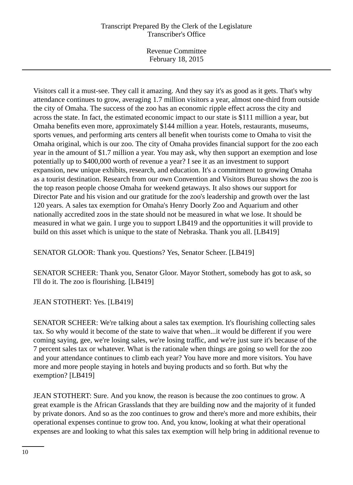Revenue Committee February 18, 2015

Visitors call it a must-see. They call it amazing. And they say it's as good as it gets. That's why attendance continues to grow, averaging 1.7 million visitors a year, almost one-third from outside the city of Omaha. The success of the zoo has an economic ripple effect across the city and across the state. In fact, the estimated economic impact to our state is \$111 million a year, but Omaha benefits even more, approximately \$144 million a year. Hotels, restaurants, museums, sports venues, and performing arts centers all benefit when tourists come to Omaha to visit the Omaha original, which is our zoo. The city of Omaha provides financial support for the zoo each year in the amount of \$1.7 million a year. You may ask, why then support an exemption and lose potentially up to \$400,000 worth of revenue a year? I see it as an investment to support expansion, new unique exhibits, research, and education. It's a commitment to growing Omaha as a tourist destination. Research from our own Convention and Visitors Bureau shows the zoo is the top reason people choose Omaha for weekend getaways. It also shows our support for Director Pate and his vision and our gratitude for the zoo's leadership and growth over the last 120 years. A sales tax exemption for Omaha's Henry Doorly Zoo and Aquarium and other nationally accredited zoos in the state should not be measured in what we lose. It should be measured in what we gain. I urge you to support LB419 and the opportunities it will provide to build on this asset which is unique to the state of Nebraska. Thank you all. [LB419]

SENATOR GLOOR: Thank you. Questions? Yes, Senator Scheer. [LB419]

SENATOR SCHEER: Thank you, Senator Gloor. Mayor Stothert, somebody has got to ask, so I'll do it. The zoo is flourishing. [LB419]

JEAN STOTHERT: Yes. [LB419]

SENATOR SCHEER: We're talking about a sales tax exemption. It's flourishing collecting sales tax. So why would it become of the state to waive that when...it would be different if you were coming saying, gee, we're losing sales, we're losing traffic, and we're just sure it's because of the 7 percent sales tax or whatever. What is the rationale when things are going so well for the zoo and your attendance continues to climb each year? You have more and more visitors. You have more and more people staying in hotels and buying products and so forth. But why the exemption? [LB419]

JEAN STOTHERT: Sure. And you know, the reason is because the zoo continues to grow. A great example is the African Grasslands that they are building now and the majority of it funded by private donors. And so as the zoo continues to grow and there's more and more exhibits, their operational expenses continue to grow too. And, you know, looking at what their operational expenses are and looking to what this sales tax exemption will help bring in additional revenue to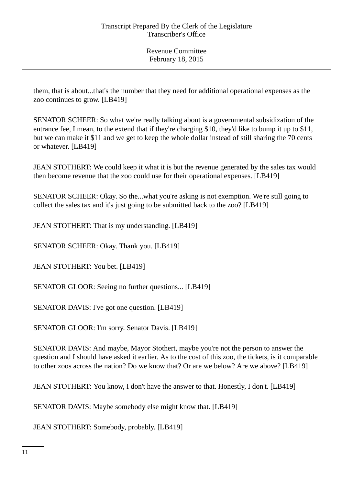them, that is about...that's the number that they need for additional operational expenses as the zoo continues to grow. [LB419]

SENATOR SCHEER: So what we're really talking about is a governmental subsidization of the entrance fee, I mean, to the extend that if they're charging \$10, they'd like to bump it up to \$11, but we can make it \$11 and we get to keep the whole dollar instead of still sharing the 70 cents or whatever. [LB419]

JEAN STOTHERT: We could keep it what it is but the revenue generated by the sales tax would then become revenue that the zoo could use for their operational expenses. [LB419]

SENATOR SCHEER: Okay. So the...what you're asking is not exemption. We're still going to collect the sales tax and it's just going to be submitted back to the zoo? [LB419]

JEAN STOTHERT: That is my understanding. [LB419]

SENATOR SCHEER: Okay. Thank you. [LB419]

JEAN STOTHERT: You bet. [LB419]

SENATOR GLOOR: Seeing no further questions... [LB419]

SENATOR DAVIS: I've got one question. [LB419]

SENATOR GLOOR: I'm sorry. Senator Davis. [LB419]

SENATOR DAVIS: And maybe, Mayor Stothert, maybe you're not the person to answer the question and I should have asked it earlier. As to the cost of this zoo, the tickets, is it comparable to other zoos across the nation? Do we know that? Or are we below? Are we above? [LB419]

JEAN STOTHERT: You know, I don't have the answer to that. Honestly, I don't. [LB419]

SENATOR DAVIS: Maybe somebody else might know that. [LB419]

JEAN STOTHERT: Somebody, probably. [LB419]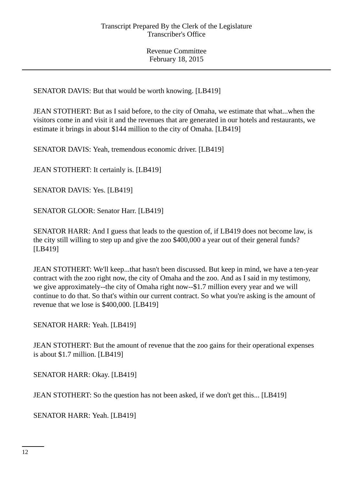SENATOR DAVIS: But that would be worth knowing. [LB419]

JEAN STOTHERT: But as I said before, to the city of Omaha, we estimate that what...when the visitors come in and visit it and the revenues that are generated in our hotels and restaurants, we estimate it brings in about \$144 million to the city of Omaha. [LB419]

SENATOR DAVIS: Yeah, tremendous economic driver. [LB419]

JEAN STOTHERT: It certainly is. [LB419]

SENATOR DAVIS: Yes. [LB419]

SENATOR GLOOR: Senator Harr. [LB419]

SENATOR HARR: And I guess that leads to the question of, if LB419 does not become law, is the city still willing to step up and give the zoo \$400,000 a year out of their general funds? [LB419]

JEAN STOTHERT: We'll keep...that hasn't been discussed. But keep in mind, we have a ten-year contract with the zoo right now, the city of Omaha and the zoo. And as I said in my testimony, we give approximately--the city of Omaha right now--\$1.7 million every year and we will continue to do that. So that's within our current contract. So what you're asking is the amount of revenue that we lose is \$400,000. [LB419]

SENATOR HARR: Yeah. [LB419]

JEAN STOTHERT: But the amount of revenue that the zoo gains for their operational expenses is about \$1.7 million. [LB419]

SENATOR HARR: Okay. [LB419]

JEAN STOTHERT: So the question has not been asked, if we don't get this... [LB419]

SENATOR HARR: Yeah. [LB419]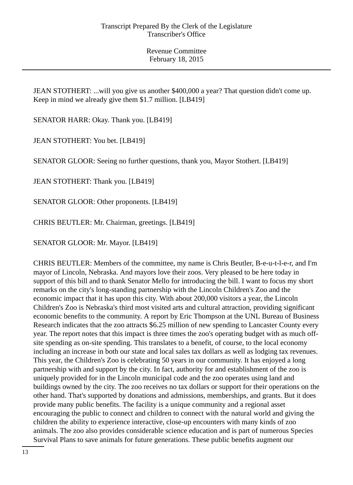JEAN STOTHERT: ...will you give us another \$400,000 a year? That question didn't come up. Keep in mind we already give them \$1.7 million. [LB419]

SENATOR HARR: Okay. Thank you. [LB419]

JEAN STOTHERT: You bet. [LB419]

SENATOR GLOOR: Seeing no further questions, thank you, Mayor Stothert. [LB419]

JEAN STOTHERT: Thank you. [LB419]

SENATOR GLOOR: Other proponents. [LB419]

CHRIS BEUTLER: Mr. Chairman, greetings. [LB419]

SENATOR GLOOR: Mr. Mayor. [LB419]

CHRIS BEUTLER: Members of the committee, my name is Chris Beutler, B-e-u-t-l-e-r, and I'm mayor of Lincoln, Nebraska. And mayors love their zoos. Very pleased to be here today in support of this bill and to thank Senator Mello for introducing the bill. I want to focus my short remarks on the city's long-standing partnership with the Lincoln Children's Zoo and the economic impact that it has upon this city. With about 200,000 visitors a year, the Lincoln Children's Zoo is Nebraska's third most visited arts and cultural attraction, providing significant economic benefits to the community. A report by Eric Thompson at the UNL Bureau of Business Research indicates that the zoo attracts \$6.25 million of new spending to Lancaster County every year. The report notes that this impact is three times the zoo's operating budget with as much offsite spending as on-site spending. This translates to a benefit, of course, to the local economy including an increase in both our state and local sales tax dollars as well as lodging tax revenues. This year, the Children's Zoo is celebrating 50 years in our community. It has enjoyed a long partnership with and support by the city. In fact, authority for and establishment of the zoo is uniquely provided for in the Lincoln municipal code and the zoo operates using land and buildings owned by the city. The zoo receives no tax dollars or support for their operations on the other hand. That's supported by donations and admissions, memberships, and grants. But it does provide many public benefits. The facility is a unique community and a regional asset encouraging the public to connect and children to connect with the natural world and giving the children the ability to experience interactive, close-up encounters with many kinds of zoo animals. The zoo also provides considerable science education and is part of numerous Species Survival Plans to save animals for future generations. These public benefits augment our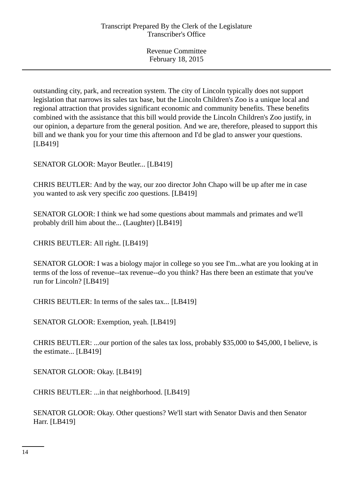outstanding city, park, and recreation system. The city of Lincoln typically does not support legislation that narrows its sales tax base, but the Lincoln Children's Zoo is a unique local and regional attraction that provides significant economic and community benefits. These benefits combined with the assistance that this bill would provide the Lincoln Children's Zoo justify, in our opinion, a departure from the general position. And we are, therefore, pleased to support this bill and we thank you for your time this afternoon and I'd be glad to answer your questions. [LB419]

SENATOR GLOOR: Mayor Beutler... [LB419]

CHRIS BEUTLER: And by the way, our zoo director John Chapo will be up after me in case you wanted to ask very specific zoo questions. [LB419]

SENATOR GLOOR: I think we had some questions about mammals and primates and we'll probably drill him about the... (Laughter) [LB419]

CHRIS BEUTLER: All right. [LB419]

SENATOR GLOOR: I was a biology major in college so you see I'm...what are you looking at in terms of the loss of revenue--tax revenue--do you think? Has there been an estimate that you've run for Lincoln? [LB419]

CHRIS BEUTLER: In terms of the sales tax... [LB419]

SENATOR GLOOR: Exemption, yeah. [LB419]

CHRIS BEUTLER: ...our portion of the sales tax loss, probably \$35,000 to \$45,000, I believe, is the estimate... [LB419]

SENATOR GLOOR: Okay. [LB419]

CHRIS BEUTLER: ...in that neighborhood. [LB419]

SENATOR GLOOR: Okay. Other questions? We'll start with Senator Davis and then Senator Harr. [LB419]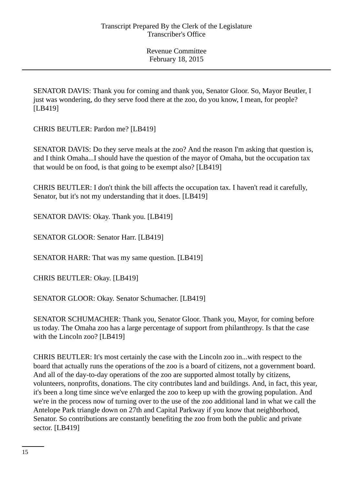SENATOR DAVIS: Thank you for coming and thank you, Senator Gloor. So, Mayor Beutler, I just was wondering, do they serve food there at the zoo, do you know, I mean, for people? [LB419]

CHRIS BEUTLER: Pardon me? [LB419]

SENATOR DAVIS: Do they serve meals at the zoo? And the reason I'm asking that question is, and I think Omaha...I should have the question of the mayor of Omaha, but the occupation tax that would be on food, is that going to be exempt also? [LB419]

CHRIS BEUTLER: I don't think the bill affects the occupation tax. I haven't read it carefully, Senator, but it's not my understanding that it does. [LB419]

SENATOR DAVIS: Okay. Thank you. [LB419]

SENATOR GLOOR: Senator Harr. [LB419]

SENATOR HARR: That was my same question. [LB419]

CHRIS BEUTLER: Okay. [LB419]

SENATOR GLOOR: Okay. Senator Schumacher. [LB419]

SENATOR SCHUMACHER: Thank you, Senator Gloor. Thank you, Mayor, for coming before us today. The Omaha zoo has a large percentage of support from philanthropy. Is that the case with the Lincoln zoo? [LB419]

CHRIS BEUTLER: It's most certainly the case with the Lincoln zoo in...with respect to the board that actually runs the operations of the zoo is a board of citizens, not a government board. And all of the day-to-day operations of the zoo are supported almost totally by citizens, volunteers, nonprofits, donations. The city contributes land and buildings. And, in fact, this year, it's been a long time since we've enlarged the zoo to keep up with the growing population. And we're in the process now of turning over to the use of the zoo additional land in what we call the Antelope Park triangle down on 27th and Capital Parkway if you know that neighborhood, Senator. So contributions are constantly benefiting the zoo from both the public and private sector. [LB419]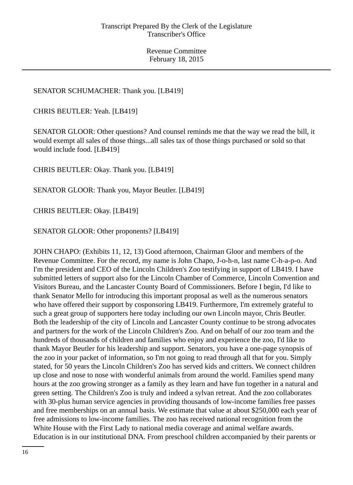# SENATOR SCHUMACHER: Thank you. [LB419]

CHRIS BEUTLER: Yeah. [LB419]

SENATOR GLOOR: Other questions? And counsel reminds me that the way we read the bill, it would exempt all sales of those things...all sales tax of those things purchased or sold so that would include food. [LB419]

CHRIS BEUTLER: Okay. Thank you. [LB419]

SENATOR GLOOR: Thank you, Mayor Beutler. [LB419]

CHRIS BEUTLER: Okay. [LB419]

SENATOR GLOOR: Other proponents? [LB419]

JOHN CHAPO: (Exhibits 11, 12, 13) Good afternoon, Chairman Gloor and members of the Revenue Committee. For the record, my name is John Chapo, J-o-h-n, last name C-h-a-p-o. And I'm the president and CEO of the Lincoln Children's Zoo testifying in support of LB419. I have submitted letters of support also for the Lincoln Chamber of Commerce, Lincoln Convention and Visitors Bureau, and the Lancaster County Board of Commissioners. Before I begin, I'd like to thank Senator Mello for introducing this important proposal as well as the numerous senators who have offered their support by cosponsoring LB419. Furthermore, I'm extremely grateful to such a great group of supporters here today including our own Lincoln mayor, Chris Beutler. Both the leadership of the city of Lincoln and Lancaster County continue to be strong advocates and partners for the work of the Lincoln Children's Zoo. And on behalf of our zoo team and the hundreds of thousands of children and families who enjoy and experience the zoo, I'd like to thank Mayor Beutler for his leadership and support. Senators, you have a one-page synopsis of the zoo in your packet of information, so I'm not going to read through all that for you. Simply stated, for 50 years the Lincoln Children's Zoo has served kids and critters. We connect children up close and nose to nose with wonderful animals from around the world. Families spend many hours at the zoo growing stronger as a family as they learn and have fun together in a natural and green setting. The Children's Zoo is truly and indeed a sylvan retreat. And the zoo collaborates with 30-plus human service agencies in providing thousands of low-income families free passes and free memberships on an annual basis. We estimate that value at about \$250,000 each year of free admissions to low-income families. The zoo has received national recognition from the White House with the First Lady to national media coverage and animal welfare awards. Education is in our institutional DNA. From preschool children accompanied by their parents or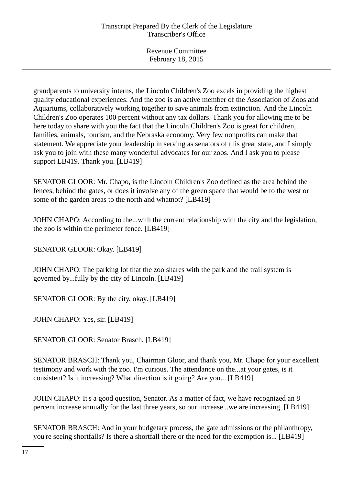grandparents to university interns, the Lincoln Children's Zoo excels in providing the highest quality educational experiences. And the zoo is an active member of the Association of Zoos and Aquariums, collaboratively working together to save animals from extinction. And the Lincoln Children's Zoo operates 100 percent without any tax dollars. Thank you for allowing me to be here today to share with you the fact that the Lincoln Children's Zoo is great for children, families, animals, tourism, and the Nebraska economy. Very few nonprofits can make that statement. We appreciate your leadership in serving as senators of this great state, and I simply ask you to join with these many wonderful advocates for our zoos. And I ask you to please support LB419. Thank you. [LB419]

SENATOR GLOOR: Mr. Chapo, is the Lincoln Children's Zoo defined as the area behind the fences, behind the gates, or does it involve any of the green space that would be to the west or some of the garden areas to the north and whatnot? [LB419]

JOHN CHAPO: According to the...with the current relationship with the city and the legislation, the zoo is within the perimeter fence. [LB419]

SENATOR GLOOR: Okay. [LB419]

JOHN CHAPO: The parking lot that the zoo shares with the park and the trail system is governed by...fully by the city of Lincoln. [LB419]

SENATOR GLOOR: By the city, okay. [LB419]

JOHN CHAPO: Yes, sir. [LB419]

SENATOR GLOOR: Senator Brasch. [LB419]

SENATOR BRASCH: Thank you, Chairman Gloor, and thank you, Mr. Chapo for your excellent testimony and work with the zoo. I'm curious. The attendance on the...at your gates, is it consistent? Is it increasing? What direction is it going? Are you... [LB419]

JOHN CHAPO: It's a good question, Senator. As a matter of fact, we have recognized an 8 percent increase annually for the last three years, so our increase...we are increasing. [LB419]

SENATOR BRASCH: And in your budgetary process, the gate admissions or the philanthropy, you're seeing shortfalls? Is there a shortfall there or the need for the exemption is... [LB419]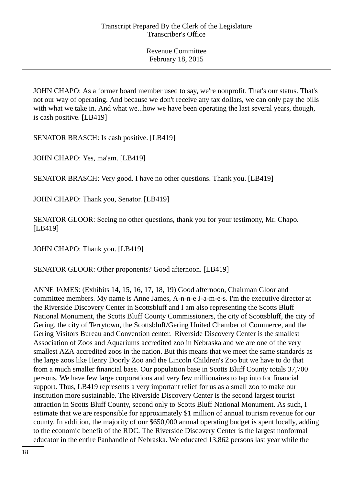JOHN CHAPO: As a former board member used to say, we're nonprofit. That's our status. That's not our way of operating. And because we don't receive any tax dollars, we can only pay the bills with what we take in. And what we...how we have been operating the last several years, though, is cash positive. [LB419]

SENATOR BRASCH: Is cash positive. [LB419]

JOHN CHAPO: Yes, ma'am. [LB419]

SENATOR BRASCH: Very good. I have no other questions. Thank you. [LB419]

JOHN CHAPO: Thank you, Senator. [LB419]

SENATOR GLOOR: Seeing no other questions, thank you for your testimony, Mr. Chapo. [LB419]

JOHN CHAPO: Thank you. [LB419]

SENATOR GLOOR: Other proponents? Good afternoon. [LB419]

ANNE JAMES: (Exhibits 14, 15, 16, 17, 18, 19) Good afternoon, Chairman Gloor and committee members. My name is Anne James, A-n-n-e J-a-m-e-s. I'm the executive director at the Riverside Discovery Center in Scottsbluff and I am also representing the Scotts Bluff National Monument, the Scotts Bluff County Commissioners, the city of Scottsbluff, the city of Gering, the city of Terrytown, the Scottsbluff/Gering United Chamber of Commerce, and the Gering Visitors Bureau and Convention center. Riverside Discovery Center is the smallest Association of Zoos and Aquariums accredited zoo in Nebraska and we are one of the very smallest AZA accredited zoos in the nation. But this means that we meet the same standards as the large zoos like Henry Doorly Zoo and the Lincoln Children's Zoo but we have to do that from a much smaller financial base. Our population base in Scotts Bluff County totals 37,700 persons. We have few large corporations and very few millionaires to tap into for financial support. Thus, LB419 represents a very important relief for us as a small zoo to make our institution more sustainable. The Riverside Discovery Center is the second largest tourist attraction in Scotts Bluff County, second only to Scotts Bluff National Monument. As such, I estimate that we are responsible for approximately \$1 million of annual tourism revenue for our county. In addition, the majority of our \$650,000 annual operating budget is spent locally, adding to the economic benefit of the RDC. The Riverside Discovery Center is the largest nonformal educator in the entire Panhandle of Nebraska. We educated 13,862 persons last year while the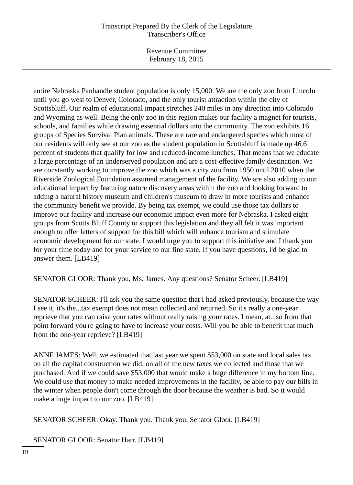Revenue Committee February 18, 2015

entire Nebraska Panhandle student population is only 15,000. We are the only zoo from Lincoln until you go west to Denver, Colorado, and the only tourist attraction within the city of Scottsbluff. Our realm of educational impact stretches 240 miles in any direction into Colorado and Wyoming as well. Being the only zoo in this region makes our facility a magnet for tourists, schools, and families while drawing essential dollars into the community. The zoo exhibits 16 groups of Species Survival Plan animals. These are rare and endangered species which most of our residents will only see at our zoo as the student population in Scottsbluff is made up 46.6 percent of students that qualify for low and reduced-income lunches. That means that we educate a large percentage of an underserved population and are a cost-effective family destination. We are constantly working to improve the zoo which was a city zoo from 1950 until 2010 when the Riverside Zoological Foundation assumed management of the facility. We are also adding to our educational impact by featuring nature discovery areas within the zoo and looking forward to adding a natural history museum and children's museum to draw in more tourists and enhance the community benefit we provide. By being tax exempt, we could use those tax dollars to improve our facility and increase our economic impact even more for Nebraska. I asked eight groups from Scotts Bluff County to support this legislation and they all felt it was important enough to offer letters of support for this bill which will enhance tourism and stimulate economic development for our state. I would urge you to support this initiative and I thank you for your time today and for your service to our fine state. If you have questions, I'd be glad to answer them. [LB419]

SENATOR GLOOR: Thank you, Ms. James. Any questions? Senator Scheer. [LB419]

SENATOR SCHEER: I'll ask you the same question that I had asked previously, because the way I see it, it's the...tax exempt does not mean collected and returned. So it's really a one-year reprieve that you can raise your rates without really raising your rates. I mean, at...so from that point forward you're going to have to increase your costs. Will you be able to benefit that much from the one-year reprieve? [LB419]

ANNE JAMES: Well, we estimated that last year we spent \$53,000 on state and local sales tax on all the capital construction we did, on all of the new taxes we collected and those that we purchased. And if we could save \$53,000 that would make a huge difference in my bottom line. We could use that money to make needed improvements in the facility, be able to pay our bills in the winter when people don't come through the door because the weather is bad. So it would make a huge impact to our zoo. [LB419]

SENATOR SCHEER: Okay. Thank you. Thank you, Senator Gloor. [LB419]

SENATOR GLOOR: Senator Harr. [LB419]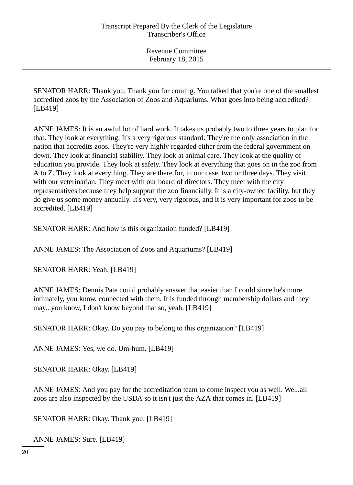SENATOR HARR: Thank you. Thank you for coming. You talked that you're one of the smallest accredited zoos by the Association of Zoos and Aquariums. What goes into being accredited? [LB419]

ANNE JAMES: It is an awful lot of hard work. It takes us probably two to three years to plan for that. They look at everything. It's a very rigorous standard. They're the only association in the nation that accredits zoos. They're very highly regarded either from the federal government on down. They look at financial stability. They look at animal care. They look at the quality of education you provide. They look at safety. They look at everything that goes on in the zoo from A to Z. They look at everything. They are there for, in our case, two or three days. They visit with our veterinarian. They meet with our board of directors. They meet with the city representatives because they help support the zoo financially. It is a city-owned facility, but they do give us some money annually. It's very, very rigorous, and it is very important for zoos to be accredited. [LB419]

SENATOR HARR: And how is this organization funded? [LB419]

ANNE JAMES: The Association of Zoos and Aquariums? [LB419]

SENATOR HARR: Yeah. [LB419]

ANNE JAMES: Dennis Pate could probably answer that easier than I could since he's more intimately, you know, connected with them. It is funded through membership dollars and they may...you know, I don't know beyond that so, yeah. [LB419]

SENATOR HARR: Okay. Do you pay to belong to this organization? [LB419]

ANNE JAMES: Yes, we do. Um-hum. [LB419]

SENATOR HARR: Okay. [LB419]

ANNE JAMES: And you pay for the accreditation team to come inspect you as well. We...all zoos are also inspected by the USDA so it isn't just the AZA that comes in. [LB419]

SENATOR HARR: Okay. Thank you. [LB419]

ANNE JAMES: Sure. [LB419]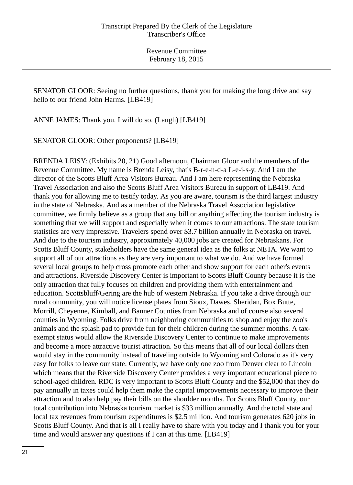SENATOR GLOOR: Seeing no further questions, thank you for making the long drive and say hello to our friend John Harms. [LB419]

ANNE JAMES: Thank you. I will do so. (Laugh) [LB419]

SENATOR GLOOR: Other proponents? [LB419]

BRENDA LEISY: (Exhibits 20, 21) Good afternoon, Chairman Gloor and the members of the Revenue Committee. My name is Brenda Leisy, that's B-r-e-n-d-a L-e-i-s-y. And I am the director of the Scotts Bluff Area Visitors Bureau. And I am here representing the Nebraska Travel Association and also the Scotts Bluff Area Visitors Bureau in support of LB419. And thank you for allowing me to testify today. As you are aware, tourism is the third largest industry in the state of Nebraska. And as a member of the Nebraska Travel Association legislative committee, we firmly believe as a group that any bill or anything affecting the tourism industry is something that we will support and especially when it comes to our attractions. The state tourism statistics are very impressive. Travelers spend over \$3.7 billion annually in Nebraska on travel. And due to the tourism industry, approximately 40,000 jobs are created for Nebraskans. For Scotts Bluff County, stakeholders have the same general idea as the folks at NETA. We want to support all of our attractions as they are very important to what we do. And we have formed several local groups to help cross promote each other and show support for each other's events and attractions. Riverside Discovery Center is important to Scotts Bluff County because it is the only attraction that fully focuses on children and providing them with entertainment and education. Scottsbluff/Gering are the hub of western Nebraska. If you take a drive through our rural community, you will notice license plates from Sioux, Dawes, Sheridan, Box Butte, Morrill, Cheyenne, Kimball, and Banner Counties from Nebraska and of course also several counties in Wyoming. Folks drive from neighboring communities to shop and enjoy the zoo's animals and the splash pad to provide fun for their children during the summer months. A taxexempt status would allow the Riverside Discovery Center to continue to make improvements and become a more attractive tourist attraction. So this means that all of our local dollars then would stay in the community instead of traveling outside to Wyoming and Colorado as it's very easy for folks to leave our state. Currently, we have only one zoo from Denver clear to Lincoln which means that the Riverside Discovery Center provides a very important educational piece to school-aged children. RDC is very important to Scotts Bluff County and the \$52,000 that they do pay annually in taxes could help them make the capital improvements necessary to improve their attraction and to also help pay their bills on the shoulder months. For Scotts Bluff County, our total contribution into Nebraska tourism market is \$33 million annually. And the total state and local tax revenues from tourism expenditures is \$2.5 million. And tourism generates 620 jobs in Scotts Bluff County. And that is all I really have to share with you today and I thank you for your time and would answer any questions if I can at this time. [LB419]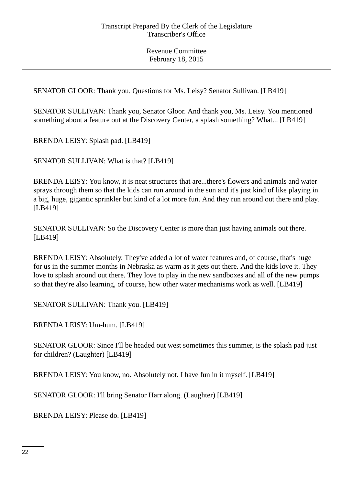SENATOR GLOOR: Thank you. Questions for Ms. Leisy? Senator Sullivan. [LB419]

SENATOR SULLIVAN: Thank you, Senator Gloor. And thank you, Ms. Leisy. You mentioned something about a feature out at the Discovery Center, a splash something? What... [LB419]

BRENDA LEISY: Splash pad. [LB419]

SENATOR SULLIVAN: What is that? [LB419]

BRENDA LEISY: You know, it is neat structures that are...there's flowers and animals and water sprays through them so that the kids can run around in the sun and it's just kind of like playing in a big, huge, gigantic sprinkler but kind of a lot more fun. And they run around out there and play. [LB419]

SENATOR SULLIVAN: So the Discovery Center is more than just having animals out there. [LB419]

BRENDA LEISY: Absolutely. They've added a lot of water features and, of course, that's huge for us in the summer months in Nebraska as warm as it gets out there. And the kids love it. They love to splash around out there. They love to play in the new sandboxes and all of the new pumps so that they're also learning, of course, how other water mechanisms work as well. [LB419]

SENATOR SULLIVAN: Thank you. [LB419]

BRENDA LEISY: Um-hum. [LB419]

SENATOR GLOOR: Since I'll be headed out west sometimes this summer, is the splash pad just for children? (Laughter) [LB419]

BRENDA LEISY: You know, no. Absolutely not. I have fun in it myself. [LB419]

SENATOR GLOOR: I'll bring Senator Harr along. (Laughter) [LB419]

BRENDA LEISY: Please do. [LB419]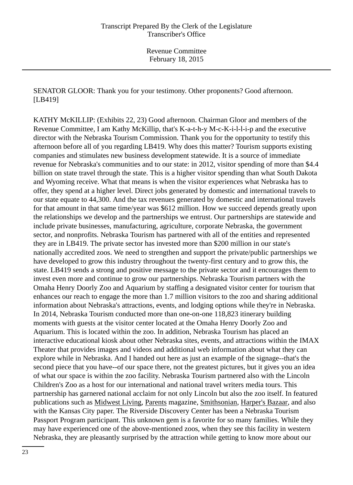SENATOR GLOOR: Thank you for your testimony. Other proponents? Good afternoon. [LB419]

KATHY McKILLIP: (Exhibits 22, 23) Good afternoon. Chairman Gloor and members of the Revenue Committee, I am Kathy McKillip, that's K-a-t-h-y M-c-K-i-l-l-i-p and the executive director with the Nebraska Tourism Commission. Thank you for the opportunity to testify this afternoon before all of you regarding LB419. Why does this matter? Tourism supports existing companies and stimulates new business development statewide. It is a source of immediate revenue for Nebraska's communities and to our state: in 2012, visitor spending of more than \$4.4 billion on state travel through the state. This is a higher visitor spending than what South Dakota and Wyoming receive. What that means is when the visitor experiences what Nebraska has to offer, they spend at a higher level. Direct jobs generated by domestic and international travels to our state equate to 44,300. And the tax revenues generated by domestic and international travels for that amount in that same time/year was \$612 million. How we succeed depends greatly upon the relationships we develop and the partnerships we entrust. Our partnerships are statewide and include private businesses, manufacturing, agriculture, corporate Nebraska, the government sector, and nonprofits. Nebraska Tourism has partnered with all of the entities and represented they are in LB419. The private sector has invested more than \$200 million in our state's nationally accredited zoos. We need to strengthen and support the private/public partnerships we have developed to grow this industry throughout the twenty-first century and to grow this, the state. LB419 sends a strong and positive message to the private sector and it encourages them to invest even more and continue to grow our partnerships. Nebraska Tourism partners with the Omaha Henry Doorly Zoo and Aquarium by staffing a designated visitor center for tourism that enhances our reach to engage the more than 1.7 million visitors to the zoo and sharing additional information about Nebraska's attractions, events, and lodging options while they're in Nebraska. In 2014, Nebraska Tourism conducted more than one-on-one 118,823 itinerary building moments with guests at the visitor center located at the Omaha Henry Doorly Zoo and Aquarium. This is located within the zoo. In addition, Nebraska Tourism has placed an interactive educational kiosk about other Nebraska sites, events, and attractions within the IMAX Theater that provides images and videos and additional web information about what they can explore while in Nebraska. And I handed out here as just an example of the signage--that's the second piece that you have--of our space there, not the greatest pictures, but it gives you an idea of what our space is within the zoo facility. Nebraska Tourism partnered also with the Lincoln Children's Zoo as a host for our international and national travel writers media tours. This partnership has garnered national acclaim for not only Lincoln but also the zoo itself. In featured publications such as Midwest Living, Parents magazine, Smithsonian, Harper's Bazaar, and also with the Kansas City paper. The Riverside Discovery Center has been a Nebraska Tourism Passport Program participant. This unknown gem is a favorite for so many families. While they may have experienced one of the above-mentioned zoos, when they see this facility in western Nebraska, they are pleasantly surprised by the attraction while getting to know more about our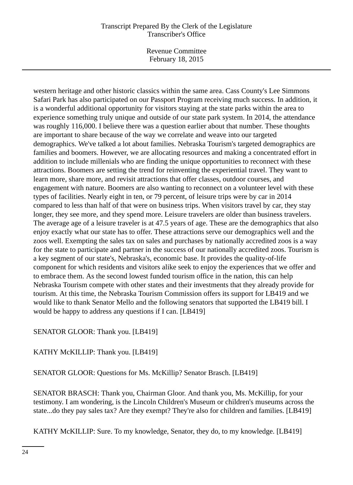Revenue Committee February 18, 2015

western heritage and other historic classics within the same area. Cass County's Lee Simmons Safari Park has also participated on our Passport Program receiving much success. In addition, it is a wonderful additional opportunity for visitors staying at the state parks within the area to experience something truly unique and outside of our state park system. In 2014, the attendance was roughly 116,000. I believe there was a question earlier about that number. These thoughts are important to share because of the way we correlate and weave into our targeted demographics. We've talked a lot about families. Nebraska Tourism's targeted demographics are families and boomers. However, we are allocating resources and making a concentrated effort in addition to include millenials who are finding the unique opportunities to reconnect with these attractions. Boomers are setting the trend for reinventing the experiential travel. They want to learn more, share more, and revisit attractions that offer classes, outdoor courses, and engagement with nature. Boomers are also wanting to reconnect on a volunteer level with these types of facilities. Nearly eight in ten, or 79 percent, of leisure trips were by car in 2014 compared to less than half of that were on business trips. When visitors travel by car, they stay longer, they see more, and they spend more. Leisure travelers are older than business travelers. The average age of a leisure traveler is at 47.5 years of age. These are the demographics that also enjoy exactly what our state has to offer. These attractions serve our demographics well and the zoos well. Exempting the sales tax on sales and purchases by nationally accredited zoos is a way for the state to participate and partner in the success of our nationally accredited zoos. Tourism is a key segment of our state's, Nebraska's, economic base. It provides the quality-of-life component for which residents and visitors alike seek to enjoy the experiences that we offer and to embrace them. As the second lowest funded tourism office in the nation, this can help Nebraska Tourism compete with other states and their investments that they already provide for tourism. At this time, the Nebraska Tourism Commission offers its support for LB419 and we would like to thank Senator Mello and the following senators that supported the LB419 bill. I would be happy to address any questions if I can. [LB419]

SENATOR GLOOR: Thank you. [LB419]

KATHY McKILLIP: Thank you. [LB419]

SENATOR GLOOR: Questions for Ms. McKillip? Senator Brasch. [LB419]

SENATOR BRASCH: Thank you, Chairman Gloor. And thank you, Ms. McKillip, for your testimony. I am wondering, is the Lincoln Children's Museum or children's museums across the state...do they pay sales tax? Are they exempt? They're also for children and families. [LB419]

KATHY McKILLIP: Sure. To my knowledge, Senator, they do, to my knowledge. [LB419]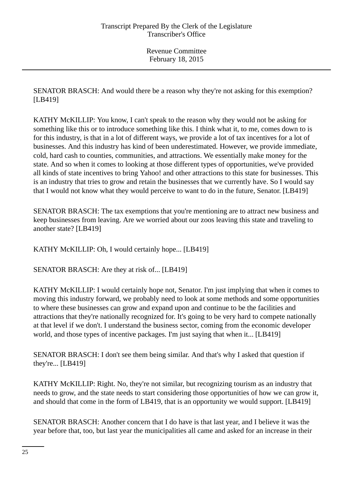SENATOR BRASCH: And would there be a reason why they're not asking for this exemption? [LB419]

KATHY McKILLIP: You know, I can't speak to the reason why they would not be asking for something like this or to introduce something like this. I think what it, to me, comes down to is for this industry, is that in a lot of different ways, we provide a lot of tax incentives for a lot of businesses. And this industry has kind of been underestimated. However, we provide immediate, cold, hard cash to counties, communities, and attractions. We essentially make money for the state. And so when it comes to looking at those different types of opportunities, we've provided all kinds of state incentives to bring Yahoo! and other attractions to this state for businesses. This is an industry that tries to grow and retain the businesses that we currently have. So I would say that I would not know what they would perceive to want to do in the future, Senator. [LB419]

SENATOR BRASCH: The tax exemptions that you're mentioning are to attract new business and keep businesses from leaving. Are we worried about our zoos leaving this state and traveling to another state? [LB419]

KATHY McKILLIP: Oh, I would certainly hope... [LB419]

SENATOR BRASCH: Are they at risk of... [LB419]

KATHY McKILLIP: I would certainly hope not, Senator. I'm just implying that when it comes to moving this industry forward, we probably need to look at some methods and some opportunities to where these businesses can grow and expand upon and continue to be the facilities and attractions that they're nationally recognized for. It's going to be very hard to compete nationally at that level if we don't. I understand the business sector, coming from the economic developer world, and those types of incentive packages. I'm just saying that when it... [LB419]

SENATOR BRASCH: I don't see them being similar. And that's why I asked that question if they're... [LB419]

KATHY McKILLIP: Right. No, they're not similar, but recognizing tourism as an industry that needs to grow, and the state needs to start considering those opportunities of how we can grow it, and should that come in the form of LB419, that is an opportunity we would support. [LB419]

SENATOR BRASCH: Another concern that I do have is that last year, and I believe it was the year before that, too, but last year the municipalities all came and asked for an increase in their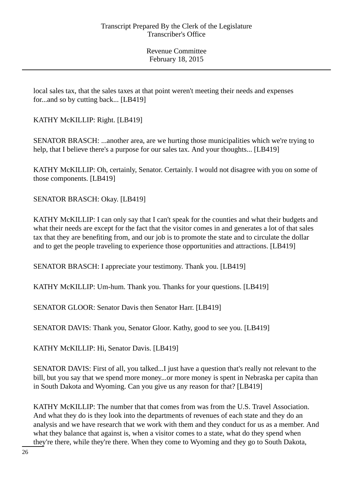local sales tax, that the sales taxes at that point weren't meeting their needs and expenses for...and so by cutting back... [LB419]

KATHY McKILLIP: Right. [LB419]

SENATOR BRASCH: ...another area, are we hurting those municipalities which we're trying to help, that I believe there's a purpose for our sales tax. And your thoughts... [LB419]

KATHY McKILLIP: Oh, certainly, Senator. Certainly. I would not disagree with you on some of those components. [LB419]

SENATOR BRASCH: Okay. [LB419]

KATHY McKILLIP: I can only say that I can't speak for the counties and what their budgets and what their needs are except for the fact that the visitor comes in and generates a lot of that sales tax that they are benefiting from, and our job is to promote the state and to circulate the dollar and to get the people traveling to experience those opportunities and attractions. [LB419]

SENATOR BRASCH: I appreciate your testimony. Thank you. [LB419]

KATHY McKILLIP: Um-hum. Thank you. Thanks for your questions. [LB419]

SENATOR GLOOR: Senator Davis then Senator Harr. [LB419]

SENATOR DAVIS: Thank you, Senator Gloor. Kathy, good to see you. [LB419]

KATHY McKILLIP: Hi, Senator Davis. [LB419]

SENATOR DAVIS: First of all, you talked...I just have a question that's really not relevant to the bill, but you say that we spend more money...or more money is spent in Nebraska per capita than in South Dakota and Wyoming. Can you give us any reason for that? [LB419]

KATHY McKILLIP: The number that that comes from was from the U.S. Travel Association. And what they do is they look into the departments of revenues of each state and they do an analysis and we have research that we work with them and they conduct for us as a member. And what they balance that against is, when a visitor comes to a state, what do they spend when they're there, while they're there. When they come to Wyoming and they go to South Dakota,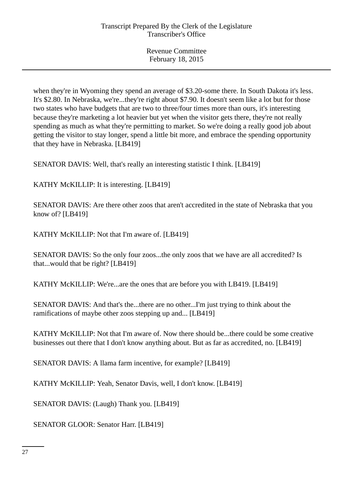when they're in Wyoming they spend an average of \$3.20-some there. In South Dakota it's less. It's \$2.80. In Nebraska, we're...they're right about \$7.90. It doesn't seem like a lot but for those two states who have budgets that are two to three/four times more than ours, it's interesting because they're marketing a lot heavier but yet when the visitor gets there, they're not really spending as much as what they're permitting to market. So we're doing a really good job about getting the visitor to stay longer, spend a little bit more, and embrace the spending opportunity that they have in Nebraska. [LB419]

SENATOR DAVIS: Well, that's really an interesting statistic I think. [LB419]

KATHY McKILLIP: It is interesting. [LB419]

SENATOR DAVIS: Are there other zoos that aren't accredited in the state of Nebraska that you know of? [LB419]

KATHY McKILLIP: Not that I'm aware of. [LB419]

SENATOR DAVIS: So the only four zoos...the only zoos that we have are all accredited? Is that...would that be right? [LB419]

KATHY McKILLIP: We're...are the ones that are before you with LB419. [LB419]

SENATOR DAVIS: And that's the...there are no other...I'm just trying to think about the ramifications of maybe other zoos stepping up and... [LB419]

KATHY McKILLIP: Not that I'm aware of. Now there should be...there could be some creative businesses out there that I don't know anything about. But as far as accredited, no. [LB419]

SENATOR DAVIS: A llama farm incentive, for example? [LB419]

KATHY McKILLIP: Yeah, Senator Davis, well, I don't know. [LB419]

SENATOR DAVIS: (Laugh) Thank you. [LB419]

SENATOR GLOOR: Senator Harr. [LB419]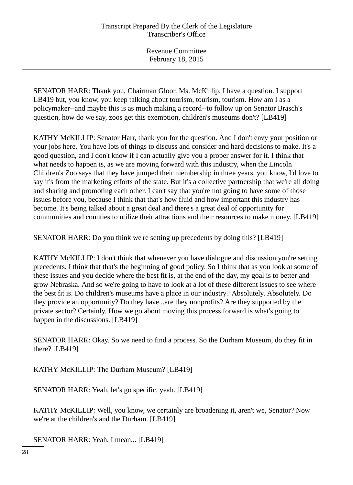SENATOR HARR: Thank you, Chairman Gloor. Ms. McKillip, I have a question. I support LB419 but, you know, you keep talking about tourism, tourism, tourism. How am I as a policymaker--and maybe this is as much making a record--to follow up on Senator Brasch's question, how do we say, zoos get this exemption, children's museums don't? [LB419]

KATHY McKILLIP: Senator Harr, thank you for the question. And I don't envy your position or your jobs here. You have lots of things to discuss and consider and hard decisions to make. It's a good question, and I don't know if I can actually give you a proper answer for it. I think that what needs to happen is, as we are moving forward with this industry, when the Lincoln Children's Zoo says that they have jumped their membership in three years, you know, I'd love to say it's from the marketing efforts of the state. But it's a collective partnership that we're all doing and sharing and promoting each other. I can't say that you're not going to have some of those issues before you, because I think that that's how fluid and how important this industry has become. It's being talked about a great deal and there's a great deal of opportunity for communities and counties to utilize their attractions and their resources to make money. [LB419]

SENATOR HARR: Do you think we're setting up precedents by doing this? [LB419]

KATHY McKILLIP: I don't think that whenever you have dialogue and discussion you're setting precedents. I think that that's the beginning of good policy. So I think that as you look at some of these issues and you decide where the best fit is, at the end of the day, my goal is to better and grow Nebraska. And so we're going to have to look at a lot of these different issues to see where the best fit is. Do children's museums have a place in our industry? Absolutely. Absolutely. Do they provide an opportunity? Do they have...are they nonprofits? Are they supported by the private sector? Certainly. How we go about moving this process forward is what's going to happen in the discussions. [LB419]

SENATOR HARR: Okay. So we need to find a process. So the Durham Museum, do they fit in there? [LB419]

KATHY McKILLIP: The Durham Museum? [LB419]

SENATOR HARR: Yeah, let's go specific, yeah. [LB419]

KATHY McKILLIP: Well, you know, we certainly are broadening it, aren't we, Senator? Now we're at the children's and the Durham. [LB419]

SENATOR HARR: Yeah, I mean... [LB419]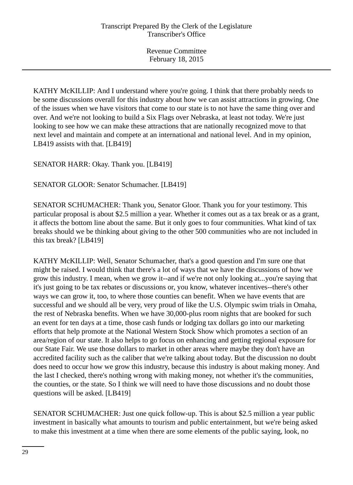KATHY McKILLIP: And I understand where you're going. I think that there probably needs to be some discussions overall for this industry about how we can assist attractions in growing. One of the issues when we have visitors that come to our state is to not have the same thing over and over. And we're not looking to build a Six Flags over Nebraska, at least not today. We're just looking to see how we can make these attractions that are nationally recognized move to that next level and maintain and compete at an international and national level. And in my opinion, LB419 assists with that. [LB419]

SENATOR HARR: Okay. Thank you. [LB419]

SENATOR GLOOR: Senator Schumacher. [LB419]

SENATOR SCHUMACHER: Thank you, Senator Gloor. Thank you for your testimony. This particular proposal is about \$2.5 million a year. Whether it comes out as a tax break or as a grant, it affects the bottom line about the same. But it only goes to four communities. What kind of tax breaks should we be thinking about giving to the other 500 communities who are not included in this tax break? [LB419]

KATHY McKILLIP: Well, Senator Schumacher, that's a good question and I'm sure one that might be raised. I would think that there's a lot of ways that we have the discussions of how we grow this industry. I mean, when we grow it--and if we're not only looking at...you're saying that it's just going to be tax rebates or discussions or, you know, whatever incentives--there's other ways we can grow it, too, to where those counties can benefit. When we have events that are successful and we should all be very, very proud of like the U.S. Olympic swim trials in Omaha, the rest of Nebraska benefits. When we have 30,000-plus room nights that are booked for such an event for ten days at a time, those cash funds or lodging tax dollars go into our marketing efforts that help promote at the National Western Stock Show which promotes a section of an area/region of our state. It also helps to go focus on enhancing and getting regional exposure for our State Fair. We use those dollars to market in other areas where maybe they don't have an accredited facility such as the caliber that we're talking about today. But the discussion no doubt does need to occur how we grow this industry, because this industry is about making money. And the last I checked, there's nothing wrong with making money, not whether it's the communities, the counties, or the state. So I think we will need to have those discussions and no doubt those questions will be asked. [LB419]

SENATOR SCHUMACHER: Just one quick follow-up. This is about \$2.5 million a year public investment in basically what amounts to tourism and public entertainment, but we're being asked to make this investment at a time when there are some elements of the public saying, look, no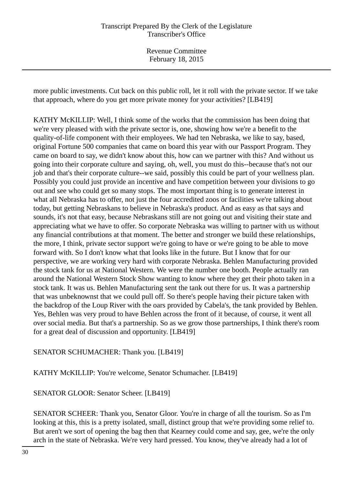Revenue Committee February 18, 2015

more public investments. Cut back on this public roll, let it roll with the private sector. If we take that approach, where do you get more private money for your activities? [LB419]

KATHY McKILLIP: Well, I think some of the works that the commission has been doing that we're very pleased with with the private sector is, one, showing how we're a benefit to the quality-of-life component with their employees. We had ten Nebraska, we like to say, based, original Fortune 500 companies that came on board this year with our Passport Program. They came on board to say, we didn't know about this, how can we partner with this? And without us going into their corporate culture and saying, oh, well, you must do this--because that's not our job and that's their corporate culture--we said, possibly this could be part of your wellness plan. Possibly you could just provide an incentive and have competition between your divisions to go out and see who could get so many stops. The most important thing is to generate interest in what all Nebraska has to offer, not just the four accredited zoos or facilities we're talking about today, but getting Nebraskans to believe in Nebraska's product. And as easy as that says and sounds, it's not that easy, because Nebraskans still are not going out and visiting their state and appreciating what we have to offer. So corporate Nebraska was willing to partner with us without any financial contributions at that moment. The better and stronger we build these relationships, the more, I think, private sector support we're going to have or we're going to be able to move forward with. So I don't know what that looks like in the future. But I know that for our perspective, we are working very hard with corporate Nebraska. Behlen Manufacturing provided the stock tank for us at National Western. We were the number one booth. People actually ran around the National Western Stock Show wanting to know where they get their photo taken in a stock tank. It was us. Behlen Manufacturing sent the tank out there for us. It was a partnership that was unbeknownst that we could pull off. So there's people having their picture taken with the backdrop of the Loup River with the oars provided by Cabela's, the tank provided by Behlen. Yes, Behlen was very proud to have Behlen across the front of it because, of course, it went all over social media. But that's a partnership. So as we grow those partnerships, I think there's room for a great deal of discussion and opportunity. [LB419]

SENATOR SCHUMACHER: Thank you. [LB419]

KATHY McKILLIP: You're welcome, Senator Schumacher. [LB419]

SENATOR GLOOR: Senator Scheer. [LB419]

SENATOR SCHEER: Thank you, Senator Gloor. You're in charge of all the tourism. So as I'm looking at this, this is a pretty isolated, small, distinct group that we're providing some relief to. But aren't we sort of opening the bag then that Kearney could come and say, gee, we're the only arch in the state of Nebraska. We're very hard pressed. You know, they've already had a lot of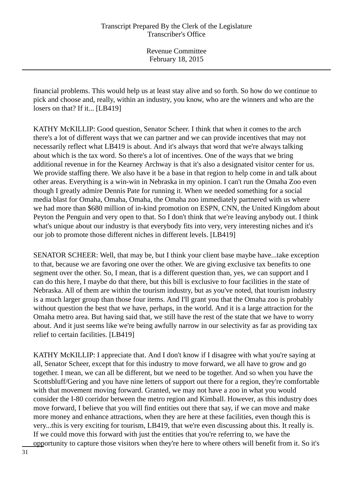financial problems. This would help us at least stay alive and so forth. So how do we continue to pick and choose and, really, within an industry, you know, who are the winners and who are the losers on that? If it... [LB419]

KATHY McKILLIP: Good question, Senator Scheer. I think that when it comes to the arch there's a lot of different ways that we can partner and we can provide incentives that may not necessarily reflect what LB419 is about. And it's always that word that we're always talking about which is the tax word. So there's a lot of incentives. One of the ways that we bring additional revenue in for the Kearney Archway is that it's also a designated visitor center for us. We provide staffing there. We also have it be a base in that region to help come in and talk about other areas. Everything is a win-win in Nebraska in my opinion. I can't run the Omaha Zoo even though I greatly admire Dennis Pate for running it. When we needed something for a social media blast for Omaha, Omaha, Omaha, the Omaha zoo immediately partnered with us where we had more than \$680 million of in-kind promotion on ESPN, CNN, the United Kingdom about Peyton the Penguin and very open to that. So I don't think that we're leaving anybody out. I think what's unique about our industry is that everybody fits into very, very interesting niches and it's our job to promote those different niches in different levels. [LB419]

SENATOR SCHEER: Well, that may be, but I think your client base maybe have...take exception to that, because we are favoring one over the other. We are giving exclusive tax benefits to one segment over the other. So, I mean, that is a different question than, yes, we can support and I can do this here, I maybe do that there, but this bill is exclusive to four facilities in the state of Nebraska. All of them are within the tourism industry, but as you've noted, that tourism industry is a much larger group than those four items. And I'll grant you that the Omaha zoo is probably without question the best that we have, perhaps, in the world. And it is a large attraction for the Omaha metro area. But having said that, we still have the rest of the state that we have to worry about. And it just seems like we're being awfully narrow in our selectivity as far as providing tax relief to certain facilities. [LB419]

KATHY McKILLIP: I appreciate that. And I don't know if I disagree with what you're saying at all, Senator Scheer, except that for this industry to move forward, we all have to grow and go together. I mean, we can all be different, but we need to be together. And so when you have the Scottsbluff/Gering and you have nine letters of support out there for a region, they're comfortable with that movement moving forward. Granted, we may not have a zoo in what you would consider the I-80 corridor between the metro region and Kimball. However, as this industry does move forward, I believe that you will find entities out there that say, if we can move and make more money and enhance attractions, when they are here at these facilities, even though this is very...this is very exciting for tourism, LB419, that we're even discussing about this. It really is. If we could move this forward with just the entities that you're referring to, we have the opportunity to capture those visitors when they're here to where others will benefit from it. So it's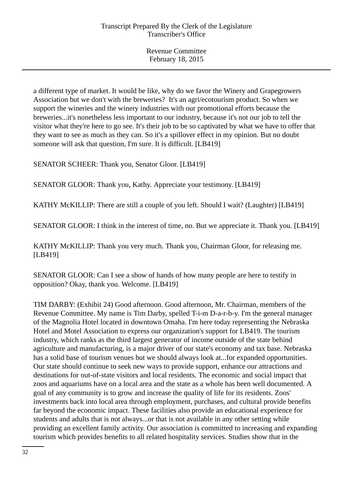a different type of market. It would be like, why do we favor the Winery and Grapegrowers Association but we don't with the breweries? It's an agri/ecotourism product. So when we support the wineries and the winery industries with our promotional efforts because the breweries...it's nonetheless less important to our industry, because it's not our job to tell the visitor what they're here to go see. It's their job to be so captivated by what we have to offer that they want to see as much as they can. So it's a spillover effect in my opinion. But no doubt someone will ask that question, I'm sure. It is difficult. [LB419]

SENATOR SCHEER: Thank you, Senator Gloor. [LB419]

SENATOR GLOOR: Thank you, Kathy. Appreciate your testimony. [LB419]

KATHY McKILLIP: There are still a couple of you left. Should I wait? (Laughter) [LB419]

SENATOR GLOOR: I think in the interest of time, no. But we appreciate it. Thank you. [LB419]

KATHY McKILLIP: Thank you very much. Thank you, Chairman Gloor, for releasing me. [LB419]

SENATOR GLOOR: Can I see a show of hands of how many people are here to testify in opposition? Okay, thank you. Welcome. [LB419]

TIM DARBY: (Exhibit 24) Good afternoon. Good afternoon, Mr. Chairman, members of the Revenue Committee. My name is Tim Darby, spelled T-i-m D-a-r-b-y. I'm the general manager of the Magnolia Hotel located in downtown Omaha. I'm here today representing the Nebraska Hotel and Motel Association to express our organization's support for LB419. The tourism industry, which ranks as the third largest generator of income outside of the state behind agriculture and manufacturing, is a major driver of our state's economy and tax base. Nebraska has a solid base of tourism venues but we should always look at...for expanded opportunities. Our state should continue to seek new ways to provide support, enhance our attractions and destinations for out-of-state visitors and local residents. The economic and social impact that zoos and aquariums have on a local area and the state as a whole has been well documented. A goal of any community is to grow and increase the quality of life for its residents. Zoos' investments back into local area through employment, purchases, and cultural provide benefits far beyond the economic impact. These facilities also provide an educational experience for students and adults that is not always...or that is not available in any other setting while providing an excellent family activity. Our association is committed to increasing and expanding tourism which provides benefits to all related hospitality services. Studies show that in the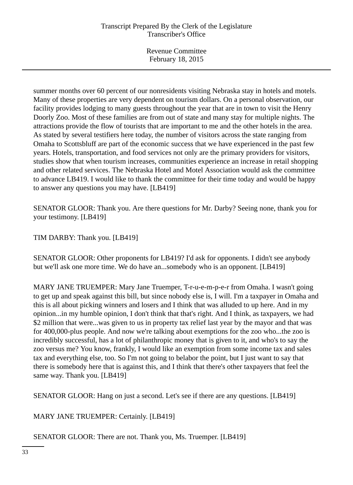Revenue Committee February 18, 2015

summer months over 60 percent of our nonresidents visiting Nebraska stay in hotels and motels. Many of these properties are very dependent on tourism dollars. On a personal observation, our facility provides lodging to many guests throughout the year that are in town to visit the Henry Doorly Zoo. Most of these families are from out of state and many stay for multiple nights. The attractions provide the flow of tourists that are important to me and the other hotels in the area. As stated by several testifiers here today, the number of visitors across the state ranging from Omaha to Scottsbluff are part of the economic success that we have experienced in the past few years. Hotels, transportation, and food services not only are the primary providers for visitors, studies show that when tourism increases, communities experience an increase in retail shopping and other related services. The Nebraska Hotel and Motel Association would ask the committee to advance LB419. I would like to thank the committee for their time today and would be happy to answer any questions you may have. [LB419]

SENATOR GLOOR: Thank you. Are there questions for Mr. Darby? Seeing none, thank you for your testimony. [LB419]

TIM DARBY: Thank you. [LB419]

SENATOR GLOOR: Other proponents for LB419? I'd ask for opponents. I didn't see anybody but we'll ask one more time. We do have an...somebody who is an opponent. [LB419]

MARY JANE TRUEMPER: Mary Jane Truemper, T-r-u-e-m-p-e-r from Omaha. I wasn't going to get up and speak against this bill, but since nobody else is, I will. I'm a taxpayer in Omaha and this is all about picking winners and losers and I think that was alluded to up here. And in my opinion...in my humble opinion, I don't think that that's right. And I think, as taxpayers, we had \$2 million that were...was given to us in property tax relief last year by the mayor and that was for 400,000-plus people. And now we're talking about exemptions for the zoo who...the zoo is incredibly successful, has a lot of philanthropic money that is given to it, and who's to say the zoo versus me? You know, frankly, I would like an exemption from some income tax and sales tax and everything else, too. So I'm not going to belabor the point, but I just want to say that there is somebody here that is against this, and I think that there's other taxpayers that feel the same way. Thank you. [LB419]

SENATOR GLOOR: Hang on just a second. Let's see if there are any questions. [LB419]

MARY JANE TRUEMPER: Certainly. [LB419]

SENATOR GLOOR: There are not. Thank you, Ms. Truemper. [LB419]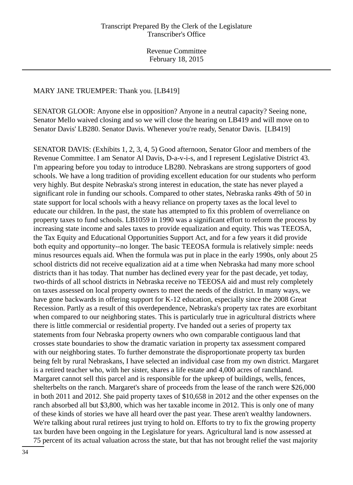#### MARY JANE TRUEMPER: Thank you. [LB419]

SENATOR GLOOR: Anyone else in opposition? Anyone in a neutral capacity? Seeing none, Senator Mello waived closing and so we will close the hearing on LB419 and will move on to Senator Davis' LB280. Senator Davis. Whenever you're ready, Senator Davis. [LB419]

SENATOR DAVIS: (Exhibits 1, 2, 3, 4, 5) Good afternoon, Senator Gloor and members of the Revenue Committee. I am Senator Al Davis, D-a-v-i-s, and I represent Legislative District 43. I'm appearing before you today to introduce LB280. Nebraskans are strong supporters of good schools. We have a long tradition of providing excellent education for our students who perform very highly. But despite Nebraska's strong interest in education, the state has never played a significant role in funding our schools. Compared to other states, Nebraska ranks 49th of 50 in state support for local schools with a heavy reliance on property taxes as the local level to educate our children. In the past, the state has attempted to fix this problem of overreliance on property taxes to fund schools. LB1059 in 1990 was a significant effort to reform the process by increasing state income and sales taxes to provide equalization and equity. This was TEEOSA, the Tax Equity and Educational Opportunities Support Act, and for a few years it did provide both equity and opportunity--no longer. The basic TEEOSA formula is relatively simple: needs minus resources equals aid. When the formula was put in place in the early 1990s, only about 25 school districts did not receive equalization aid at a time when Nebraska had many more school districts than it has today. That number has declined every year for the past decade, yet today, two-thirds of all school districts in Nebraska receive no TEEOSA aid and must rely completely on taxes assessed on local property owners to meet the needs of the district. In many ways, we have gone backwards in offering support for K-12 education, especially since the 2008 Great Recession. Partly as a result of this overdependence, Nebraska's property tax rates are exorbitant when compared to our neighboring states. This is particularly true in agricultural districts where there is little commercial or residential property. I've handed out a series of property tax statements from four Nebraska property owners who own comparable contiguous land that crosses state boundaries to show the dramatic variation in property tax assessment compared with our neighboring states. To further demonstrate the disproportionate property tax burden being felt by rural Nebraskans, I have selected an individual case from my own district. Margaret is a retired teacher who, with her sister, shares a life estate and 4,000 acres of ranchland. Margaret cannot sell this parcel and is responsible for the upkeep of buildings, wells, fences, shelterbelts on the ranch. Margaret's share of proceeds from the lease of the ranch were \$26,000 in both 2011 and 2012. She paid property taxes of \$10,658 in 2012 and the other expenses on the ranch absorbed all but \$3,800, which was her taxable income in 2012. This is only one of many of these kinds of stories we have all heard over the past year. These aren't wealthy landowners. We're talking about rural retirees just trying to hold on. Efforts to try to fix the growing property tax burden have been ongoing in the Legislature for years. Agricultural land is now assessed at 75 percent of its actual valuation across the state, but that has not brought relief the vast majority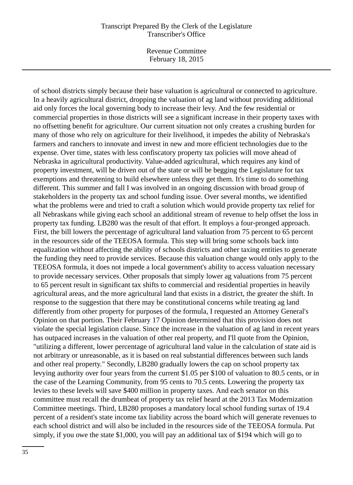Revenue Committee February 18, 2015

of school districts simply because their base valuation is agricultural or connected to agriculture. In a heavily agricultural district, dropping the valuation of ag land without providing additional aid only forces the local governing body to increase their levy. And the few residential or commercial properties in those districts will see a significant increase in their property taxes with no offsetting benefit for agriculture. Our current situation not only creates a crushing burden for many of those who rely on agriculture for their livelihood, it impedes the ability of Nebraska's farmers and ranchers to innovate and invest in new and more efficient technologies due to the expense. Over time, states with less confiscatory property tax policies will move ahead of Nebraska in agricultural productivity. Value-added agricultural, which requires any kind of property investment, will be driven out of the state or will be begging the Legislature for tax exemptions and threatening to build elsewhere unless they get them. It's time to do something different. This summer and fall I was involved in an ongoing discussion with broad group of stakeholders in the property tax and school funding issue. Over several months, we identified what the problems were and tried to craft a solution which would provide property tax relief for all Nebraskans while giving each school an additional stream of revenue to help offset the loss in property tax funding. LB280 was the result of that effort. It employs a four-pronged approach. First, the bill lowers the percentage of agricultural land valuation from 75 percent to 65 percent in the resources side of the TEEOSA formula. This step will bring some schools back into equalization without affecting the ability of schools districts and other taxing entities to generate the funding they need to provide services. Because this valuation change would only apply to the TEEOSA formula, it does not impede a local government's ability to access valuation necessary to provide necessary services. Other proposals that simply lower ag valuations from 75 percent to 65 percent result in significant tax shifts to commercial and residential properties in heavily agricultural areas, and the more agricultural land that exists in a district, the greater the shift. In response to the suggestion that there may be constitutional concerns while treating ag land differently from other property for purposes of the formula, I requested an Attorney General's Opinion on that portion. Their February 17 Opinion determined that this provision does not violate the special legislation clause. Since the increase in the valuation of ag land in recent years has outpaced increases in the valuation of other real property, and I'll quote from the Opinion, "utilizing a different, lower percentage of agricultural land value in the calculation of state aid is not arbitrary or unreasonable, as it is based on real substantial differences between such lands and other real property." Secondly, LB280 gradually lowers the cap on school property tax levying authority over four years from the current \$1.05 per \$100 of valuation to 80.5 cents, or in the case of the Learning Community, from 95 cents to 70.5 cents. Lowering the property tax levies to these levels will save \$400 million in property taxes. And each senator on this committee must recall the drumbeat of property tax relief heard at the 2013 Tax Modernization Committee meetings. Third, LB280 proposes a mandatory local school funding surtax of 19.4 percent of a resident's state income tax liability across the board which will generate revenues to each school district and will also be included in the resources side of the TEEOSA formula. Put simply, if you owe the state \$1,000, you will pay an additional tax of \$194 which will go to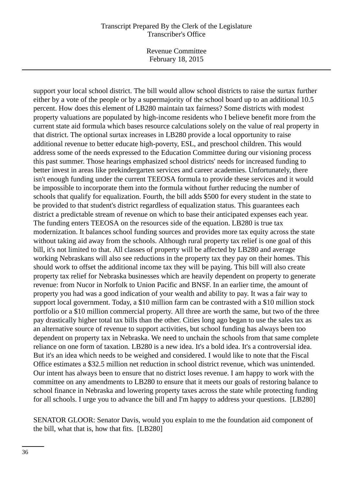Revenue Committee February 18, 2015

support your local school district. The bill would allow school districts to raise the surtax further either by a vote of the people or by a supermajority of the school board up to an additional 10.5 percent. How does this element of LB280 maintain tax fairness? Some districts with modest property valuations are populated by high-income residents who I believe benefit more from the current state aid formula which bases resource calculations solely on the value of real property in that district. The optional surtax increases in LB280 provide a local opportunity to raise additional revenue to better educate high-poverty, ESL, and preschool children. This would address some of the needs expressed to the Education Committee during our visioning process this past summer. Those hearings emphasized school districts' needs for increased funding to better invest in areas like prekindergarten services and career academies. Unfortunately, there isn't enough funding under the current TEEOSA formula to provide these services and it would be impossible to incorporate them into the formula without further reducing the number of schools that qualify for equalization. Fourth, the bill adds \$500 for every student in the state to be provided to that student's district regardless of equalization status. This guarantees each district a predictable stream of revenue on which to base their anticipated expenses each year. The funding enters TEEOSA on the resources side of the equation. LB280 is true tax modernization. It balances school funding sources and provides more tax equity across the state without taking aid away from the schools. Although rural property tax relief is one goal of this bill, it's not limited to that. All classes of property will be affected by LB280 and average working Nebraskans will also see reductions in the property tax they pay on their homes. This should work to offset the additional income tax they will be paying. This bill will also create property tax relief for Nebraska businesses which are heavily dependent on property to generate revenue: from Nucor in Norfolk to Union Pacific and BNSF. In an earlier time, the amount of property you had was a good indication of your wealth and ability to pay. It was a fair way to support local government. Today, a \$10 million farm can be contrasted with a \$10 million stock portfolio or a \$10 million commercial property. All three are worth the same, but two of the three pay drastically higher total tax bills than the other. Cities long ago began to use the sales tax as an alternative source of revenue to support activities, but school funding has always been too dependent on property tax in Nebraska. We need to unchain the schools from that same complete reliance on one form of taxation. LB280 is a new idea. It's a bold idea. It's a controversial idea. But it's an idea which needs to be weighed and considered. I would like to note that the Fiscal Office estimates a \$32.5 million net reduction in school district revenue, which was unintended. Our intent has always been to ensure that no district loses revenue. I am happy to work with the committee on any amendments to LB280 to ensure that it meets our goals of restoring balance to school finance in Nebraska and lowering property taxes across the state while protecting funding for all schools. I urge you to advance the bill and I'm happy to address your questions. [LB280]

SENATOR GLOOR: Senator Davis, would you explain to me the foundation aid component of the bill, what that is, how that fits. [LB280]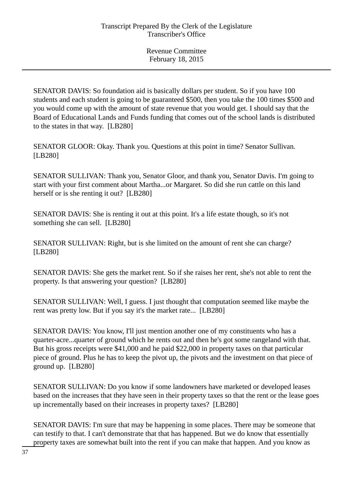SENATOR DAVIS: So foundation aid is basically dollars per student. So if you have 100 students and each student is going to be guaranteed \$500, then you take the 100 times \$500 and you would come up with the amount of state revenue that you would get. I should say that the Board of Educational Lands and Funds funding that comes out of the school lands is distributed to the states in that way. [LB280]

SENATOR GLOOR: Okay. Thank you. Questions at this point in time? Senator Sullivan. [LB280]

SENATOR SULLIVAN: Thank you, Senator Gloor, and thank you, Senator Davis. I'm going to start with your first comment about Martha...or Margaret. So did she run cattle on this land herself or is she renting it out? [LB280]

SENATOR DAVIS: She is renting it out at this point. It's a life estate though, so it's not something she can sell. [LB280]

SENATOR SULLIVAN: Right, but is she limited on the amount of rent she can charge? [LB280]

SENATOR DAVIS: She gets the market rent. So if she raises her rent, she's not able to rent the property. Is that answering your question? [LB280]

SENATOR SULLIVAN: Well, I guess. I just thought that computation seemed like maybe the rent was pretty low. But if you say it's the market rate... [LB280]

SENATOR DAVIS: You know, I'll just mention another one of my constituents who has a quarter-acre...quarter of ground which he rents out and then he's got some rangeland with that. But his gross receipts were \$41,000 and he paid \$22,000 in property taxes on that particular piece of ground. Plus he has to keep the pivot up, the pivots and the investment on that piece of ground up. [LB280]

SENATOR SULLIVAN: Do you know if some landowners have marketed or developed leases based on the increases that they have seen in their property taxes so that the rent or the lease goes up incrementally based on their increases in property taxes? [LB280]

SENATOR DAVIS: I'm sure that may be happening in some places. There may be someone that can testify to that. I can't demonstrate that that has happened. But we do know that essentially property taxes are somewhat built into the rent if you can make that happen. And you know as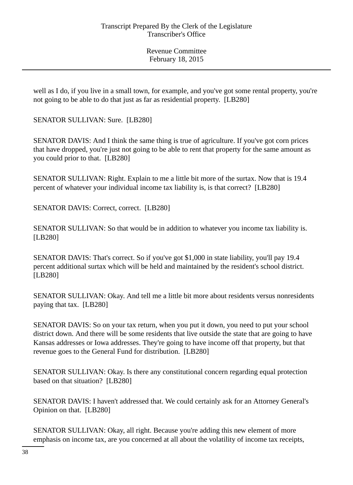well as I do, if you live in a small town, for example, and you've got some rental property, you're not going to be able to do that just as far as residential property. [LB280]

SENATOR SULLIVAN: Sure. [LB280]

SENATOR DAVIS: And I think the same thing is true of agriculture. If you've got corn prices that have dropped, you're just not going to be able to rent that property for the same amount as you could prior to that. [LB280]

SENATOR SULLIVAN: Right. Explain to me a little bit more of the surtax. Now that is 19.4 percent of whatever your individual income tax liability is, is that correct? [LB280]

SENATOR DAVIS: Correct, correct. [LB280]

SENATOR SULLIVAN: So that would be in addition to whatever you income tax liability is. [LB280]

SENATOR DAVIS: That's correct. So if you've got \$1,000 in state liability, you'll pay 19.4 percent additional surtax which will be held and maintained by the resident's school district. [LB280]

SENATOR SULLIVAN: Okay. And tell me a little bit more about residents versus nonresidents paying that tax. [LB280]

SENATOR DAVIS: So on your tax return, when you put it down, you need to put your school district down. And there will be some residents that live outside the state that are going to have Kansas addresses or Iowa addresses. They're going to have income off that property, but that revenue goes to the General Fund for distribution. [LB280]

SENATOR SULLIVAN: Okay. Is there any constitutional concern regarding equal protection based on that situation? [LB280]

SENATOR DAVIS: I haven't addressed that. We could certainly ask for an Attorney General's Opinion on that. [LB280]

SENATOR SULLIVAN: Okay, all right. Because you're adding this new element of more emphasis on income tax, are you concerned at all about the volatility of income tax receipts,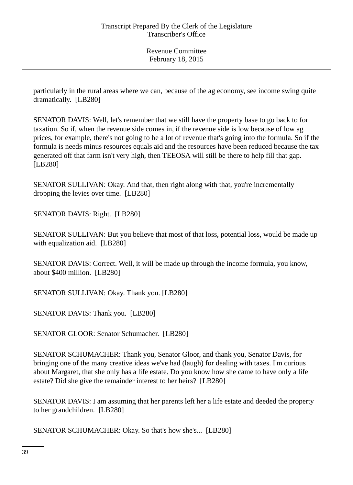particularly in the rural areas where we can, because of the ag economy, see income swing quite dramatically. [LB280]

SENATOR DAVIS: Well, let's remember that we still have the property base to go back to for taxation. So if, when the revenue side comes in, if the revenue side is low because of low ag prices, for example, there's not going to be a lot of revenue that's going into the formula. So if the formula is needs minus resources equals aid and the resources have been reduced because the tax generated off that farm isn't very high, then TEEOSA will still be there to help fill that gap. [LB280]

SENATOR SULLIVAN: Okay. And that, then right along with that, you're incrementally dropping the levies over time. [LB280]

SENATOR DAVIS: Right. [LB280]

SENATOR SULLIVAN: But you believe that most of that loss, potential loss, would be made up with equalization aid. [LB280]

SENATOR DAVIS: Correct. Well, it will be made up through the income formula, you know, about \$400 million. [LB280]

SENATOR SULLIVAN: Okay. Thank you. [LB280]

SENATOR DAVIS: Thank you. [LB280]

SENATOR GLOOR: Senator Schumacher. [LB280]

SENATOR SCHUMACHER: Thank you, Senator Gloor, and thank you, Senator Davis, for bringing one of the many creative ideas we've had (laugh) for dealing with taxes. I'm curious about Margaret, that she only has a life estate. Do you know how she came to have only a life estate? Did she give the remainder interest to her heirs? [LB280]

SENATOR DAVIS: I am assuming that her parents left her a life estate and deeded the property to her grandchildren. [LB280]

SENATOR SCHUMACHER: Okay. So that's how she's... [LB280]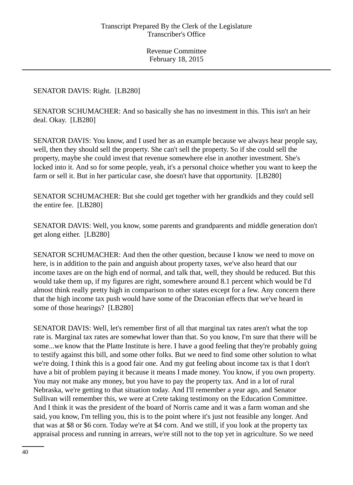## SENATOR DAVIS: Right. [LB280]

SENATOR SCHUMACHER: And so basically she has no investment in this. This isn't an heir deal. Okay. [LB280]

SENATOR DAVIS: You know, and I used her as an example because we always hear people say, well, then they should sell the property. She can't sell the property. So if she could sell the property, maybe she could invest that revenue somewhere else in another investment. She's locked into it. And so for some people, yeah, it's a personal choice whether you want to keep the farm or sell it. But in her particular case, she doesn't have that opportunity. [LB280]

SENATOR SCHUMACHER: But she could get together with her grandkids and they could sell the entire fee. [LB280]

SENATOR DAVIS: Well, you know, some parents and grandparents and middle generation don't get along either. [LB280]

SENATOR SCHUMACHER: And then the other question, because I know we need to move on here, is in addition to the pain and anguish about property taxes, we've also heard that our income taxes are on the high end of normal, and talk that, well, they should be reduced. But this would take them up, if my figures are right, somewhere around 8.1 percent which would be I'd almost think really pretty high in comparison to other states except for a few. Any concern there that the high income tax push would have some of the Draconian effects that we've heard in some of those hearings? [LB280]

SENATOR DAVIS: Well, let's remember first of all that marginal tax rates aren't what the top rate is. Marginal tax rates are somewhat lower than that. So you know, I'm sure that there will be some...we know that the Platte Institute is here. I have a good feeling that they're probably going to testify against this bill, and some other folks. But we need to find some other solution to what we're doing. I think this is a good fair one. And my gut feeling about income tax is that I don't have a bit of problem paying it because it means I made money. You know, if you own property. You may not make any money, but you have to pay the property tax. And in a lot of rural Nebraska, we're getting to that situation today. And I'll remember a year ago, and Senator Sullivan will remember this, we were at Crete taking testimony on the Education Committee. And I think it was the president of the board of Norris came and it was a farm woman and she said, you know, I'm telling you, this is to the point where it's just not feasible any longer. And that was at \$8 or \$6 corn. Today we're at \$4 corn. And we still, if you look at the property tax appraisal process and running in arrears, we're still not to the top yet in agriculture. So we need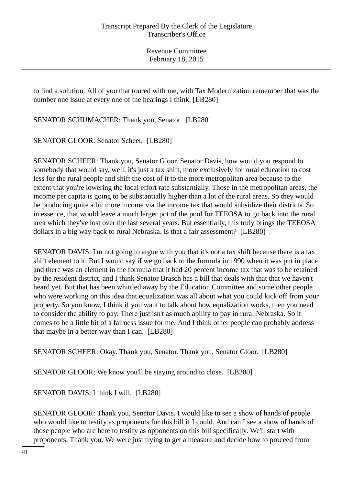to find a solution. All of you that toured with me, with Tax Modernization remember that was the number one issue at every one of the hearings I think. [LB280]

SENATOR SCHUMACHER: Thank you, Senator. [LB280]

SENATOR GLOOR: Senator Scheer. [LB280]

SENATOR SCHEER: Thank you, Senator Gloor. Senator Davis, how would you respond to somebody that would say, well, it's just a tax shift, more exclusively for rural education to cost less for the rural people and shift the cost of it to the more metropolitan area because to the extent that you're lowering the local effort rate substantially. Those in the metropolitan areas, the income per capita is going to be substantially higher than a lot of the rural areas. So they would be producing quite a bit more income via the income tax that would subsidize their districts. So in essence, that would leave a much larger pot of the pool for TEEOSA to go back into the rural area which they've lost over the last several years. But essentially, this truly brings the TEEOSA dollars in a big way back to rural Nebraska. Is that a fair assessment? [LB280]

SENATOR DAVIS: I'm not going to argue with you that it's not a tax shift because there is a tax shift element to it. But I would say if we go back to the formula in 1990 when it was put in place and there was an element in the formula that it had 20 percent income tax that was to be retained by the resident district, and I think Senator Brasch has a bill that deals with that that we haven't heard yet. But that has been whittled away by the Education Committee and some other people who were working on this idea that equalization was all about what you could kick off from your property. So you know, I think if you want to talk about how equalization works, then you need to consider the ability to pay. There just isn't as much ability to pay in rural Nebraska. So it comes to be a little bit of a fairness issue for me. And I think other people can probably address that maybe in a better way than I can. [LB280]

SENATOR SCHEER: Okay. Thank you, Senator. Thank you, Senator Gloor. [LB280]

SENATOR GLOOR: We know you'll be staying around to close. [LB280]

SENATOR DAVIS: I think I will. [LB280]

SENATOR GLOOR: Thank you, Senator Davis. I would like to see a show of hands of people who would like to testify as proponents for this bill if I could. And can I see a show of hands of those people who are here to testify as opponents on this bill specifically. We'll start with proponents. Thank you. We were just trying to get a measure and decide how to proceed from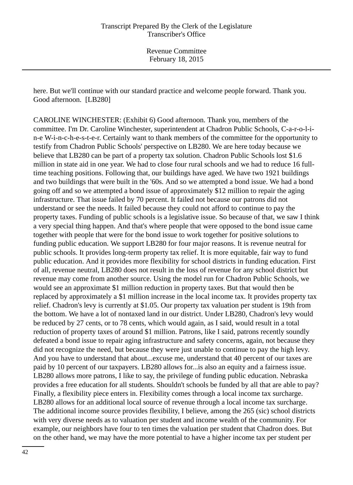here. But we'll continue with our standard practice and welcome people forward. Thank you. Good afternoon. [LB280]

CAROLINE WINCHESTER: (Exhibit 6) Good afternoon. Thank you, members of the committee. I'm Dr. Caroline Winchester, superintendent at Chadron Public Schools, C-a-r-o-l-in-e W-i-n-c-h-e-s-t-e-r. Certainly want to thank members of the committee for the opportunity to testify from Chadron Public Schools' perspective on LB280. We are here today because we believe that LB280 can be part of a property tax solution. Chadron Public Schools lost \$1.6 million in state aid in one year. We had to close four rural schools and we had to reduce 16 fulltime teaching positions. Following that, our buildings have aged. We have two 1921 buildings and two buildings that were built in the '60s. And so we attempted a bond issue. We had a bond going off and so we attempted a bond issue of approximately \$12 million to repair the aging infrastructure. That issue failed by 70 percent. It failed not because our patrons did not understand or see the needs. It failed because they could not afford to continue to pay the property taxes. Funding of public schools is a legislative issue. So because of that, we saw I think a very special thing happen. And that's where people that were opposed to the bond issue came together with people that were for the bond issue to work together for positive solutions to funding public education. We support LB280 for four major reasons. It is revenue neutral for public schools. It provides long-term property tax relief. It is more equitable, fair way to fund public education. And it provides more flexibility for school districts in funding education. First of all, revenue neutral, LB280 does not result in the loss of revenue for any school district but revenue may come from another source. Using the model run for Chadron Public Schools, we would see an approximate \$1 million reduction in property taxes. But that would then be replaced by approximately a \$1 million increase in the local income tax. It provides property tax relief. Chadron's levy is currently at \$1.05. Our property tax valuation per student is 19th from the bottom. We have a lot of nontaxed land in our district. Under LB280, Chadron's levy would be reduced by 27 cents, or to 78 cents, which would again, as I said, would result in a total reduction of property taxes of around \$1 million. Patrons, like I said, patrons recently soundly defeated a bond issue to repair aging infrastructure and safety concerns, again, not because they did not recognize the need, but because they were just unable to continue to pay the high levy. And you have to understand that about...excuse me, understand that 40 percent of our taxes are paid by 10 percent of our taxpayers. LB280 allows for...is also an equity and a fairness issue. LB280 allows more patrons, I like to say, the privilege of funding public education. Nebraska provides a free education for all students. Shouldn't schools be funded by all that are able to pay? Finally, a flexibility piece enters in. Flexibility comes through a local income tax surcharge. LB280 allows for an additional local source of revenue through a local income tax surcharge. The additional income source provides flexibility, I believe, among the 265 (sic) school districts with very diverse needs as to valuation per student and income wealth of the community. For example, our neighbors have four to ten times the valuation per student that Chadron does. But on the other hand, we may have the more potential to have a higher income tax per student per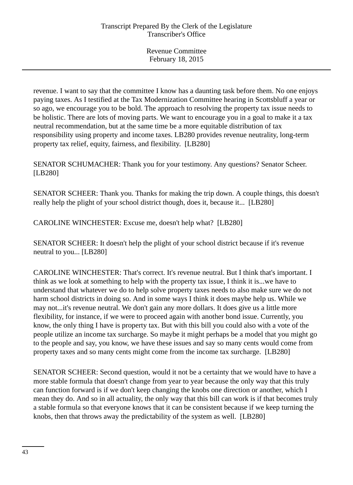revenue. I want to say that the committee I know has a daunting task before them. No one enjoys paying taxes. As I testified at the Tax Modernization Committee hearing in Scottsbluff a year or so ago, we encourage you to be bold. The approach to resolving the property tax issue needs to be holistic. There are lots of moving parts. We want to encourage you in a goal to make it a tax neutral recommendation, but at the same time be a more equitable distribution of tax responsibility using property and income taxes. LB280 provides revenue neutrality, long-term property tax relief, equity, fairness, and flexibility. [LB280]

SENATOR SCHUMACHER: Thank you for your testimony. Any questions? Senator Scheer. [LB280]

SENATOR SCHEER: Thank you. Thanks for making the trip down. A couple things, this doesn't really help the plight of your school district though, does it, because it... [LB280]

CAROLINE WINCHESTER: Excuse me, doesn't help what? [LB280]

SENATOR SCHEER: It doesn't help the plight of your school district because if it's revenue neutral to you... [LB280]

CAROLINE WINCHESTER: That's correct. It's revenue neutral. But I think that's important. I think as we look at something to help with the property tax issue, I think it is...we have to understand that whatever we do to help solve property taxes needs to also make sure we do not harm school districts in doing so. And in some ways I think it does maybe help us. While we may not...it's revenue neutral. We don't gain any more dollars. It does give us a little more flexibility, for instance, if we were to proceed again with another bond issue. Currently, you know, the only thing I have is property tax. But with this bill you could also with a vote of the people utilize an income tax surcharge. So maybe it might perhaps be a model that you might go to the people and say, you know, we have these issues and say so many cents would come from property taxes and so many cents might come from the income tax surcharge. [LB280]

SENATOR SCHEER: Second question, would it not be a certainty that we would have to have a more stable formula that doesn't change from year to year because the only way that this truly can function forward is if we don't keep changing the knobs one direction or another, which I mean they do. And so in all actuality, the only way that this bill can work is if that becomes truly a stable formula so that everyone knows that it can be consistent because if we keep turning the knobs, then that throws away the predictability of the system as well. [LB280]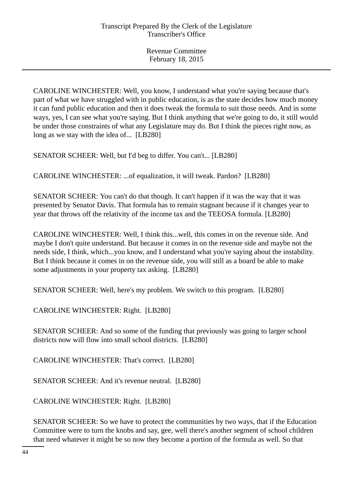CAROLINE WINCHESTER: Well, you know, I understand what you're saying because that's part of what we have struggled with in public education, is as the state decides how much money it can fund public education and then it does tweak the formula to suit those needs. And in some ways, yes, I can see what you're saying. But I think anything that we're going to do, it still would be under those constraints of what any Legislature may do. But I think the pieces right now, as long as we stay with the idea of... [LB280]

SENATOR SCHEER: Well, but I'd beg to differ. You can't... [LB280]

CAROLINE WINCHESTER: ...of equalization, it will tweak. Pardon? [LB280]

SENATOR SCHEER: You can't do that though. It can't happen if it was the way that it was presented by Senator Davis. That formula has to remain stagnant because if it changes year to year that throws off the relativity of the income tax and the TEEOSA formula. [LB280]

CAROLINE WINCHESTER: Well, I think this...well, this comes in on the revenue side. And maybe I don't quite understand. But because it comes in on the revenue side and maybe not the needs side, I think, which...you know, and I understand what you're saying about the instability. But I think because it comes in on the revenue side, you will still as a board be able to make some adjustments in your property tax asking. [LB280]

SENATOR SCHEER: Well, here's my problem. We switch to this program. [LB280]

CAROLINE WINCHESTER: Right. [LB280]

SENATOR SCHEER: And so some of the funding that previously was going to larger school districts now will flow into small school districts. [LB280]

CAROLINE WINCHESTER: That's correct. [LB280]

SENATOR SCHEER: And it's revenue neutral. [LB280]

CAROLINE WINCHESTER: Right. [LB280]

SENATOR SCHEER: So we have to protect the communities by two ways, that if the Education Committee were to turn the knobs and say, gee, well there's another segment of school children that need whatever it might be so now they become a portion of the formula as well. So that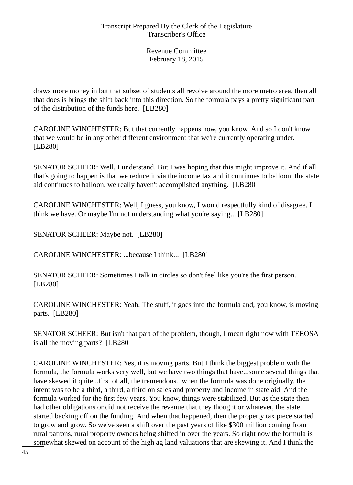draws more money in but that subset of students all revolve around the more metro area, then all that does is brings the shift back into this direction. So the formula pays a pretty significant part of the distribution of the funds here. [LB280]

CAROLINE WINCHESTER: But that currently happens now, you know. And so I don't know that we would be in any other different environment that we're currently operating under. [LB280]

SENATOR SCHEER: Well, I understand. But I was hoping that this might improve it. And if all that's going to happen is that we reduce it via the income tax and it continues to balloon, the state aid continues to balloon, we really haven't accomplished anything. [LB280]

CAROLINE WINCHESTER: Well, I guess, you know, I would respectfully kind of disagree. I think we have. Or maybe I'm not understanding what you're saying... [LB280]

SENATOR SCHEER: Maybe not. [LB280]

CAROLINE WINCHESTER: ...because I think... [LB280]

SENATOR SCHEER: Sometimes I talk in circles so don't feel like you're the first person. [LB280]

CAROLINE WINCHESTER: Yeah. The stuff, it goes into the formula and, you know, is moving parts. [LB280]

SENATOR SCHEER: But isn't that part of the problem, though, I mean right now with TEEOSA is all the moving parts? [LB280]

CAROLINE WINCHESTER: Yes, it is moving parts. But I think the biggest problem with the formula, the formula works very well, but we have two things that have...some several things that have skewed it quite...first of all, the tremendous...when the formula was done originally, the intent was to be a third, a third, a third on sales and property and income in state aid. And the formula worked for the first few years. You know, things were stabilized. But as the state then had other obligations or did not receive the revenue that they thought or whatever, the state started backing off on the funding. And when that happened, then the property tax piece started to grow and grow. So we've seen a shift over the past years of like \$300 million coming from rural patrons, rural property owners being shifted in over the years. So right now the formula is somewhat skewed on account of the high ag land valuations that are skewing it. And I think the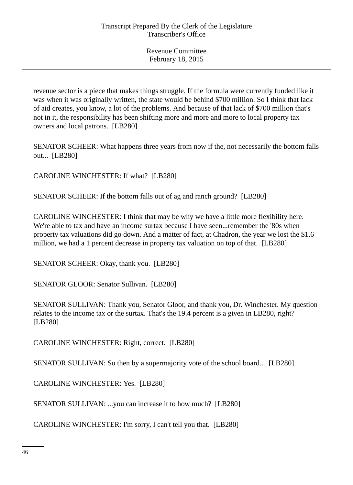revenue sector is a piece that makes things struggle. If the formula were currently funded like it was when it was originally written, the state would be behind \$700 million. So I think that lack of aid creates, you know, a lot of the problems. And because of that lack of \$700 million that's not in it, the responsibility has been shifting more and more and more to local property tax owners and local patrons. [LB280]

SENATOR SCHEER: What happens three years from now if the, not necessarily the bottom falls out... [LB280]

CAROLINE WINCHESTER: If what? [LB280]

SENATOR SCHEER: If the bottom falls out of ag and ranch ground? [LB280]

CAROLINE WINCHESTER: I think that may be why we have a little more flexibility here. We're able to tax and have an income surtax because I have seen...remember the '80s when property tax valuations did go down. And a matter of fact, at Chadron, the year we lost the \$1.6 million, we had a 1 percent decrease in property tax valuation on top of that. [LB280]

SENATOR SCHEER: Okay, thank you. [LB280]

SENATOR GLOOR: Senator Sullivan. [LB280]

SENATOR SULLIVAN: Thank you, Senator Gloor, and thank you, Dr. Winchester. My question relates to the income tax or the surtax. That's the 19.4 percent is a given in LB280, right? [LB280]

CAROLINE WINCHESTER: Right, correct. [LB280]

SENATOR SULLIVAN: So then by a supermajority vote of the school board... [LB280]

CAROLINE WINCHESTER: Yes. [LB280]

SENATOR SULLIVAN: ...you can increase it to how much? [LB280]

CAROLINE WINCHESTER: I'm sorry, I can't tell you that. [LB280]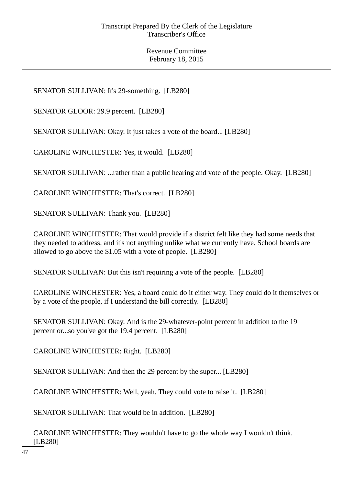SENATOR SULLIVAN: It's 29-something. [LB280]

SENATOR GLOOR: 29.9 percent. [LB280]

SENATOR SULLIVAN: Okay. It just takes a vote of the board... [LB280]

CAROLINE WINCHESTER: Yes, it would. [LB280]

SENATOR SULLIVAN: ...rather than a public hearing and vote of the people. Okay. [LB280]

CAROLINE WINCHESTER: That's correct. [LB280]

SENATOR SULLIVAN: Thank you. [LB280]

CAROLINE WINCHESTER: That would provide if a district felt like they had some needs that they needed to address, and it's not anything unlike what we currently have. School boards are allowed to go above the \$1.05 with a vote of people. [LB280]

SENATOR SULLIVAN: But this isn't requiring a vote of the people. [LB280]

CAROLINE WINCHESTER: Yes, a board could do it either way. They could do it themselves or by a vote of the people, if I understand the bill correctly. [LB280]

SENATOR SULLIVAN: Okay. And is the 29-whatever-point percent in addition to the 19 percent or...so you've got the 19.4 percent. [LB280]

CAROLINE WINCHESTER: Right. [LB280]

SENATOR SULLIVAN: And then the 29 percent by the super... [LB280]

CAROLINE WINCHESTER: Well, yeah. They could vote to raise it. [LB280]

SENATOR SULLIVAN: That would be in addition. [LB280]

CAROLINE WINCHESTER: They wouldn't have to go the whole way I wouldn't think. [LB280]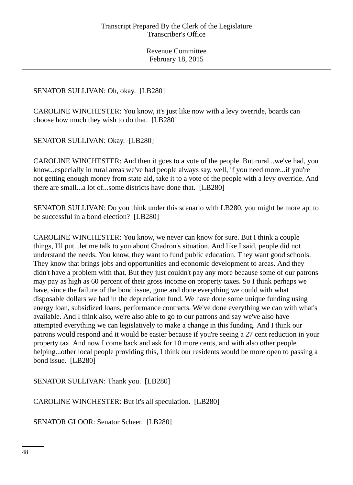# SENATOR SULLIVAN: Oh, okay. [LB280]

CAROLINE WINCHESTER: You know, it's just like now with a levy override, boards can choose how much they wish to do that. [LB280]

SENATOR SULLIVAN: Okay. [LB280]

CAROLINE WINCHESTER: And then it goes to a vote of the people. But rural...we've had, you know...especially in rural areas we've had people always say, well, if you need more...if you're not getting enough money from state aid, take it to a vote of the people with a levy override. And there are small...a lot of...some districts have done that. [LB280]

SENATOR SULLIVAN: Do you think under this scenario with LB280, you might be more apt to be successful in a bond election? [LB280]

CAROLINE WINCHESTER: You know, we never can know for sure. But I think a couple things, I'll put...let me talk to you about Chadron's situation. And like I said, people did not understand the needs. You know, they want to fund public education. They want good schools. They know that brings jobs and opportunities and economic development to areas. And they didn't have a problem with that. But they just couldn't pay any more because some of our patrons may pay as high as 60 percent of their gross income on property taxes. So I think perhaps we have, since the failure of the bond issue, gone and done everything we could with what disposable dollars we had in the depreciation fund. We have done some unique funding using energy loan, subsidized loans, performance contracts. We've done everything we can with what's available. And I think also, we're also able to go to our patrons and say we've also have attempted everything we can legislatively to make a change in this funding. And I think our patrons would respond and it would be easier because if you're seeing a 27 cent reduction in your property tax. And now I come back and ask for 10 more cents, and with also other people helping...other local people providing this, I think our residents would be more open to passing a bond issue. [LB280]

SENATOR SULLIVAN: Thank you. [LB280]

CAROLINE WINCHESTER: But it's all speculation. [LB280]

SENATOR GLOOR: Senator Scheer. [LB280]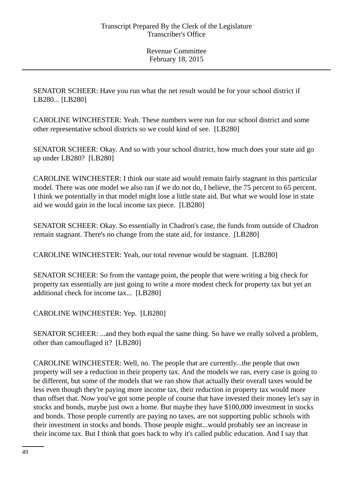SENATOR SCHEER: Have you run what the net result would be for your school district if LB280... [LB280]

CAROLINE WINCHESTER: Yeah. These numbers were run for our school district and some other representative school districts so we could kind of see. [LB280]

SENATOR SCHEER: Okay. And so with your school district, how much does your state aid go up under LB280? [LB280]

CAROLINE WINCHESTER: I think our state aid would remain fairly stagnant in this particular model. There was one model we also ran if we do not do, I believe, the 75 percent to 65 percent. I think we potentially in that model might lose a little state aid. But what we would lose in state aid we would gain in the local income tax piece. [LB280]

SENATOR SCHEER: Okay. So essentially in Chadron's case, the funds from outside of Chadron remain stagnant. There's no change from the state aid, for instance. [LB280]

CAROLINE WINCHESTER: Yeah, our total revenue would be stagnant. [LB280]

SENATOR SCHEER: So from the vantage point, the people that were writing a big check for property tax essentially are just going to write a more modest check for property tax but yet an additional check for income tax... [LB280]

CAROLINE WINCHESTER: Yep. [LB280]

SENATOR SCHEER: ...and they both equal the same thing. So have we really solved a problem, other than camouflaged it? [LB280]

CAROLINE WINCHESTER: Well, no. The people that are currently...the people that own property will see a reduction in their property tax. And the models we ran, every case is going to be different, but some of the models that we ran show that actually their overall taxes would be less even though they're paying more income tax, their reduction in property tax would more than offset that. Now you've got some people of course that have invested their money let's say in stocks and bonds, maybe just own a home. But maybe they have \$100,000 investment in stocks and bonds. Those people currently are paying no taxes, are not supporting public schools with their investment in stocks and bonds. Those people might...would probably see an increase in their income tax. But I think that goes back to why it's called public education. And I say that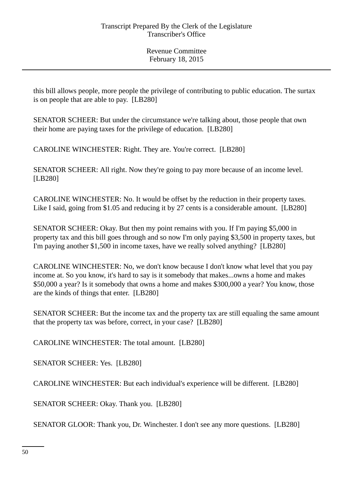this bill allows people, more people the privilege of contributing to public education. The surtax is on people that are able to pay. [LB280]

SENATOR SCHEER: But under the circumstance we're talking about, those people that own their home are paying taxes for the privilege of education. [LB280]

CAROLINE WINCHESTER: Right. They are. You're correct. [LB280]

SENATOR SCHEER: All right. Now they're going to pay more because of an income level. [LB280]

CAROLINE WINCHESTER: No. It would be offset by the reduction in their property taxes. Like I said, going from \$1.05 and reducing it by 27 cents is a considerable amount. [LB280]

SENATOR SCHEER: Okay. But then my point remains with you. If I'm paying \$5,000 in property tax and this bill goes through and so now I'm only paying \$3,500 in property taxes, but I'm paying another \$1,500 in income taxes, have we really solved anything? [LB280]

CAROLINE WINCHESTER: No, we don't know because I don't know what level that you pay income at. So you know, it's hard to say is it somebody that makes...owns a home and makes \$50,000 a year? Is it somebody that owns a home and makes \$300,000 a year? You know, those are the kinds of things that enter. [LB280]

SENATOR SCHEER: But the income tax and the property tax are still equaling the same amount that the property tax was before, correct, in your case? [LB280]

CAROLINE WINCHESTER: The total amount. [LB280]

SENATOR SCHEER: Yes. [LB280]

CAROLINE WINCHESTER: But each individual's experience will be different. [LB280]

SENATOR SCHEER: Okay. Thank you. [LB280]

SENATOR GLOOR: Thank you, Dr. Winchester. I don't see any more questions. [LB280]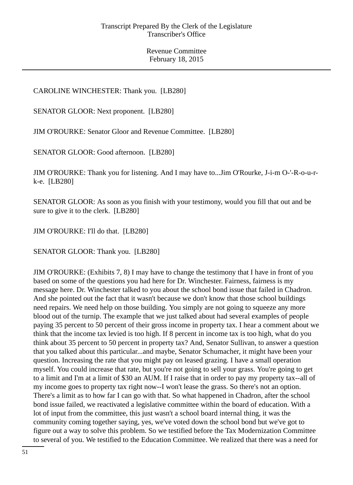# CAROLINE WINCHESTER: Thank you. [LB280]

SENATOR GLOOR: Next proponent. [LB280]

JIM O'ROURKE: Senator Gloor and Revenue Committee. [LB280]

SENATOR GLOOR: Good afternoon. [LB280]

JIM O'ROURKE: Thank you for listening. And I may have to...Jim O'Rourke, J-i-m O-'-R-o-u-rk-e. [LB280]

SENATOR GLOOR: As soon as you finish with your testimony, would you fill that out and be sure to give it to the clerk. [LB280]

JIM O'ROURKE: I'll do that. [LB280]

SENATOR GLOOR: Thank you. [LB280]

JIM O'ROURKE: (Exhibits 7, 8) I may have to change the testimony that I have in front of you based on some of the questions you had here for Dr. Winchester. Fairness, fairness is my message here. Dr. Winchester talked to you about the school bond issue that failed in Chadron. And she pointed out the fact that it wasn't because we don't know that those school buildings need repairs. We need help on those building. You simply are not going to squeeze any more blood out of the turnip. The example that we just talked about had several examples of people paying 35 percent to 50 percent of their gross income in property tax. I hear a comment about we think that the income tax levied is too high. If 8 percent in income tax is too high, what do you think about 35 percent to 50 percent in property tax? And, Senator Sullivan, to answer a question that you talked about this particular...and maybe, Senator Schumacher, it might have been your question. Increasing the rate that you might pay on leased grazing. I have a small operation myself. You could increase that rate, but you're not going to sell your grass. You're going to get to a limit and I'm at a limit of \$30 an AUM. If I raise that in order to pay my property tax--all of my income goes to property tax right now--I won't lease the grass. So there's not an option. There's a limit as to how far I can go with that. So what happened in Chadron, after the school bond issue failed, we reactivated a legislative committee within the board of education. With a lot of input from the committee, this just wasn't a school board internal thing, it was the community coming together saying, yes, we've voted down the school bond but we've got to figure out a way to solve this problem. So we testified before the Tax Modernization Committee to several of you. We testified to the Education Committee. We realized that there was a need for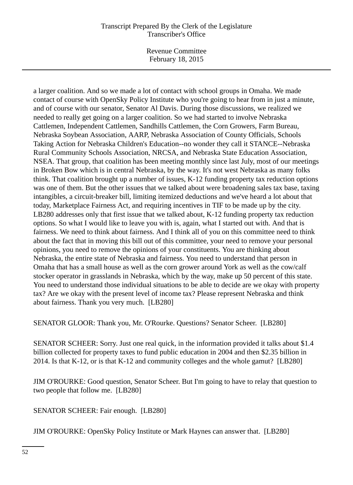# Transcript Prepared By the Clerk of the Legislature Transcriber's Office

Revenue Committee February 18, 2015

a larger coalition. And so we made a lot of contact with school groups in Omaha. We made contact of course with OpenSky Policy Institute who you're going to hear from in just a minute, and of course with our senator, Senator Al Davis. During those discussions, we realized we needed to really get going on a larger coalition. So we had started to involve Nebraska Cattlemen, Independent Cattlemen, Sandhills Cattlemen, the Corn Growers, Farm Bureau, Nebraska Soybean Association, AARP, Nebraska Association of County Officials, Schools Taking Action for Nebraska Children's Education--no wonder they call it STANCE--Nebraska Rural Community Schools Association, NRCSA, and Nebraska State Education Association, NSEA. That group, that coalition has been meeting monthly since last July, most of our meetings in Broken Bow which is in central Nebraska, by the way. It's not west Nebraska as many folks think. That coalition brought up a number of issues, K-12 funding property tax reduction options was one of them. But the other issues that we talked about were broadening sales tax base, taxing intangibles, a circuit-breaker bill, limiting itemized deductions and we've heard a lot about that today, Marketplace Fairness Act, and requiring incentives in TIF to be made up by the city. LB280 addresses only that first issue that we talked about, K-12 funding property tax reduction options. So what I would like to leave you with is, again, what I started out with. And that is fairness. We need to think about fairness. And I think all of you on this committee need to think about the fact that in moving this bill out of this committee, your need to remove your personal opinions, you need to remove the opinions of your constituents. You are thinking about Nebraska, the entire state of Nebraska and fairness. You need to understand that person in Omaha that has a small house as well as the corn grower around York as well as the cow/calf stocker operator in grasslands in Nebraska, which by the way, make up 50 percent of this state. You need to understand those individual situations to be able to decide are we okay with property tax? Are we okay with the present level of income tax? Please represent Nebraska and think about fairness. Thank you very much. [LB280]

SENATOR GLOOR: Thank you, Mr. O'Rourke. Questions? Senator Scheer. [LB280]

SENATOR SCHEER: Sorry. Just one real quick, in the information provided it talks about \$1.4 billion collected for property taxes to fund public education in 2004 and then \$2.35 billion in 2014. Is that K-12, or is that K-12 and community colleges and the whole gamut? [LB280]

JIM O'ROURKE: Good question, Senator Scheer. But I'm going to have to relay that question to two people that follow me. [LB280]

SENATOR SCHEER: Fair enough. [LB280]

JIM O'ROURKE: OpenSky Policy Institute or Mark Haynes can answer that. [LB280]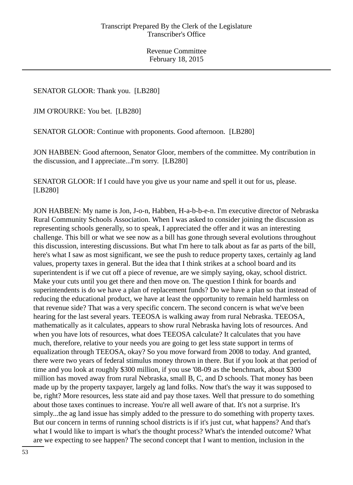SENATOR GLOOR: Thank you. [LB280]

JIM O'ROURKE: You bet. [LB280]

SENATOR GLOOR: Continue with proponents. Good afternoon. [LB280]

JON HABBEN: Good afternoon, Senator Gloor, members of the committee. My contribution in the discussion, and I appreciate...I'm sorry. [LB280]

SENATOR GLOOR: If I could have you give us your name and spell it out for us, please. [LB280]

JON HABBEN: My name is Jon, J-o-n, Habben, H-a-b-b-e-n. I'm executive director of Nebraska Rural Community Schools Association. When I was asked to consider joining the discussion as representing schools generally, so to speak, I appreciated the offer and it was an interesting challenge. This bill or what we see now as a bill has gone through several evolutions throughout this discussion, interesting discussions. But what I'm here to talk about as far as parts of the bill, here's what I saw as most significant, we see the push to reduce property taxes, certainly ag land values, property taxes in general. But the idea that I think strikes at a school board and its superintendent is if we cut off a piece of revenue, are we simply saying, okay, school district. Make your cuts until you get there and then move on. The question I think for boards and superintendents is do we have a plan of replacement funds? Do we have a plan so that instead of reducing the educational product, we have at least the opportunity to remain held harmless on that revenue side? That was a very specific concern. The second concern is what we've been hearing for the last several years. TEEOSA is walking away from rural Nebraska. TEEOSA, mathematically as it calculates, appears to show rural Nebraska having lots of resources. And when you have lots of resources, what does TEEOSA calculate? It calculates that you have much, therefore, relative to your needs you are going to get less state support in terms of equalization through TEEOSA, okay? So you move forward from 2008 to today. And granted, there were two years of federal stimulus money thrown in there. But if you look at that period of time and you look at roughly \$300 million, if you use '08-09 as the benchmark, about \$300 million has moved away from rural Nebraska, small B, C, and D schools. That money has been made up by the property taxpayer, largely ag land folks. Now that's the way it was supposed to be, right? More resources, less state aid and pay those taxes. Well that pressure to do something about those taxes continues to increase. You're all well aware of that. It's not a surprise. It's simply...the ag land issue has simply added to the pressure to do something with property taxes. But our concern in terms of running school districts is if it's just cut, what happens? And that's what I would like to impart is what's the thought process? What's the intended outcome? What are we expecting to see happen? The second concept that I want to mention, inclusion in the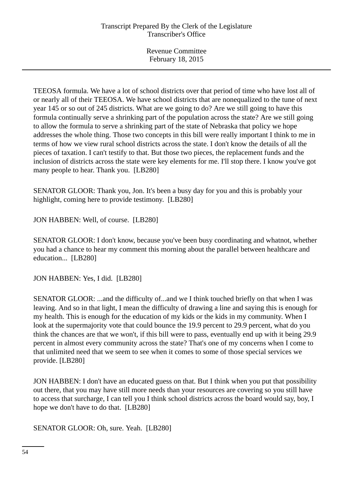TEEOSA formula. We have a lot of school districts over that period of time who have lost all of or nearly all of their TEEOSA. We have school districts that are nonequalized to the tune of next year 145 or so out of 245 districts. What are we going to do? Are we still going to have this formula continually serve a shrinking part of the population across the state? Are we still going to allow the formula to serve a shrinking part of the state of Nebraska that policy we hope addresses the whole thing. Those two concepts in this bill were really important I think to me in terms of how we view rural school districts across the state. I don't know the details of all the pieces of taxation. I can't testify to that. But those two pieces, the replacement funds and the inclusion of districts across the state were key elements for me. I'll stop there. I know you've got many people to hear. Thank you. [LB280]

SENATOR GLOOR: Thank you, Jon. It's been a busy day for you and this is probably your highlight, coming here to provide testimony. [LB280]

JON HABBEN: Well, of course. [LB280]

SENATOR GLOOR: I don't know, because you've been busy coordinating and whatnot, whether you had a chance to hear my comment this morning about the parallel between healthcare and education... [LB280]

JON HABBEN: Yes, I did. [LB280]

SENATOR GLOOR: ...and the difficulty of...and we I think touched briefly on that when I was leaving. And so in that light, I mean the difficulty of drawing a line and saying this is enough for my health. This is enough for the education of my kids or the kids in my community. When I look at the supermajority vote that could bounce the 19.9 percent to 29.9 percent, what do you think the chances are that we won't, if this bill were to pass, eventually end up with it being 29.9 percent in almost every community across the state? That's one of my concerns when I come to that unlimited need that we seem to see when it comes to some of those special services we provide. [LB280]

JON HABBEN: I don't have an educated guess on that. But I think when you put that possibility out there, that you may have still more needs than your resources are covering so you still have to access that surcharge, I can tell you I think school districts across the board would say, boy, I hope we don't have to do that. [LB280]

SENATOR GLOOR: Oh, sure. Yeah. [LB280]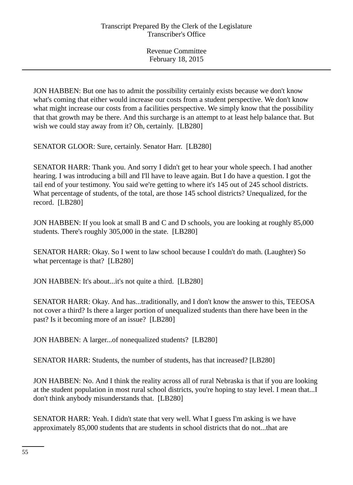JON HABBEN: But one has to admit the possibility certainly exists because we don't know what's coming that either would increase our costs from a student perspective. We don't know what might increase our costs from a facilities perspective. We simply know that the possibility that that growth may be there. And this surcharge is an attempt to at least help balance that. But wish we could stay away from it? Oh, certainly. [LB280]

SENATOR GLOOR: Sure, certainly. Senator Harr. [LB280]

SENATOR HARR: Thank you. And sorry I didn't get to hear your whole speech. I had another hearing. I was introducing a bill and I'll have to leave again. But I do have a question. I got the tail end of your testimony. You said we're getting to where it's 145 out of 245 school districts. What percentage of students, of the total, are those 145 school districts? Unequalized, for the record. [LB280]

JON HABBEN: If you look at small B and C and D schools, you are looking at roughly 85,000 students. There's roughly 305,000 in the state. [LB280]

SENATOR HARR: Okay. So I went to law school because I couldn't do math. (Laughter) So what percentage is that? [LB280]

JON HABBEN: It's about...it's not quite a third. [LB280]

SENATOR HARR: Okay. And has...traditionally, and I don't know the answer to this, TEEOSA not cover a third? Is there a larger portion of unequalized students than there have been in the past? Is it becoming more of an issue? [LB280]

JON HABBEN: A larger...of nonequalized students? [LB280]

SENATOR HARR: Students, the number of students, has that increased? [LB280]

JON HABBEN: No. And I think the reality across all of rural Nebraska is that if you are looking at the student population in most rural school districts, you're hoping to stay level. I mean that...I don't think anybody misunderstands that. [LB280]

SENATOR HARR: Yeah. I didn't state that very well. What I guess I'm asking is we have approximately 85,000 students that are students in school districts that do not...that are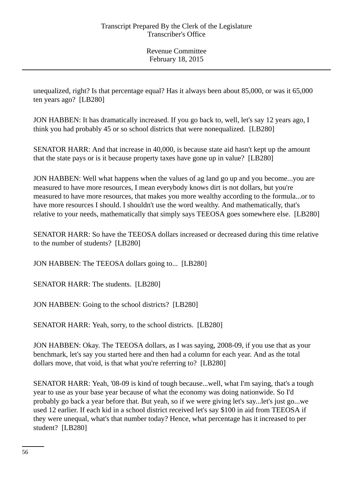unequalized, right? Is that percentage equal? Has it always been about 85,000, or was it 65,000 ten years ago? [LB280]

JON HABBEN: It has dramatically increased. If you go back to, well, let's say 12 years ago, I think you had probably 45 or so school districts that were nonequalized. [LB280]

SENATOR HARR: And that increase in 40,000, is because state aid hasn't kept up the amount that the state pays or is it because property taxes have gone up in value? [LB280]

JON HABBEN: Well what happens when the values of ag land go up and you become...you are measured to have more resources, I mean everybody knows dirt is not dollars, but you're measured to have more resources, that makes you more wealthy according to the formula...or to have more resources I should. I shouldn't use the word wealthy. And mathematically, that's relative to your needs, mathematically that simply says TEEOSA goes somewhere else. [LB280]

SENATOR HARR: So have the TEEOSA dollars increased or decreased during this time relative to the number of students? [LB280]

JON HABBEN: The TEEOSA dollars going to... [LB280]

SENATOR HARR: The students. [LB280]

JON HABBEN: Going to the school districts? [LB280]

SENATOR HARR: Yeah, sorry, to the school districts. [LB280]

JON HABBEN: Okay. The TEEOSA dollars, as I was saying, 2008-09, if you use that as your benchmark, let's say you started here and then had a column for each year. And as the total dollars move, that void, is that what you're referring to? [LB280]

SENATOR HARR: Yeah, '08-09 is kind of tough because...well, what I'm saying, that's a tough year to use as your base year because of what the economy was doing nationwide. So I'd probably go back a year before that. But yeah, so if we were giving let's say...let's just go...we used 12 earlier. If each kid in a school district received let's say \$100 in aid from TEEOSA if they were unequal, what's that number today? Hence, what percentage has it increased to per student? [LB280]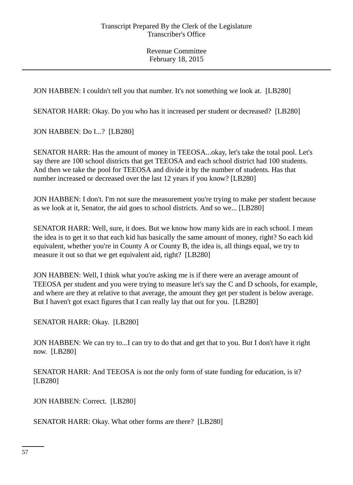JON HABBEN: I couldn't tell you that number. It's not something we look at. [LB280]

SENATOR HARR: Okay. Do you who has it increased per student or decreased? [LB280]

JON HABBEN: Do I...? [LB280]

SENATOR HARR: Has the amount of money in TEEOSA...okay, let's take the total pool. Let's say there are 100 school districts that get TEEOSA and each school district had 100 students. And then we take the pool for TEEOSA and divide it by the number of students. Has that number increased or decreased over the last 12 years if you know? [LB280]

JON HABBEN: I don't. I'm not sure the measurement you're trying to make per student because as we look at it, Senator, the aid goes to school districts. And so we... [LB280]

SENATOR HARR: Well, sure, it does. But we know how many kids are in each school. I mean the idea is to get it so that each kid has basically the same amount of money, right? So each kid equivalent, whether you're in County A or County B, the idea is, all things equal, we try to measure it out so that we get equivalent aid, right? [LB280]

JON HABBEN: Well, I think what you're asking me is if there were an average amount of TEEOSA per student and you were trying to measure let's say the C and D schools, for example, and where are they at relative to that average, the amount they get per student is below average. But I haven't got exact figures that I can really lay that out for you. [LB280]

SENATOR HARR: Okay. [LB280]

JON HABBEN: We can try to...I can try to do that and get that to you. But I don't have it right now. [LB280]

SENATOR HARR: And TEEOSA is not the only form of state funding for education, is it? [LB280]

JON HABBEN: Correct. [LB280]

SENATOR HARR: Okay. What other forms are there? [LB280]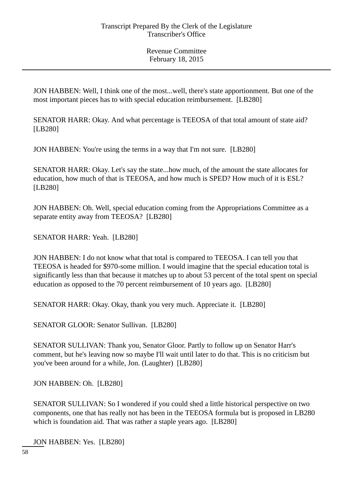JON HABBEN: Well, I think one of the most...well, there's state apportionment. But one of the most important pieces has to with special education reimbursement. [LB280]

SENATOR HARR: Okay. And what percentage is TEEOSA of that total amount of state aid? [LB280]

JON HABBEN: You're using the terms in a way that I'm not sure. [LB280]

SENATOR HARR: Okay. Let's say the state...how much, of the amount the state allocates for education, how much of that is TEEOSA, and how much is SPED? How much of it is ESL? [LB280]

JON HABBEN: Oh. Well, special education coming from the Appropriations Committee as a separate entity away from TEEOSA? [LB280]

SENATOR HARR: Yeah. [LB280]

JON HABBEN: I do not know what that total is compared to TEEOSA. I can tell you that TEEOSA is headed for \$970-some million. I would imagine that the special education total is significantly less than that because it matches up to about 53 percent of the total spent on special education as opposed to the 70 percent reimbursement of 10 years ago. [LB280]

SENATOR HARR: Okay. Okay, thank you very much. Appreciate it. [LB280]

SENATOR GLOOR: Senator Sullivan. [LB280]

SENATOR SULLIVAN: Thank you, Senator Gloor. Partly to follow up on Senator Harr's comment, but he's leaving now so maybe I'll wait until later to do that. This is no criticism but you've been around for a while, Jon. (Laughter) [LB280]

JON HABBEN: Oh. [LB280]

SENATOR SULLIVAN: So I wondered if you could shed a little historical perspective on two components, one that has really not has been in the TEEOSA formula but is proposed in LB280 which is foundation aid. That was rather a staple years ago. [LB280]

JON HABBEN: Yes. [LB280]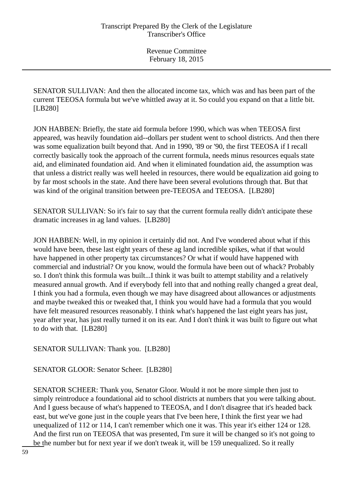SENATOR SULLIVAN: And then the allocated income tax, which was and has been part of the current TEEOSA formula but we've whittled away at it. So could you expand on that a little bit. [LB280]

JON HABBEN: Briefly, the state aid formula before 1990, which was when TEEOSA first appeared, was heavily foundation aid--dollars per student went to school districts. And then there was some equalization built beyond that. And in 1990, '89 or '90, the first TEEOSA if I recall correctly basically took the approach of the current formula, needs minus resources equals state aid, and eliminated foundation aid. And when it eliminated foundation aid, the assumption was that unless a district really was well heeled in resources, there would be equalization aid going to by far most schools in the state. And there have been several evolutions through that. But that was kind of the original transition between pre-TEEOSA and TEEOSA. [LB280]

SENATOR SULLIVAN: So it's fair to say that the current formula really didn't anticipate these dramatic increases in ag land values. [LB280]

JON HABBEN: Well, in my opinion it certainly did not. And I've wondered about what if this would have been, these last eight years of these ag land incredible spikes, what if that would have happened in other property tax circumstances? Or what if would have happened with commercial and industrial? Or you know, would the formula have been out of whack? Probably so. I don't think this formula was built...I think it was built to attempt stability and a relatively measured annual growth. And if everybody fell into that and nothing really changed a great deal, I think you had a formula, even though we may have disagreed about allowances or adjustments and maybe tweaked this or tweaked that, I think you would have had a formula that you would have felt measured resources reasonably. I think what's happened the last eight years has just, year after year, has just really turned it on its ear. And I don't think it was built to figure out what to do with that. [LB280]

SENATOR SULLIVAN: Thank you. [LB280]

SENATOR GLOOR: Senator Scheer. [LB280]

SENATOR SCHEER: Thank you, Senator Gloor. Would it not be more simple then just to simply reintroduce a foundational aid to school districts at numbers that you were talking about. And I guess because of what's happened to TEEOSA, and I don't disagree that it's headed back east, but we've gone just in the couple years that I've been here, I think the first year we had unequalized of 112 or 114, I can't remember which one it was. This year it's either 124 or 128. And the first run on TEEOSA that was presented, I'm sure it will be changed so it's not going to be the number but for next year if we don't tweak it, will be 159 unequalized. So it really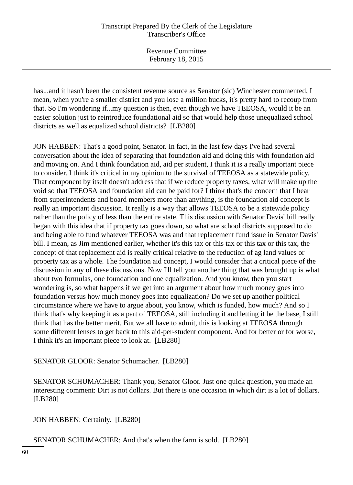# Transcript Prepared By the Clerk of the Legislature Transcriber's Office

Revenue Committee February 18, 2015

has...and it hasn't been the consistent revenue source as Senator (sic) Winchester commented, I mean, when you're a smaller district and you lose a million bucks, it's pretty hard to recoup from that. So I'm wondering if...my question is then, even though we have TEEOSA, would it be an easier solution just to reintroduce foundational aid so that would help those unequalized school districts as well as equalized school districts? [LB280]

JON HABBEN: That's a good point, Senator. In fact, in the last few days I've had several conversation about the idea of separating that foundation aid and doing this with foundation aid and moving on. And I think foundation aid, aid per student, I think it is a really important piece to consider. I think it's critical in my opinion to the survival of TEEOSA as a statewide policy. That component by itself doesn't address that if we reduce property taxes, what will make up the void so that TEEOSA and foundation aid can be paid for? I think that's the concern that I hear from superintendents and board members more than anything, is the foundation aid concept is really an important discussion. It really is a way that allows TEEOSA to be a statewide policy rather than the policy of less than the entire state. This discussion with Senator Davis' bill really began with this idea that if property tax goes down, so what are school districts supposed to do and being able to fund whatever TEEOSA was and that replacement fund issue in Senator Davis' bill. I mean, as Jim mentioned earlier, whether it's this tax or this tax or this tax or this tax, the concept of that replacement aid is really critical relative to the reduction of ag land values or property tax as a whole. The foundation aid concept, I would consider that a critical piece of the discussion in any of these discussions. Now I'll tell you another thing that was brought up is what about two formulas, one foundation and one equalization. And you know, then you start wondering is, so what happens if we get into an argument about how much money goes into foundation versus how much money goes into equalization? Do we set up another political circumstance where we have to argue about, you know, which is funded, how much? And so I think that's why keeping it as a part of TEEOSA, still including it and letting it be the base, I still think that has the better merit. But we all have to admit, this is looking at TEEOSA through some different lenses to get back to this aid-per-student component. And for better or for worse, I think it's an important piece to look at. [LB280]

SENATOR GLOOR: Senator Schumacher. [LB280]

SENATOR SCHUMACHER: Thank you, Senator Gloor. Just one quick question, you made an interesting comment: Dirt is not dollars. But there is one occasion in which dirt is a lot of dollars. [LB280]

JON HABBEN: Certainly. [LB280]

SENATOR SCHUMACHER: And that's when the farm is sold. [LB280]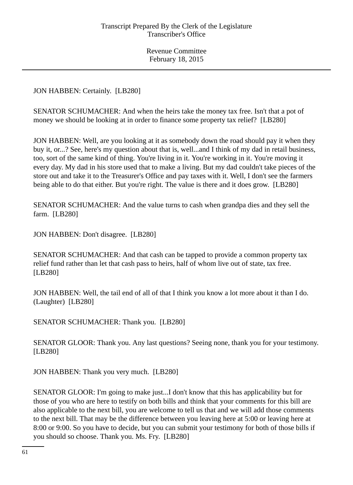JON HABBEN: Certainly. [LB280]

SENATOR SCHUMACHER: And when the heirs take the money tax free. Isn't that a pot of money we should be looking at in order to finance some property tax relief? [LB280]

JON HABBEN: Well, are you looking at it as somebody down the road should pay it when they buy it, or...? See, here's my question about that is, well...and I think of my dad in retail business, too, sort of the same kind of thing. You're living in it. You're working in it. You're moving it every day. My dad in his store used that to make a living. But my dad couldn't take pieces of the store out and take it to the Treasurer's Office and pay taxes with it. Well, I don't see the farmers being able to do that either. But you're right. The value is there and it does grow. [LB280]

SENATOR SCHUMACHER: And the value turns to cash when grandpa dies and they sell the farm. [LB280]

JON HABBEN: Don't disagree. [LB280]

SENATOR SCHUMACHER: And that cash can be tapped to provide a common property tax relief fund rather than let that cash pass to heirs, half of whom live out of state, tax free. [LB280]

JON HABBEN: Well, the tail end of all of that I think you know a lot more about it than I do. (Laughter) [LB280]

SENATOR SCHUMACHER: Thank you. [LB280]

SENATOR GLOOR: Thank you. Any last questions? Seeing none, thank you for your testimony. [LB280]

JON HABBEN: Thank you very much. [LB280]

SENATOR GLOOR: I'm going to make just...I don't know that this has applicability but for those of you who are here to testify on both bills and think that your comments for this bill are also applicable to the next bill, you are welcome to tell us that and we will add those comments to the next bill. That may be the difference between you leaving here at 5:00 or leaving here at 8:00 or 9:00. So you have to decide, but you can submit your testimony for both of those bills if you should so choose. Thank you. Ms. Fry. [LB280]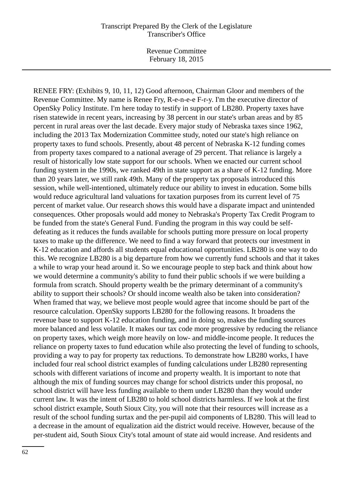RENEE FRY: (Exhibits 9, 10, 11, 12) Good afternoon, Chairman Gloor and members of the Revenue Committee. My name is Renee Fry, R-e-n-e-e F-r-y. I'm the executive director of OpenSky Policy Institute. I'm here today to testify in support of LB280. Property taxes have risen statewide in recent years, increasing by 38 percent in our state's urban areas and by 85 percent in rural areas over the last decade. Every major study of Nebraska taxes since 1962, including the 2013 Tax Modernization Committee study, noted our state's high reliance on property taxes to fund schools. Presently, about 48 percent of Nebraska K-12 funding comes from property taxes compared to a national average of 29 percent. That reliance is largely a result of historically low state support for our schools. When we enacted our current school funding system in the 1990s, we ranked 49th in state support as a share of K-12 funding. More than 20 years later, we still rank 49th. Many of the property tax proposals introduced this session, while well-intentioned, ultimately reduce our ability to invest in education. Some bills would reduce agricultural land valuations for taxation purposes from its current level of 75 percent of market value. Our research shows this would have a disparate impact and unintended consequences. Other proposals would add money to Nebraska's Property Tax Credit Program to be funded from the state's General Fund. Funding the program in this way could be selfdefeating as it reduces the funds available for schools putting more pressure on local property taxes to make up the difference. We need to find a way forward that protects our investment in K-12 education and affords all students equal educational opportunities. LB280 is one way to do this. We recognize LB280 is a big departure from how we currently fund schools and that it takes a while to wrap your head around it. So we encourage people to step back and think about how we would determine a community's ability to fund their public schools if we were building a formula from scratch. Should property wealth be the primary determinant of a community's ability to support their schools? Or should income wealth also be taken into consideration? When framed that way, we believe most people would agree that income should be part of the resource calculation. OpenSky supports LB280 for the following reasons. It broadens the revenue base to support K-12 education funding, and in doing so, makes the funding sources more balanced and less volatile. It makes our tax code more progressive by reducing the reliance on property taxes, which weigh more heavily on low- and middle-income people. It reduces the reliance on property taxes to fund education while also protecting the level of funding to schools, providing a way to pay for property tax reductions. To demonstrate how LB280 works, I have included four real school district examples of funding calculations under LB280 representing schools with different variations of income and property wealth. It is important to note that although the mix of funding sources may change for school districts under this proposal, no school district will have less funding available to them under LB280 than they would under current law. It was the intent of LB280 to hold school districts harmless. If we look at the first school district example, South Sioux City, you will note that their resources will increase as a result of the school funding surtax and the per-pupil aid components of LB280. This will lead to a decrease in the amount of equalization aid the district would receive. However, because of the per-student aid, South Sioux City's total amount of state aid would increase. And residents and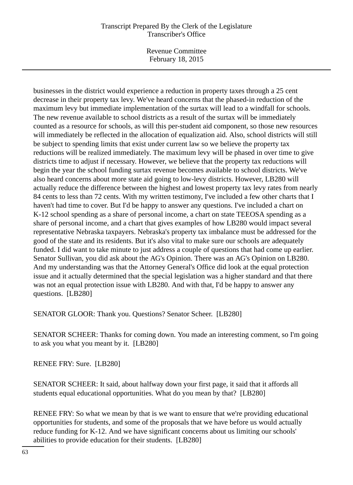# Transcript Prepared By the Clerk of the Legislature Transcriber's Office

Revenue Committee February 18, 2015

businesses in the district would experience a reduction in property taxes through a 25 cent decrease in their property tax levy. We've heard concerns that the phased-in reduction of the maximum levy but immediate implementation of the surtax will lead to a windfall for schools. The new revenue available to school districts as a result of the surtax will be immediately counted as a resource for schools, as will this per-student aid component, so those new resources will immediately be reflected in the allocation of equalization aid. Also, school districts will still be subject to spending limits that exist under current law so we believe the property tax reductions will be realized immediately. The maximum levy will be phased in over time to give districts time to adjust if necessary. However, we believe that the property tax reductions will begin the year the school funding surtax revenue becomes available to school districts. We've also heard concerns about more state aid going to low-levy districts. However, LB280 will actually reduce the difference between the highest and lowest property tax levy rates from nearly 84 cents to less than 72 cents. With my written testimony, I've included a few other charts that I haven't had time to cover. But I'd be happy to answer any questions. I've included a chart on K-12 school spending as a share of personal income, a chart on state TEEOSA spending as a share of personal income, and a chart that gives examples of how LB280 would impact several representative Nebraska taxpayers. Nebraska's property tax imbalance must be addressed for the good of the state and its residents. But it's also vital to make sure our schools are adequately funded. I did want to take minute to just address a couple of questions that had come up earlier. Senator Sullivan, you did ask about the AG's Opinion. There was an AG's Opinion on LB280. And my understanding was that the Attorney General's Office did look at the equal protection issue and it actually determined that the special legislation was a higher standard and that there was not an equal protection issue with LB280. And with that, I'd be happy to answer any questions. [LB280]

SENATOR GLOOR: Thank you. Questions? Senator Scheer. [LB280]

SENATOR SCHEER: Thanks for coming down. You made an interesting comment, so I'm going to ask you what you meant by it. [LB280]

RENEE FRY: Sure. [LB280]

SENATOR SCHEER: It said, about halfway down your first page, it said that it affords all students equal educational opportunities. What do you mean by that? [LB280]

RENEE FRY: So what we mean by that is we want to ensure that we're providing educational opportunities for students, and some of the proposals that we have before us would actually reduce funding for K-12. And we have significant concerns about us limiting our schools' abilities to provide education for their students. [LB280]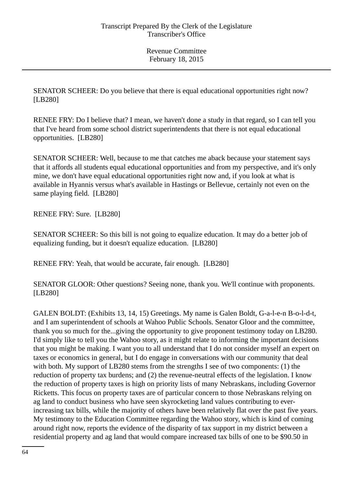SENATOR SCHEER: Do you believe that there is equal educational opportunities right now? [LB280]

RENEE FRY: Do I believe that? I mean, we haven't done a study in that regard, so I can tell you that I've heard from some school district superintendents that there is not equal educational opportunities. [LB280]

SENATOR SCHEER: Well, because to me that catches me aback because your statement says that it affords all students equal educational opportunities and from my perspective, and it's only mine, we don't have equal educational opportunities right now and, if you look at what is available in Hyannis versus what's available in Hastings or Bellevue, certainly not even on the same playing field. [LB280]

RENEE FRY: Sure. [LB280]

SENATOR SCHEER: So this bill is not going to equalize education. It may do a better job of equalizing funding, but it doesn't equalize education. [LB280]

RENEE FRY: Yeah, that would be accurate, fair enough. [LB280]

SENATOR GLOOR: Other questions? Seeing none, thank you. We'll continue with proponents. [LB280]

GALEN BOLDT: (Exhibits 13, 14, 15) Greetings. My name is Galen Boldt, G-a-l-e-n B-o-l-d-t, and I am superintendent of schools at Wahoo Public Schools. Senator Gloor and the committee, thank you so much for the...giving the opportunity to give proponent testimony today on LB280. I'd simply like to tell you the Wahoo story, as it might relate to informing the important decisions that you might be making. I want you to all understand that I do not consider myself an expert on taxes or economics in general, but I do engage in conversations with our community that deal with both. My support of LB280 stems from the strengths I see of two components: (1) the reduction of property tax burdens; and (2) the revenue-neutral effects of the legislation. I know the reduction of property taxes is high on priority lists of many Nebraskans, including Governor Ricketts. This focus on property taxes are of particular concern to those Nebraskans relying on ag land to conduct business who have seen skyrocketing land values contributing to everincreasing tax bills, while the majority of others have been relatively flat over the past five years. My testimony to the Education Committee regarding the Wahoo story, which is kind of coming around right now, reports the evidence of the disparity of tax support in my district between a residential property and ag land that would compare increased tax bills of one to be \$90.50 in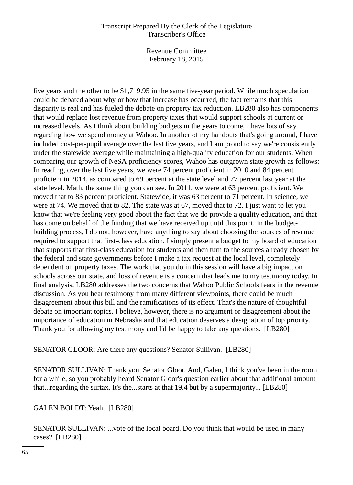## Transcript Prepared By the Clerk of the Legislature Transcriber's Office

Revenue Committee February 18, 2015

five years and the other to be \$1,719.95 in the same five-year period. While much speculation could be debated about why or how that increase has occurred, the fact remains that this disparity is real and has fueled the debate on property tax reduction. LB280 also has components that would replace lost revenue from property taxes that would support schools at current or increased levels. As I think about building budgets in the years to come, I have lots of say regarding how we spend money at Wahoo. In another of my handouts that's going around, I have included cost-per-pupil average over the last five years, and I am proud to say we're consistently under the statewide average while maintaining a high-quality education for our students. When comparing our growth of NeSA proficiency scores, Wahoo has outgrown state growth as follows: In reading, over the last five years, we were 74 percent proficient in 2010 and 84 percent proficient in 2014, as compared to 69 percent at the state level and 77 percent last year at the state level. Math, the same thing you can see. In 2011, we were at 63 percent proficient. We moved that to 83 percent proficient. Statewide, it was 63 percent to 71 percent. In science, we were at 74. We moved that to 82. The state was at 67, moved that to 72. I just want to let you know that we're feeling very good about the fact that we do provide a quality education, and that has come on behalf of the funding that we have received up until this point. In the budgetbuilding process, I do not, however, have anything to say about choosing the sources of revenue required to support that first-class education. I simply present a budget to my board of education that supports that first-class education for students and then turn to the sources already chosen by the federal and state governments before I make a tax request at the local level, completely dependent on property taxes. The work that you do in this session will have a big impact on schools across our state, and loss of revenue is a concern that leads me to my testimony today. In final analysis, LB280 addresses the two concerns that Wahoo Public Schools fears in the revenue discussion. As you hear testimony from many different viewpoints, there could be much disagreement about this bill and the ramifications of its effect. That's the nature of thoughtful debate on important topics. I believe, however, there is no argument or disagreement about the importance of education in Nebraska and that education deserves a designation of top priority. Thank you for allowing my testimony and I'd be happy to take any questions. [LB280]

SENATOR GLOOR: Are there any questions? Senator Sullivan. [LB280]

SENATOR SULLIVAN: Thank you, Senator Gloor. And, Galen, I think you've been in the room for a while, so you probably heard Senator Gloor's question earlier about that additional amount that...regarding the surtax. It's the...starts at that 19.4 but by a supermajority... [LB280]

GALEN BOLDT: Yeah. [LB280]

SENATOR SULLIVAN: ...vote of the local board. Do you think that would be used in many cases? [LB280]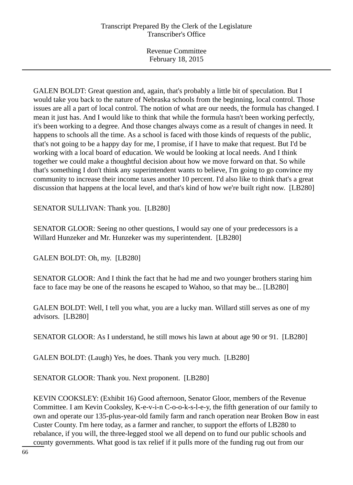GALEN BOLDT: Great question and, again, that's probably a little bit of speculation. But I would take you back to the nature of Nebraska schools from the beginning, local control. Those issues are all a part of local control. The notion of what are our needs, the formula has changed. I mean it just has. And I would like to think that while the formula hasn't been working perfectly, it's been working to a degree. And those changes always come as a result of changes in need. It happens to schools all the time. As a school is faced with those kinds of requests of the public, that's not going to be a happy day for me, I promise, if I have to make that request. But I'd be working with a local board of education. We would be looking at local needs. And I think together we could make a thoughtful decision about how we move forward on that. So while that's something I don't think any superintendent wants to believe, I'm going to go convince my community to increase their income taxes another 10 percent. I'd also like to think that's a great discussion that happens at the local level, and that's kind of how we're built right now. [LB280]

SENATOR SULLIVAN: Thank you. [LB280]

SENATOR GLOOR: Seeing no other questions, I would say one of your predecessors is a Willard Hunzeker and Mr. Hunzeker was my superintendent. [LB280]

GALEN BOLDT: Oh, my. [LB280]

SENATOR GLOOR: And I think the fact that he had me and two younger brothers staring him face to face may be one of the reasons he escaped to Wahoo, so that may be... [LB280]

GALEN BOLDT: Well, I tell you what, you are a lucky man. Willard still serves as one of my advisors. [LB280]

SENATOR GLOOR: As I understand, he still mows his lawn at about age 90 or 91. [LB280]

GALEN BOLDT: (Laugh) Yes, he does. Thank you very much. [LB280]

SENATOR GLOOR: Thank you. Next proponent. [LB280]

KEVIN COOKSLEY: (Exhibit 16) Good afternoon, Senator Gloor, members of the Revenue Committee. I am Kevin Cooksley, K-e-v-i-n C-o-o-k-s-l-e-y, the fifth generation of our family to own and operate our 135-plus-year-old family farm and ranch operation near Broken Bow in east Custer County. I'm here today, as a farmer and rancher, to support the efforts of LB280 to rebalance, if you will, the three-legged stool we all depend on to fund our public schools and county governments. What good is tax relief if it pulls more of the funding rug out from our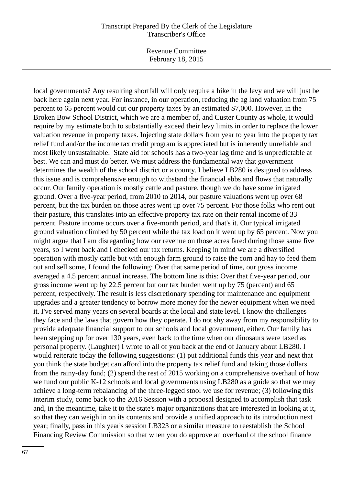#### Transcript Prepared By the Clerk of the Legislature Transcriber's Office

Revenue Committee February 18, 2015

local governments? Any resulting shortfall will only require a hike in the levy and we will just be back here again next year. For instance, in our operation, reducing the ag land valuation from 75 percent to 65 percent would cut our property taxes by an estimated \$7,000. However, in the Broken Bow School District, which we are a member of, and Custer County as whole, it would require by my estimate both to substantially exceed their levy limits in order to replace the lower valuation revenue in property taxes. Injecting state dollars from year to year into the property tax relief fund and/or the income tax credit program is appreciated but is inherently unreliable and most likely unsustainable. State aid for schools has a two-year lag time and is unpredictable at best. We can and must do better. We must address the fundamental way that government determines the wealth of the school district or a county. I believe LB280 is designed to address this issue and is comprehensive enough to withstand the financial ebbs and flows that naturally occur. Our family operation is mostly cattle and pasture, though we do have some irrigated ground. Over a five-year period, from 2010 to 2014, our pasture valuations went up over 68 percent, but the tax burden on those acres went up over 75 percent. For those folks who rent out their pasture, this translates into an effective property tax rate on their rental income of 33 percent. Pasture income occurs over a five-month period, and that's it. Our typical irrigated ground valuation climbed by 50 percent while the tax load on it went up by 65 percent. Now you might argue that I am disregarding how our revenue on those acres fared during those same five years, so I went back and I checked our tax returns. Keeping in mind we are a diversified operation with mostly cattle but with enough farm ground to raise the corn and hay to feed them out and sell some, I found the following: Over that same period of time, our gross income averaged a 4.5 percent annual increase. The bottom line is this: Over that five-year period, our gross income went up by 22.5 percent but our tax burden went up by 75 (percent) and 65 percent, respectively. The result is less discretionary spending for maintenance and equipment upgrades and a greater tendency to borrow more money for the newer equipment when we need it. I've served many years on several boards at the local and state level. I know the challenges they face and the laws that govern how they operate. I do not shy away from my responsibility to provide adequate financial support to our schools and local government, either. Our family has been stepping up for over 130 years, even back to the time when our dinosaurs were taxed as personal property. (Laughter) I wrote to all of you back at the end of January about LB280. I would reiterate today the following suggestions: (1) put additional funds this year and next that you think the state budget can afford into the property tax relief fund and taking those dollars from the rainy-day fund; (2) spend the rest of 2015 working on a comprehensive overhaul of how we fund our public K-12 schools and local governments using LB280 as a guide so that we may achieve a long-term rebalancing of the three-legged stool we use for revenue; (3) following this interim study, come back to the 2016 Session with a proposal designed to accomplish that task and, in the meantime, take it to the state's major organizations that are interested in looking at it, so that they can weigh in on its contents and provide a unified approach to its introduction next year; finally, pass in this year's session LB323 or a similar measure to reestablish the School Financing Review Commission so that when you do approve an overhaul of the school finance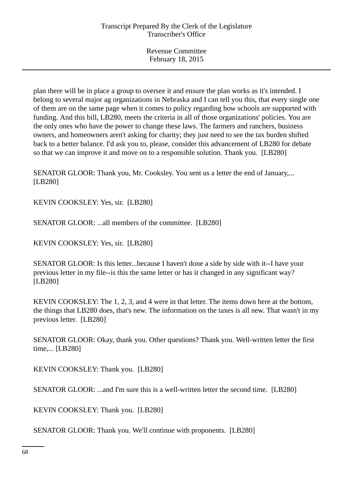plan there will be in place a group to oversee it and ensure the plan works as it's intended. I belong to several major ag organizations in Nebraska and I can tell you this, that every single one of them are on the same page when it comes to policy regarding how schools are supported with funding. And this bill, LB280, meets the criteria in all of those organizations' policies. You are the only ones who have the power to change these laws. The farmers and ranchers, business owners, and homeowners aren't asking for charity; they just need to see the tax burden shifted back to a better balance. I'd ask you to, please, consider this advancement of LB280 for debate so that we can improve it and move on to a responsible solution. Thank you. [LB280]

SENATOR GLOOR: Thank you, Mr. Cooksley. You sent us a letter the end of January,... [LB280]

KEVIN COOKSLEY: Yes, sir. [LB280]

SENATOR GLOOR: ...all members of the committee. [LB280]

KEVIN COOKSLEY: Yes, sir. [LB280]

SENATOR GLOOR: Is this letter...because I haven't done a side by side with it--I have your previous letter in my file--is this the same letter or has it changed in any significant way? [LB280]

KEVIN COOKSLEY: The 1, 2, 3, and 4 were in that letter. The items down here at the bottom, the things that LB280 does, that's new. The information on the taxes is all new. That wasn't in my previous letter. [LB280]

SENATOR GLOOR: Okay, thank you. Other questions? Thank you. Well-written letter the first time,... [LB280]

KEVIN COOKSLEY: Thank you. [LB280]

SENATOR GLOOR: ...and I'm sure this is a well-written letter the second time. [LB280]

KEVIN COOKSLEY: Thank you. [LB280]

SENATOR GLOOR: Thank you. We'll continue with proponents. [LB280]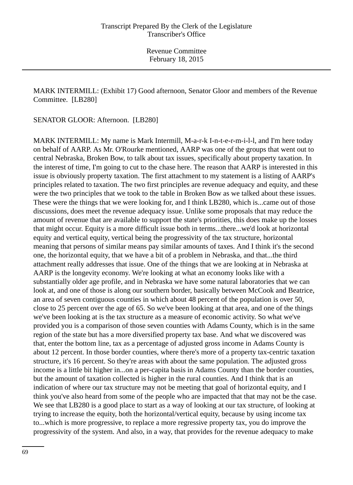MARK INTERMILL: (Exhibit 17) Good afternoon, Senator Gloor and members of the Revenue Committee. [LB280]

SENATOR GLOOR: Afternoon. [LB280]

MARK INTERMILL: My name is Mark Intermill, M-a-r-k I-n-t-e-r-m-i-l-l, and I'm here today on behalf of AARP. As Mr. O'Rourke mentioned, AARP was one of the groups that went out to central Nebraska, Broken Bow, to talk about tax issues, specifically about property taxation. In the interest of time, I'm going to cut to the chase here. The reason that AARP is interested in this issue is obviously property taxation. The first attachment to my statement is a listing of AARP's principles related to taxation. The two first principles are revenue adequacy and equity, and these were the two principles that we took to the table in Broken Bow as we talked about these issues. These were the things that we were looking for, and I think LB280, which is...came out of those discussions, does meet the revenue adequacy issue. Unlike some proposals that may reduce the amount of revenue that are available to support the state's priorities, this does make up the losses that might occur. Equity is a more difficult issue both in terms...there...we'd look at horizontal equity and vertical equity, vertical being the progressivity of the tax structure, horizontal meaning that persons of similar means pay similar amounts of taxes. And I think it's the second one, the horizontal equity, that we have a bit of a problem in Nebraska, and that...the third attachment really addresses that issue. One of the things that we are looking at in Nebraska at AARP is the longevity economy. We're looking at what an economy looks like with a substantially older age profile, and in Nebraska we have some natural laboratories that we can look at, and one of those is along our southern border, basically between McCook and Beatrice, an area of seven contiguous counties in which about 48 percent of the population is over 50, close to 25 percent over the age of 65. So we've been looking at that area, and one of the things we've been looking at is the tax structure as a measure of economic activity. So what we've provided you is a comparison of those seven counties with Adams County, which is in the same region of the state but has a more diversified property tax base. And what we discovered was that, enter the bottom line, tax as a percentage of adjusted gross income in Adams County is about 12 percent. In those border counties, where there's more of a property tax-centric taxation structure, it's 16 percent. So they're areas with about the same population. The adjusted gross income is a little bit higher in...on a per-capita basis in Adams County than the border counties, but the amount of taxation collected is higher in the rural counties. And I think that is an indication of where our tax structure may not be meeting that goal of horizontal equity, and I think you've also heard from some of the people who are impacted that that may not be the case. We see that LB280 is a good place to start as a way of looking at our tax structure, of looking at trying to increase the equity, both the horizontal/vertical equity, because by using income tax to...which is more progressive, to replace a more regressive property tax, you do improve the progressivity of the system. And also, in a way, that provides for the revenue adequacy to make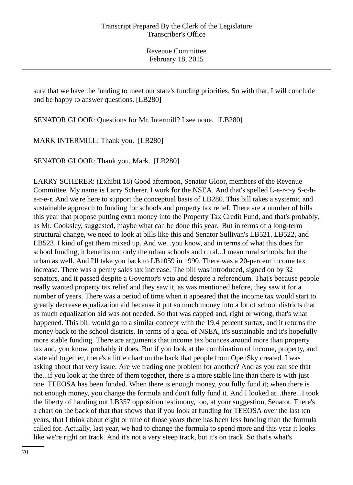sure that we have the funding to meet our state's funding priorities. So with that, I will conclude and be happy to answer questions. [LB280]

SENATOR GLOOR: Questions for Mr. Intermill? I see none. [LB280]

MARK INTERMILL: Thank you. [LB280]

SENATOR GLOOR: Thank you, Mark. [LB280]

LARRY SCHERER: (Exhibit 18) Good afternoon, Senator Gloor, members of the Revenue Committee. My name is Larry Scherer. I work for the NSEA. And that's spelled L-a-r-r-y S-c-he-r-e-r. And we're here to support the conceptual basis of LB280. This bill takes a systemic and sustainable approach to funding for schools and property tax relief. There are a number of bills this year that propose putting extra money into the Property Tax Credit Fund, and that's probably, as Mr. Cooksley, suggested, maybe what can be done this year. But in terms of a long-term structural change, we need to look at bills like this and Senator Sullivan's LB521, LB522, and LB523. I kind of get them mixed up. And we...you know, and in terms of what this does for school funding, it benefits not only the urban schools and rural...I mean rural schools, but the urban as well. And I'll take you back to LB1059 in 1990. There was a 20-percent income tax increase. There was a penny sales tax increase. The bill was introduced, signed on by 32 senators, and it passed despite a Governor's veto and despite a referendum. That's because people really wanted property tax relief and they saw it, as was mentioned before, they saw it for a number of years. There was a period of time when it appeared that the income tax would start to greatly decrease equalization aid because it put so much money into a lot of school districts that as much equalization aid was not needed. So that was capped and, right or wrong, that's what happened. This bill would go to a similar concept with the 19.4 percent surtax, and it returns the money back to the school districts. In terms of a goal of NSEA, it's sustainable and it's hopefully more stable funding. There are arguments that income tax bounces around more than property tax and, you know, probably it does. But if you look at the combination of income, property, and state aid together, there's a little chart on the back that people from OpenSky created. I was asking about that very issue: Are we trading one problem for another? And as you can see that the...if you look at the three of them together, there is a more stable line than there is with just one. TEEOSA has been funded. When there is enough money, you fully fund it; when there is not enough money, you change the formula and don't fully fund it. And I looked at...there...I took the liberty of handing out LB357 opposition testimony, too, at your suggestion, Senator. There's a chart on the back of that that shows that if you look at funding for TEEOSA over the last ten years, that I think about eight or nine of those years there has been less funding than the formula called for. Actually, last year, we had to change the formula to spend more and this year it looks like we're right on track. And it's not a very steep track, but it's on track. So that's what's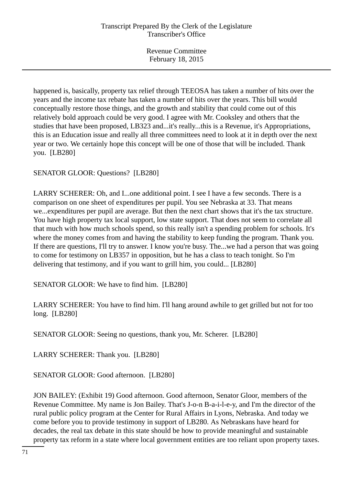happened is, basically, property tax relief through TEEOSA has taken a number of hits over the years and the income tax rebate has taken a number of hits over the years. This bill would conceptually restore those things, and the growth and stability that could come out of this relatively bold approach could be very good. I agree with Mr. Cooksley and others that the studies that have been proposed, LB323 and...it's really...this is a Revenue, it's Appropriations, this is an Education issue and really all three committees need to look at it in depth over the next year or two. We certainly hope this concept will be one of those that will be included. Thank you. [LB280]

SENATOR GLOOR: Questions? [LB280]

LARRY SCHERER: Oh, and I...one additional point. I see I have a few seconds. There is a comparison on one sheet of expenditures per pupil. You see Nebraska at 33. That means we...expenditures per pupil are average. But then the next chart shows that it's the tax structure. You have high property tax local support, low state support. That does not seem to correlate all that much with how much schools spend, so this really isn't a spending problem for schools. It's where the money comes from and having the stability to keep funding the program. Thank you. If there are questions, I'll try to answer. I know you're busy. The...we had a person that was going to come for testimony on LB357 in opposition, but he has a class to teach tonight. So I'm delivering that testimony, and if you want to grill him, you could... [LB280]

SENATOR GLOOR: We have to find him. [LB280]

LARRY SCHERER: You have to find him. I'll hang around awhile to get grilled but not for too long. [LB280]

SENATOR GLOOR: Seeing no questions, thank you, Mr. Scherer. [LB280]

LARRY SCHERER: Thank you. [LB280]

SENATOR GLOOR: Good afternoon. [LB280]

JON BAILEY: (Exhibit 19) Good afternoon. Good afternoon, Senator Gloor, members of the Revenue Committee. My name is Jon Bailey. That's J-o-n B-a-i-l-e-y, and I'm the director of the rural public policy program at the Center for Rural Affairs in Lyons, Nebraska. And today we come before you to provide testimony in support of LB280. As Nebraskans have heard for decades, the real tax debate in this state should be how to provide meaningful and sustainable property tax reform in a state where local government entities are too reliant upon property taxes.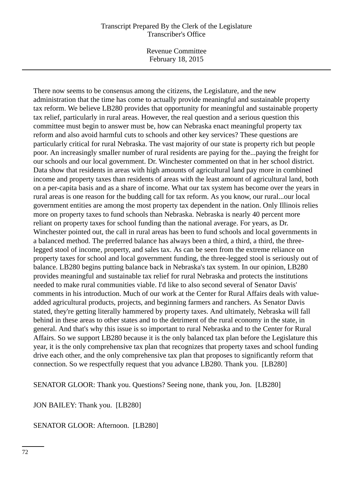### Transcript Prepared By the Clerk of the Legislature Transcriber's Office

Revenue Committee February 18, 2015

There now seems to be consensus among the citizens, the Legislature, and the new administration that the time has come to actually provide meaningful and sustainable property tax reform. We believe LB280 provides that opportunity for meaningful and sustainable property tax relief, particularly in rural areas. However, the real question and a serious question this committee must begin to answer must be, how can Nebraska enact meaningful property tax reform and also avoid harmful cuts to schools and other key services? These questions are particularly critical for rural Nebraska. The vast majority of our state is property rich but people poor. An increasingly smaller number of rural residents are paying for the...paying the freight for our schools and our local government. Dr. Winchester commented on that in her school district. Data show that residents in areas with high amounts of agricultural land pay more in combined income and property taxes than residents of areas with the least amount of agricultural land, both on a per-capita basis and as a share of income. What our tax system has become over the years in rural areas is one reason for the budding call for tax reform. As you know, our rural...our local government entities are among the most property tax dependent in the nation. Only Illinois relies more on property taxes to fund schools than Nebraska. Nebraska is nearly 40 percent more reliant on property taxes for school funding than the national average. For years, as Dr. Winchester pointed out, the call in rural areas has been to fund schools and local governments in a balanced method. The preferred balance has always been a third, a third, a third, the threelegged stool of income, property, and sales tax. As can be seen from the extreme reliance on property taxes for school and local government funding, the three-legged stool is seriously out of balance. LB280 begins putting balance back in Nebraska's tax system. In our opinion, LB280 provides meaningful and sustainable tax relief for rural Nebraska and protects the institutions needed to make rural communities viable. I'd like to also second several of Senator Davis' comments in his introduction. Much of our work at the Center for Rural Affairs deals with valueadded agricultural products, projects, and beginning farmers and ranchers. As Senator Davis stated, they're getting literally hammered by property taxes. And ultimately, Nebraska will fall behind in these areas to other states and to the detriment of the rural economy in the state, in general. And that's why this issue is so important to rural Nebraska and to the Center for Rural Affairs. So we support LB280 because it is the only balanced tax plan before the Legislature this year, it is the only comprehensive tax plan that recognizes that property taxes and school funding drive each other, and the only comprehensive tax plan that proposes to significantly reform that connection. So we respectfully request that you advance LB280. Thank you. [LB280]

SENATOR GLOOR: Thank you. Questions? Seeing none, thank you, Jon. [LB280]

JON BAILEY: Thank you. [LB280]

SENATOR GLOOR: Afternoon. [LB280]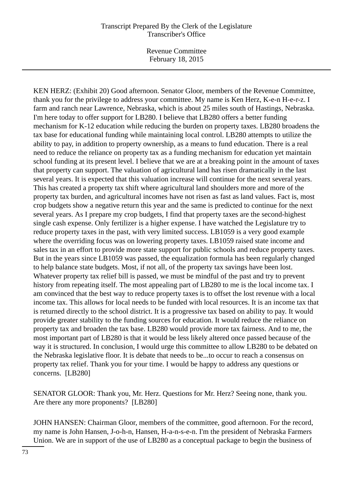Revenue Committee February 18, 2015

KEN HERZ: (Exhibit 20) Good afternoon. Senator Gloor, members of the Revenue Committee, thank you for the privilege to address your committee. My name is Ken Herz, K-e-n H-e-r-z. I farm and ranch near Lawrence, Nebraska, which is about 25 miles south of Hastings, Nebraska. I'm here today to offer support for LB280. I believe that LB280 offers a better funding mechanism for K-12 education while reducing the burden on property taxes. LB280 broadens the tax base for educational funding while maintaining local control. LB280 attempts to utilize the ability to pay, in addition to property ownership, as a means to fund education. There is a real need to reduce the reliance on property tax as a funding mechanism for education yet maintain school funding at its present level. I believe that we are at a breaking point in the amount of taxes that property can support. The valuation of agricultural land has risen dramatically in the last several years. It is expected that this valuation increase will continue for the next several years. This has created a property tax shift where agricultural land shoulders more and more of the property tax burden, and agricultural incomes have not risen as fast as land values. Fact is, most crop budgets show a negative return this year and the same is predicted to continue for the next several years. As I prepare my crop budgets, I find that property taxes are the second-highest single cash expense. Only fertilizer is a higher expense. I have watched the Legislature try to reduce property taxes in the past, with very limited success. LB1059 is a very good example where the overriding focus was on lowering property taxes. LB1059 raised state income and sales tax in an effort to provide more state support for public schools and reduce property taxes. But in the years since LB1059 was passed, the equalization formula has been regularly changed to help balance state budgets. Most, if not all, of the property tax savings have been lost. Whatever property tax relief bill is passed, we must be mindful of the past and try to prevent history from repeating itself. The most appealing part of LB280 to me is the local income tax. I am convinced that the best way to reduce property taxes is to offset the lost revenue with a local income tax. This allows for local needs to be funded with local resources. It is an income tax that is returned directly to the school district. It is a progressive tax based on ability to pay. It would provide greater stability to the funding sources for education. It would reduce the reliance on property tax and broaden the tax base. LB280 would provide more tax fairness. And to me, the most important part of LB280 is that it would be less likely altered once passed because of the way it is structured. In conclusion, I would urge this committee to allow LB280 to be debated on the Nebraska legislative floor. It is debate that needs to be...to occur to reach a consensus on property tax relief. Thank you for your time. I would be happy to address any questions or concerns. [LB280]

SENATOR GLOOR: Thank you, Mr. Herz. Questions for Mr. Herz? Seeing none, thank you. Are there any more proponents? [LB280]

JOHN HANSEN: Chairman Gloor, members of the committee, good afternoon. For the record, my name is John Hansen, J-o-h-n, Hansen, H-a-n-s-e-n. I'm the president of Nebraska Farmers Union. We are in support of the use of LB280 as a conceptual package to begin the business of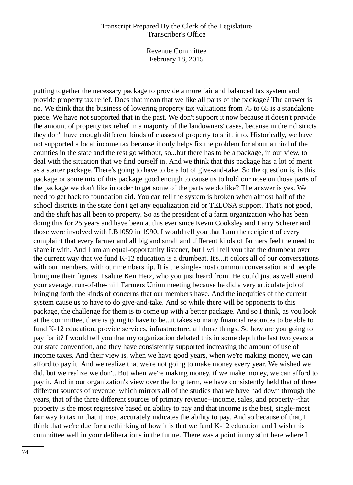Revenue Committee February 18, 2015

putting together the necessary package to provide a more fair and balanced tax system and provide property tax relief. Does that mean that we like all parts of the package? The answer is no. We think that the business of lowering property tax valuations from 75 to 65 is a standalone piece. We have not supported that in the past. We don't support it now because it doesn't provide the amount of property tax relief in a majority of the landowners' cases, because in their districts they don't have enough different kinds of classes of property to shift it to. Historically, we have not supported a local income tax because it only helps fix the problem for about a third of the counties in the state and the rest go without, so...but there has to be a package, in our view, to deal with the situation that we find ourself in. And we think that this package has a lot of merit as a starter package. There's going to have to be a lot of give-and-take. So the question is, is this package or some mix of this package good enough to cause us to hold our nose on those parts of the package we don't like in order to get some of the parts we do like? The answer is yes. We need to get back to foundation aid. You can tell the system is broken when almost half of the school districts in the state don't get any equalization aid or TEEOSA support. That's not good, and the shift has all been to property. So as the president of a farm organization who has been doing this for 25 years and have been at this ever since Kevin Cooksley and Larry Scherer and those were involved with LB1059 in 1990, I would tell you that I am the recipient of every complaint that every farmer and all big and small and different kinds of farmers feel the need to share it with. And I am an equal-opportunity listener, but I will tell you that the drumbeat over the current way that we fund K-12 education is a drumbeat. It's...it colors all of our conversations with our members, with our membership. It is the single-most common conversation and people bring me their figures. I salute Ken Herz, who you just heard from. He could just as well attend your average, run-of-the-mill Farmers Union meeting because he did a very articulate job of bringing forth the kinds of concerns that our members have. And the inequities of the current system cause us to have to do give-and-take. And so while there will be opponents to this package, the challenge for them is to come up with a better package. And so I think, as you look at the committee, there is going to have to be...it takes so many financial resources to be able to fund K-12 education, provide services, infrastructure, all those things. So how are you going to pay for it? I would tell you that my organization debated this in some depth the last two years at our state convention, and they have consistently supported increasing the amount of use of income taxes. And their view is, when we have good years, when we're making money, we can afford to pay it. And we realize that we're not going to make money every year. We wished we did, but we realize we don't. But when we're making money, if we make money, we can afford to pay it. And in our organization's view over the long term, we have consistently held that of three different sources of revenue, which mirrors all of the studies that we have had down through the years, that of the three different sources of primary revenue--income, sales, and property--that property is the most regressive based on ability to pay and that income is the best, single-most fair way to tax in that it most accurately indicates the ability to pay. And so because of that, I think that we're due for a rethinking of how it is that we fund K-12 education and I wish this committee well in your deliberations in the future. There was a point in my stint here where I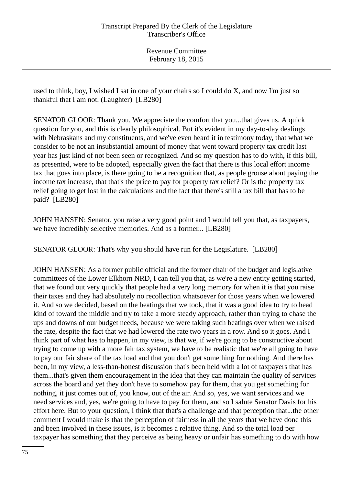used to think, boy, I wished I sat in one of your chairs so I could do X, and now I'm just so thankful that I am not. (Laughter) [LB280]

SENATOR GLOOR: Thank you. We appreciate the comfort that you...that gives us. A quick question for you, and this is clearly philosophical. But it's evident in my day-to-day dealings with Nebraskans and my constituents, and we've even heard it in testimony today, that what we consider to be not an insubstantial amount of money that went toward property tax credit last year has just kind of not been seen or recognized. And so my question has to do with, if this bill, as presented, were to be adopted, especially given the fact that there is this local effort income tax that goes into place, is there going to be a recognition that, as people grouse about paying the income tax increase, that that's the price to pay for property tax relief? Or is the property tax relief going to get lost in the calculations and the fact that there's still a tax bill that has to be paid? [LB280]

JOHN HANSEN: Senator, you raise a very good point and I would tell you that, as taxpayers, we have incredibly selective memories. And as a former... [LB280]

SENATOR GLOOR: That's why you should have run for the Legislature. [LB280]

JOHN HANSEN: As a former public official and the former chair of the budget and legislative committees of the Lower Elkhorn NRD, I can tell you that, as we're a new entity getting started, that we found out very quickly that people had a very long memory for when it is that you raise their taxes and they had absolutely no recollection whatsoever for those years when we lowered it. And so we decided, based on the beatings that we took, that it was a good idea to try to head kind of toward the middle and try to take a more steady approach, rather than trying to chase the ups and downs of our budget needs, because we were taking such beatings over when we raised the rate, despite the fact that we had lowered the rate two years in a row. And so it goes. And I think part of what has to happen, in my view, is that we, if we're going to be constructive about trying to come up with a more fair tax system, we have to be realistic that we're all going to have to pay our fair share of the tax load and that you don't get something for nothing. And there has been, in my view, a less-than-honest discussion that's been held with a lot of taxpayers that has them...that's given them encouragement in the idea that they can maintain the quality of services across the board and yet they don't have to somehow pay for them, that you get something for nothing, it just comes out of, you know, out of the air. And so, yes, we want services and we need services and, yes, we're going to have to pay for them, and so I salute Senator Davis for his effort here. But to your question, I think that that's a challenge and that perception that...the other comment I would make is that the perception of fairness in all the years that we have done this and been involved in these issues, is it becomes a relative thing. And so the total load per taxpayer has something that they perceive as being heavy or unfair has something to do with how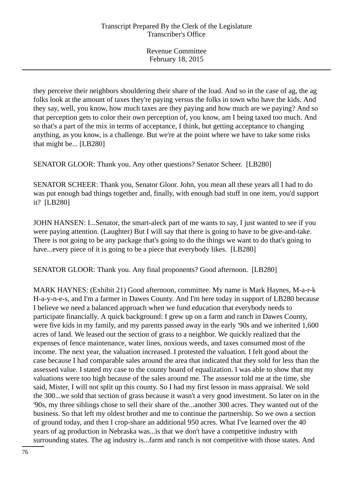they perceive their neighbors shouldering their share of the load. And so in the case of ag, the ag folks look at the amount of taxes they're paying versus the folks in town who have the kids. And they say, well, you know, how much taxes are they paying and how much are we paying? And so that perception gets to color their own perception of, you know, am I being taxed too much. And so that's a part of the mix in terms of acceptance, I think, but getting acceptance to changing anything, as you know, is a challenge. But we're at the point where we have to take some risks that might be... [LB280]

SENATOR GLOOR: Thank you. Any other questions? Senator Scheer. [LB280]

SENATOR SCHEER: Thank you, Senator Gloor. John, you mean all these years all I had to do was put enough bad things together and, finally, with enough bad stuff in one item, you'd support it? [LB280]

JOHN HANSEN: I...Senator, the smart-aleck part of me wants to say, I just wanted to see if you were paying attention. (Laughter) But I will say that there is going to have to be give-and-take. There is not going to be any package that's going to do the things we want to do that's going to have...every piece of it is going to be a piece that everybody likes. [LB280]

SENATOR GLOOR: Thank you. Any final proponents? Good afternoon. [LB280]

MARK HAYNES: (Exhibit 21) Good afternoon, committee. My name is Mark Haynes, M-a-r-k H-a-y-n-e-s, and I'm a farmer in Dawes County. And I'm here today in support of LB280 because I believe we need a balanced approach when we fund education that everybody needs to participate financially. A quick background: I grew up on a farm and ranch in Dawes County, were five kids in my family, and my parents passed away in the early '90s and we inherited 1,600 acres of land. We leased out the section of grass to a neighbor. We quickly realized that the expenses of fence maintenance, water lines, noxious weeds, and taxes consumed most of the income. The next year, the valuation increased. I protested the valuation. I felt good about the case because I had comparable sales around the area that indicated that they sold for less than the assessed value. I stated my case to the county board of equalization. I was able to show that my valuations were too high because of the sales around me. The assessor told me at the time, she said, Mister, I will not split up this county. So I had my first lesson in mass appraisal. We sold the 300...we sold that section of grass because it wasn't a very good investment. So later on in the '90s, my three siblings chose to sell their share of the...another 300 acres. They wanted out of the business. So that left my oldest brother and me to continue the partnership. So we own a section of ground today, and then I crop-share an additional 950 acres. What I've learned over the 40 years of ag production in Nebraska was...is that we don't have a competitive industry with surrounding states. The ag industry is...farm and ranch is not competitive with those states. And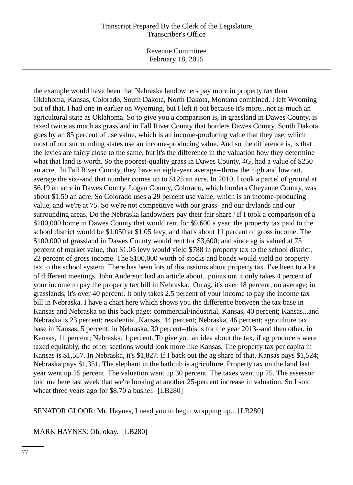Revenue Committee February 18, 2015

the example would have been that Nebraska landowners pay more in property tax than Oklahoma, Kansas, Colorado, South Dakota, North Dakota, Montana combined. I left Wyoming out of that. I had one in earlier on Wyoming, but I left it out because it's more...not as much an agricultural state as Oklahoma. So to give you a comparison is, in grassland in Dawes County, is taxed twice as much as grassland in Fall River County that borders Dawes County. South Dakota goes by an 85 percent of use value, which is an income-producing value that they use, which most of our surrounding states use an income-producing value. And so the difference is, is that the levies are fairly close to the same, but it's the difference in the valuation how they determine what that land is worth. So the poorest-quality grass in Dawes County, 4G, had a value of \$250 an acre. In Fall River County, they have an eight-year average--throw the high and low out, average the six--and that number comes up to \$125 an acre. In 2010, I took a parcel of ground at \$6.19 an acre in Dawes County. Logan County, Colorado, which borders Cheyenne County, was about \$1.50 an acre. So Colorado uses a 29 percent use value, which is an income-producing value, and we're at 75. So we're not competitive with our grass- and our drylands and our surrounding areas. Do the Nebraska landowners pay their fair share? If I took a comparison of a \$100,000 home in Dawes County that would rent for \$9,600 a year, the property tax paid to the school district would be \$1,050 at \$1.05 levy, and that's about 11 percent of gross income. The \$100,000 of grassland in Dawes County would rent for \$3,600; and since ag is valued at 75 percent of market value, that \$1.05 levy would yield \$788 in property tax to the school district, 22 percent of gross income. The \$100,000 worth of stocks and bonds would yield no property tax to the school system. There has been lots of discussions about property tax. I've been to a lot of different meetings. John Anderson had an article about...points out it only takes 4 percent of your income to pay the property tax bill in Nebraska. On ag, it's over 18 percent, on average; in grasslands, it's over 40 percent. It only takes 2.5 percent of your income to pay the income tax bill in Nebraska. I have a chart here which shows you the difference between the tax base in Kansas and Nebraska on this back page: commercial/industrial, Kansas, 40 percent; Kansas...and Nebraska is 23 percent; residential, Kansas, 44 percent; Nebraska, 46 percent; agriculture tax base in Kansas, 5 percent; in Nebraska, 30 percent--this is for the year 2013--and then other, in Kansas, 11 percent; Nebraska, 1 percent. To give you an idea about the tax, if ag producers were taxed equitably, the other sections would look more like Kansas. The property tax per capita in Kansas is \$1,557. In Nebraska, it's \$1,827. If I back out the ag share of that, Kansas pays \$1,524; Nebraska pays \$1,351. The elephant in the bathtub is agriculture. Property tax on the land last year went up 25 percent. The valuation went up 30 percent. The taxes went up 25. The assessor told me here last week that we're looking at another 25-percent increase in valuation. So I sold wheat three years ago for \$8.70 a bushel. [LB280]

SENATOR GLOOR: Mr. Haynes, I need you to begin wrapping up... [LB280]

MARK HAYNES: Oh, okay. [LB280]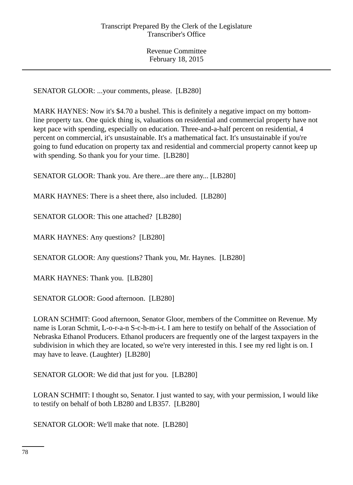SENATOR GLOOR: ...your comments, please. [LB280]

MARK HAYNES: Now it's \$4.70 a bushel. This is definitely a negative impact on my bottomline property tax. One quick thing is, valuations on residential and commercial property have not kept pace with spending, especially on education. Three-and-a-half percent on residential, 4 percent on commercial, it's unsustainable. It's a mathematical fact. It's unsustainable if you're going to fund education on property tax and residential and commercial property cannot keep up with spending. So thank you for your time. [LB280]

SENATOR GLOOR: Thank you. Are there...are there any... [LB280]

MARK HAYNES: There is a sheet there, also included. [LB280]

SENATOR GLOOR: This one attached? [LB280]

MARK HAYNES: Any questions? [LB280]

SENATOR GLOOR: Any questions? Thank you, Mr. Haynes. [LB280]

MARK HAYNES: Thank you. [LB280]

SENATOR GLOOR: Good afternoon. [LB280]

LORAN SCHMIT: Good afternoon, Senator Gloor, members of the Committee on Revenue. My name is Loran Schmit, L-o-r-a-n S-c-h-m-i-t. I am here to testify on behalf of the Association of Nebraska Ethanol Producers. Ethanol producers are frequently one of the largest taxpayers in the subdivision in which they are located, so we're very interested in this. I see my red light is on. I may have to leave. (Laughter) [LB280]

SENATOR GLOOR: We did that just for you. [LB280]

LORAN SCHMIT: I thought so, Senator. I just wanted to say, with your permission, I would like to testify on behalf of both LB280 and LB357. [LB280]

SENATOR GLOOR: We'll make that note. [LB280]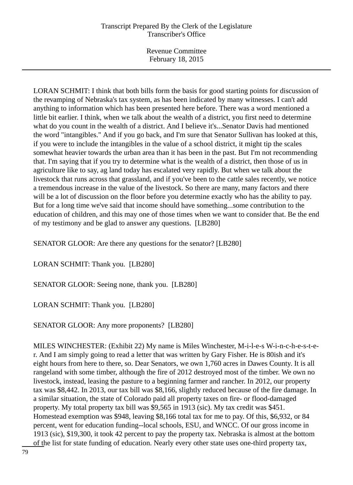Revenue Committee February 18, 2015

LORAN SCHMIT: I think that both bills form the basis for good starting points for discussion of the revamping of Nebraska's tax system, as has been indicated by many witnesses. I can't add anything to information which has been presented here before. There was a word mentioned a little bit earlier. I think, when we talk about the wealth of a district, you first need to determine what do you count in the wealth of a district. And I believe it's...Senator Davis had mentioned the word "intangibles." And if you go back, and I'm sure that Senator Sullivan has looked at this, if you were to include the intangibles in the value of a school district, it might tip the scales somewhat heavier towards the urban area than it has been in the past. But I'm not recommending that. I'm saying that if you try to determine what is the wealth of a district, then those of us in agriculture like to say, ag land today has escalated very rapidly. But when we talk about the livestock that runs across that grassland, and if you've been to the cattle sales recently, we notice a tremendous increase in the value of the livestock. So there are many, many factors and there will be a lot of discussion on the floor before you determine exactly who has the ability to pay. But for a long time we've said that income should have something...some contribution to the education of children, and this may one of those times when we want to consider that. Be the end of my testimony and be glad to answer any questions. [LB280]

SENATOR GLOOR: Are there any questions for the senator? [LB280]

LORAN SCHMIT: Thank you. [LB280]

SENATOR GLOOR: Seeing none, thank you. [LB280]

LORAN SCHMIT: Thank you. [LB280]

SENATOR GLOOR: Any more proponents? [LB280]

MILES WINCHESTER: (Exhibit 22) My name is Miles Winchester, M-i-l-e-s W-i-n-c-h-e-s-t-er. And I am simply going to read a letter that was written by Gary Fisher. He is 80ish and it's eight hours from here to there, so. Dear Senators, we own 1,760 acres in Dawes County. It is all rangeland with some timber, although the fire of 2012 destroyed most of the timber. We own no livestock, instead, leasing the pasture to a beginning farmer and rancher. In 2012, our property tax was \$8,442. In 2013, our tax bill was \$8,166, slightly reduced because of the fire damage. In a similar situation, the state of Colorado paid all property taxes on fire- or flood-damaged property. My total property tax bill was \$9,565 in 1913 (sic). My tax credit was \$451. Homestead exemption was \$948, leaving \$8,166 total tax for me to pay. Of this, \$6,932, or 84 percent, went for education funding--local schools, ESU, and WNCC. Of our gross income in 1913 (sic), \$19,300, it took 42 percent to pay the property tax. Nebraska is almost at the bottom of the list for state funding of education. Nearly every other state uses one-third property tax,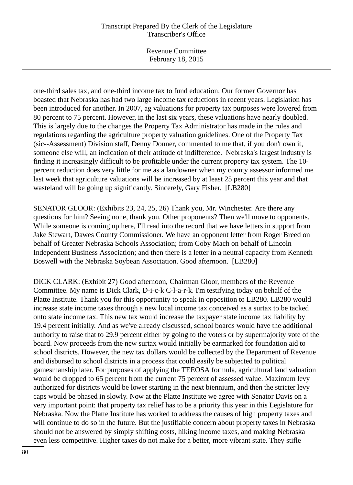Revenue Committee February 18, 2015

one-third sales tax, and one-third income tax to fund education. Our former Governor has boasted that Nebraska has had two large income tax reductions in recent years. Legislation has been introduced for another. In 2007, ag valuations for property tax purposes were lowered from 80 percent to 75 percent. However, in the last six years, these valuations have nearly doubled. This is largely due to the changes the Property Tax Administrator has made in the rules and regulations regarding the agriculture property valuation guidelines. One of the Property Tax (sic--Assessment) Division staff, Denny Donner, commented to me that, if you don't own it, someone else will, an indication of their attitude of indifference. Nebraska's largest industry is finding it increasingly difficult to be profitable under the current property tax system. The 10 percent reduction does very little for me as a landowner when my county assessor informed me last week that agriculture valuations will be increased by at least 25 percent this year and that wasteland will be going up significantly. Sincerely, Gary Fisher. [LB280]

SENATOR GLOOR: (Exhibits 23, 24, 25, 26) Thank you, Mr. Winchester. Are there any questions for him? Seeing none, thank you. Other proponents? Then we'll move to opponents. While someone is coming up here, I'll read into the record that we have letters in support from Jake Stewart, Dawes County Commissioner. We have an opponent letter from Roger Breed on behalf of Greater Nebraska Schools Association; from Coby Mach on behalf of Lincoln Independent Business Association; and then there is a letter in a neutral capacity from Kenneth Boswell with the Nebraska Soybean Association. Good afternoon. [LB280]

DICK CLARK: (Exhibit 27) Good afternoon, Chairman Gloor, members of the Revenue Committee. My name is Dick Clark, D-i-c-k C-l-a-r-k. I'm testifying today on behalf of the Platte Institute. Thank you for this opportunity to speak in opposition to LB280. LB280 would increase state income taxes through a new local income tax conceived as a surtax to be tacked onto state income tax. This new tax would increase the taxpayer state income tax liability by 19.4 percent initially. And as we've already discussed, school boards would have the additional authority to raise that to 29.9 percent either by going to the voters or by supermajority vote of the board. Now proceeds from the new surtax would initially be earmarked for foundation aid to school districts. However, the new tax dollars would be collected by the Department of Revenue and disbursed to school districts in a process that could easily be subjected to political gamesmanship later. For purposes of applying the TEEOSA formula, agricultural land valuation would be dropped to 65 percent from the current 75 percent of assessed value. Maximum levy authorized for districts would be lower starting in the next biennium, and then the stricter levy caps would be phased in slowly. Now at the Platte Institute we agree with Senator Davis on a very important point: that property tax relief has to be a priority this year in this Legislature for Nebraska. Now the Platte Institute has worked to address the causes of high property taxes and will continue to do so in the future. But the justifiable concern about property taxes in Nebraska should not be answered by simply shifting costs, hiking income taxes, and making Nebraska even less competitive. Higher taxes do not make for a better, more vibrant state. They stifle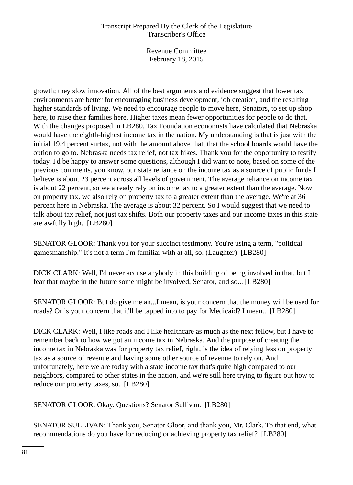Revenue Committee February 18, 2015

growth; they slow innovation. All of the best arguments and evidence suggest that lower tax environments are better for encouraging business development, job creation, and the resulting higher standards of living. We need to encourage people to move here, Senators, to set up shop here, to raise their families here. Higher taxes mean fewer opportunities for people to do that. With the changes proposed in LB280, Tax Foundation economists have calculated that Nebraska would have the eighth-highest income tax in the nation. My understanding is that is just with the initial 19.4 percent surtax, not with the amount above that, that the school boards would have the option to go to. Nebraska needs tax relief, not tax hikes. Thank you for the opportunity to testify today. I'd be happy to answer some questions, although I did want to note, based on some of the previous comments, you know, our state reliance on the income tax as a source of public funds I believe is about 23 percent across all levels of government. The average reliance on income tax is about 22 percent, so we already rely on income tax to a greater extent than the average. Now on property tax, we also rely on property tax to a greater extent than the average. We're at 36 percent here in Nebraska. The average is about 32 percent. So I would suggest that we need to talk about tax relief, not just tax shifts. Both our property taxes and our income taxes in this state are awfully high. [LB280]

SENATOR GLOOR: Thank you for your succinct testimony. You're using a term, "political gamesmanship." It's not a term I'm familiar with at all, so. (Laughter) [LB280]

DICK CLARK: Well, I'd never accuse anybody in this building of being involved in that, but I fear that maybe in the future some might be involved, Senator, and so... [LB280]

SENATOR GLOOR: But do give me an...I mean, is your concern that the money will be used for roads? Or is your concern that it'll be tapped into to pay for Medicaid? I mean... [LB280]

DICK CLARK: Well, I like roads and I like healthcare as much as the next fellow, but I have to remember back to how we got an income tax in Nebraska. And the purpose of creating the income tax in Nebraska was for property tax relief, right, is the idea of relying less on property tax as a source of revenue and having some other source of revenue to rely on. And unfortunately, here we are today with a state income tax that's quite high compared to our neighbors, compared to other states in the nation, and we're still here trying to figure out how to reduce our property taxes, so. [LB280]

SENATOR GLOOR: Okay. Questions? Senator Sullivan. [LB280]

SENATOR SULLIVAN: Thank you, Senator Gloor, and thank you, Mr. Clark. To that end, what recommendations do you have for reducing or achieving property tax relief? [LB280]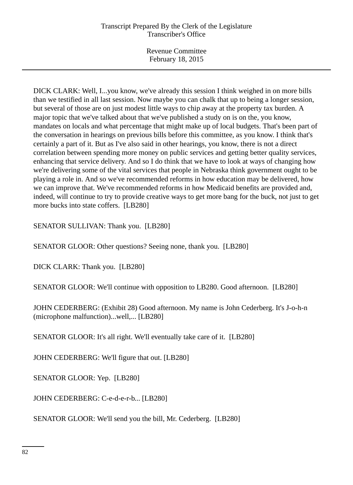DICK CLARK: Well, I...you know, we've already this session I think weighed in on more bills than we testified in all last session. Now maybe you can chalk that up to being a longer session, but several of those are on just modest little ways to chip away at the property tax burden. A major topic that we've talked about that we've published a study on is on the, you know, mandates on locals and what percentage that might make up of local budgets. That's been part of the conversation in hearings on previous bills before this committee, as you know. I think that's certainly a part of it. But as I've also said in other hearings, you know, there is not a direct correlation between spending more money on public services and getting better quality services, enhancing that service delivery. And so I do think that we have to look at ways of changing how we're delivering some of the vital services that people in Nebraska think government ought to be playing a role in. And so we've recommended reforms in how education may be delivered, how we can improve that. We've recommended reforms in how Medicaid benefits are provided and, indeed, will continue to try to provide creative ways to get more bang for the buck, not just to get more bucks into state coffers. [LB280]

SENATOR SULLIVAN: Thank you. [LB280]

SENATOR GLOOR: Other questions? Seeing none, thank you. [LB280]

DICK CLARK: Thank you. [LB280]

SENATOR GLOOR: We'll continue with opposition to LB280. Good afternoon. [LB280]

JOHN CEDERBERG: (Exhibit 28) Good afternoon. My name is John Cederberg. It's J-o-h-n (microphone malfunction)...well,... [LB280]

SENATOR GLOOR: It's all right. We'll eventually take care of it. [LB280]

JOHN CEDERBERG: We'll figure that out. [LB280]

SENATOR GLOOR: Yep. [LB280]

JOHN CEDERBERG: C-e-d-e-r-b... [LB280]

SENATOR GLOOR: We'll send you the bill, Mr. Cederberg. [LB280]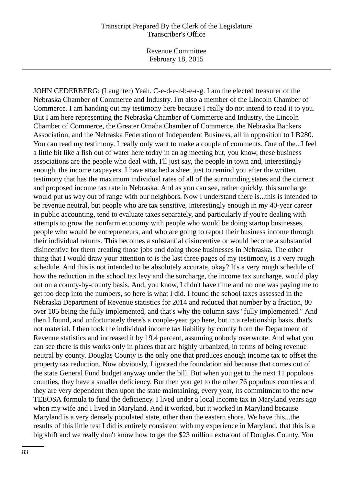Revenue Committee February 18, 2015

JOHN CEDERBERG: (Laughter) Yeah. C-e-d-e-r-b-e-r-g. I am the elected treasurer of the Nebraska Chamber of Commerce and Industry. I'm also a member of the Lincoln Chamber of Commerce. I am handing out my testimony here because I really do not intend to read it to you. But I am here representing the Nebraska Chamber of Commerce and Industry, the Lincoln Chamber of Commerce, the Greater Omaha Chamber of Commerce, the Nebraska Bankers Association, and the Nebraska Federation of Independent Business, all in opposition to LB280. You can read my testimony. I really only want to make a couple of comments. One of the...I feel a little bit like a fish out of water here today in an ag meeting but, you know, these business associations are the people who deal with, I'll just say, the people in town and, interestingly enough, the income taxpayers. I have attached a sheet just to remind you after the written testimony that has the maximum individual rates of all of the surrounding states and the current and proposed income tax rate in Nebraska. And as you can see, rather quickly, this surcharge would put us way out of range with our neighbors. Now I understand there is...this is intended to be revenue neutral, but people who are tax sensitive, interestingly enough in my 40-year career in public accounting, tend to evaluate taxes separately, and particularly if you're dealing with attempts to grow the nonfarm economy with people who would be doing startup businesses, people who would be entrepreneurs, and who are going to report their business income through their individual returns. This becomes a substantial disincentive or would become a substantial disincentive for them creating those jobs and doing those businesses in Nebraska. The other thing that I would draw your attention to is the last three pages of my testimony, is a very rough schedule. And this is not intended to be absolutely accurate, okay? It's a very rough schedule of how the reduction in the school tax levy and the surcharge, the income tax surcharge, would play out on a county-by-county basis. And, you know, I didn't have time and no one was paying me to get too deep into the numbers, so here is what I did. I found the school taxes assessed in the Nebraska Department of Revenue statistics for 2014 and reduced that number by a fraction, 80 over 105 being the fully implemented, and that's why the column says "fully implemented." And then I found, and unfortunately there's a couple-year gap here, but in a relationship basis, that's not material. I then took the individual income tax liability by county from the Department of Revenue statistics and increased it by 19.4 percent, assuming nobody overwrote. And what you can see there is this works only in places that are highly urbanized, in terms of being revenue neutral by county. Douglas County is the only one that produces enough income tax to offset the property tax reduction. Now obviously, I ignored the foundation aid because that comes out of the state General Fund budget anyway under the bill. But when you get to the next 11 populous counties, they have a smaller deficiency. But then you get to the other 76 populous counties and they are very dependent then upon the state maintaining, every year, its commitment to the new TEEOSA formula to fund the deficiency. I lived under a local income tax in Maryland years ago when my wife and I lived in Maryland. And it worked, but it worked in Maryland because Maryland is a very densely populated state, other than the eastern shore. We have this...the results of this little test I did is entirely consistent with my experience in Maryland, that this is a big shift and we really don't know how to get the \$23 million extra out of Douglas County. You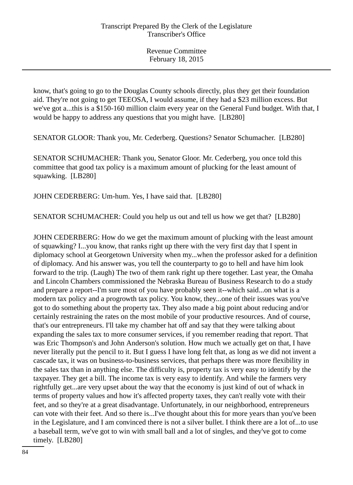know, that's going to go to the Douglas County schools directly, plus they get their foundation aid. They're not going to get TEEOSA, I would assume, if they had a \$23 million excess. But we've got a...this is a \$150-160 million claim every year on the General Fund budget. With that, I would be happy to address any questions that you might have. [LB280]

SENATOR GLOOR: Thank you, Mr. Cederberg. Questions? Senator Schumacher. [LB280]

SENATOR SCHUMACHER: Thank you, Senator Gloor. Mr. Cederberg, you once told this committee that good tax policy is a maximum amount of plucking for the least amount of squawking. [LB280]

JOHN CEDERBERG: Um-hum. Yes, I have said that. [LB280]

SENATOR SCHUMACHER: Could you help us out and tell us how we get that? [LB280]

JOHN CEDERBERG: How do we get the maximum amount of plucking with the least amount of squawking? I...you know, that ranks right up there with the very first day that I spent in diplomacy school at Georgetown University when my...when the professor asked for a definition of diplomacy. And his answer was, you tell the counterparty to go to hell and have him look forward to the trip. (Laugh) The two of them rank right up there together. Last year, the Omaha and Lincoln Chambers commissioned the Nebraska Bureau of Business Research to do a study and prepare a report--I'm sure most of you have probably seen it--which said...on what is a modern tax policy and a progrowth tax policy. You know, they...one of their issues was you've got to do something about the property tax. They also made a big point about reducing and/or certainly restraining the rates on the most mobile of your productive resources. And of course, that's our entrepreneurs. I'll take my chamber hat off and say that they were talking about expanding the sales tax to more consumer services, if you remember reading that report. That was Eric Thompson's and John Anderson's solution. How much we actually get on that, I have never literally put the pencil to it. But I guess I have long felt that, as long as we did not invent a cascade tax, it was on business-to-business services, that perhaps there was more flexibility in the sales tax than in anything else. The difficulty is, property tax is very easy to identify by the taxpayer. They get a bill. The income tax is very easy to identify. And while the farmers very rightfully get...are very upset about the way that the economy is just kind of out of whack in terms of property values and how it's affected property taxes, they can't really vote with their feet, and so they're at a great disadvantage. Unfortunately, in our neighborhood, entrepreneurs can vote with their feet. And so there is...I've thought about this for more years than you've been in the Legislature, and I am convinced there is not a silver bullet. I think there are a lot of...to use a baseball term, we've got to win with small ball and a lot of singles, and they've got to come timely. [LB280]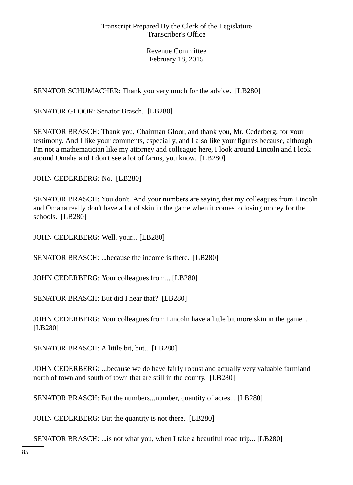SENATOR SCHUMACHER: Thank you very much for the advice. [LB280]

SENATOR GLOOR: Senator Brasch. [LB280]

SENATOR BRASCH: Thank you, Chairman Gloor, and thank you, Mr. Cederberg, for your testimony. And I like your comments, especially, and I also like your figures because, although I'm not a mathematician like my attorney and colleague here, I look around Lincoln and I look around Omaha and I don't see a lot of farms, you know. [LB280]

JOHN CEDERBERG: No. [LB280]

SENATOR BRASCH: You don't. And your numbers are saying that my colleagues from Lincoln and Omaha really don't have a lot of skin in the game when it comes to losing money for the schools. [LB280]

JOHN CEDERBERG: Well, your... [LB280]

SENATOR BRASCH: ...because the income is there. [LB280]

JOHN CEDERBERG: Your colleagues from... [LB280]

SENATOR BRASCH: But did I hear that? [LB280]

JOHN CEDERBERG: Your colleagues from Lincoln have a little bit more skin in the game... [LB280]

SENATOR BRASCH: A little bit, but... [LB280]

JOHN CEDERBERG: ...because we do have fairly robust and actually very valuable farmland north of town and south of town that are still in the county. [LB280]

SENATOR BRASCH: But the numbers...number, quantity of acres... [LB280]

JOHN CEDERBERG: But the quantity is not there. [LB280]

SENATOR BRASCH: ...is not what you, when I take a beautiful road trip... [LB280]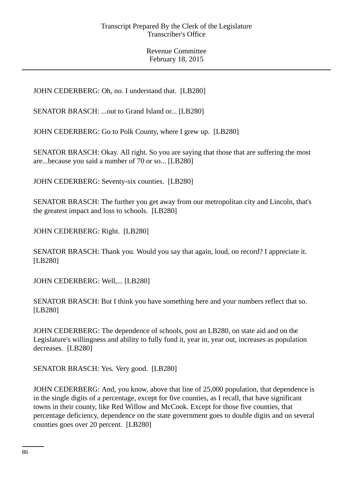JOHN CEDERBERG: Oh, no. I understand that. [LB280]

SENATOR BRASCH: ...out to Grand Island or... [LB280]

JOHN CEDERBERG: Go to Polk County, where I grew up. [LB280]

SENATOR BRASCH: Okay. All right. So you are saying that those that are suffering the most are...because you said a number of 70 or so... [LB280]

JOHN CEDERBERG: Seventy-six counties. [LB280]

SENATOR BRASCH: The further you get away from our metropolitan city and Lincoln, that's the greatest impact and loss to schools. [LB280]

JOHN CEDERBERG: Right. [LB280]

SENATOR BRASCH: Thank you. Would you say that again, loud, on record? I appreciate it. [LB280]

JOHN CEDERBERG: Well,... [LB280]

SENATOR BRASCH: But I think you have something here and your numbers reflect that so. [LB280]

JOHN CEDERBERG: The dependence of schools, post an LB280, on state aid and on the Legislature's willingness and ability to fully fund it, year in, year out, increases as population decreases. [LB280]

SENATOR BRASCH: Yes. Very good. [LB280]

JOHN CEDERBERG: And, you know, above that line of 25,000 population, that dependence is in the single digits of a percentage, except for five counties, as I recall, that have significant towns in their county, like Red Willow and McCook. Except for those five counties, that percentage deficiency, dependence on the state government goes to double digits and on several counties goes over 20 percent. [LB280]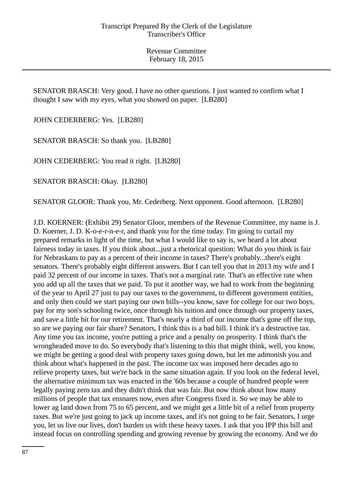SENATOR BRASCH: Very good. I have no other questions. I just wanted to confirm what I thought I saw with my eyes, what you showed on paper. [LB280]

JOHN CEDERBERG: Yes. [LB280]

SENATOR BRASCH: So thank you. [LB280]

JOHN CEDERBERG: You read it right. [LB280]

SENATOR BRASCH: Okay. [LB280]

SENATOR GLOOR: Thank you, Mr. Cederberg. Next opponent. Good afternoon. [LB280]

J.D. KOERNER: (Exhibit 29) Senator Gloor, members of the Revenue Committee, my name is J. D. Koerner, J. D. K-o-e-r-n-e-r, and thank you for the time today. I'm going to curtail my prepared remarks in light of the time, but what I would like to say is, we heard a lot about fairness today in taxes. If you think about...just a rhetorical question: What do you think is fair for Nebraskans to pay as a percent of their income in taxes? There's probably...there's eight senators. There's probably eight different answers. But I can tell you that in 2013 my wife and I paid 32 percent of our income in taxes. That's not a marginal rate. That's an effective rate when you add up all the taxes that we paid. To put it another way, we had to work from the beginning of the year to April 27 just to pay our taxes to the government, to different government entities, and only then could we start paying our own bills--you know, save for college for our two boys, pay for my son's schooling twice, once through his tuition and once through our property taxes, and save a little bit for our retirement. That's nearly a third of our income that's gone off the top, so are we paying our fair share? Senators, I think this is a bad bill. I think it's a destructive tax. Any time you tax income, you're putting a price and a penalty on prosperity. I think that's the wrongheaded move to do. So everybody that's listening to this that might think, well, you know, we might be getting a good deal with property taxes going down, but let me admonish you and think about what's happened in the past. The income tax was imposed here decades ago to relieve property taxes, but we're back in the same situation again. If you look on the federal level, the alternative minimum tax was enacted in the '60s because a couple of hundred people were legally paying zero tax and they didn't think that was fair. But now think about how many millions of people that tax ensnares now, even after Congress fixed it. So we may be able to lower ag land down from 75 to 65 percent, and we might get a little bit of a relief from property taxes. But we're just going to jack up income taxes, and it's not going to be fair. Senators, I urge you, let us live our lives, don't burden us with these heavy taxes. I ask that you IPP this bill and instead focus on controlling spending and growing revenue by growing the economy. And we do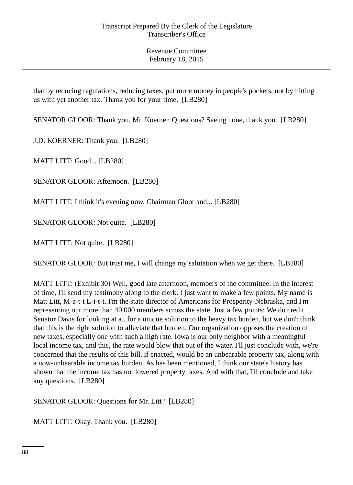that by reducing regulations, reducing taxes, put more money in people's pockets, not by hitting us with yet another tax. Thank you for your time. [LB280]

SENATOR GLOOR: Thank you, Mr. Koerner. Questions? Seeing none, thank you. [LB280]

J.D. KOERNER: Thank you. [LB280]

MATT LITT: Good... [LB280]

SENATOR GLOOR: Afternoon. [LB280]

MATT LITT: I think it's evening now. Chairman Gloor and... [LB280]

SENATOR GLOOR: Not quite. [LB280]

MATT LITT: Not quite. [LB280]

SENATOR GLOOR: But trust me, I will change my salutation when we get there. [LB280]

MATT LITT: (Exhibit 30) Well, good late afternoon, members of the committee. In the interest of time, I'll send my testimony along to the clerk. I just want to make a few points. My name is Matt Litt, M-a-t-t L-i-t-t. I'm the state director of Americans for Prosperity-Nebraska, and I'm representing our more than 40,000 members across the state. Just a few points: We do credit Senator Davis for looking at a...for a unique solution to the heavy tax burden, but we don't think that this is the right solution to alleviate that burden. Our organization opposes the creation of new taxes, especially one with such a high rate. Iowa is our only neighbor with a meaningful local income tax, and this, the rate would blow that out of the water. I'll just conclude with, we're concerned that the results of this bill, if enacted, would be an unbearable property tax, along with a now-unbearable income tax burden. As has been mentioned, I think our state's history has shown that the income tax has not lowered property taxes. And with that, I'll conclude and take any questions. [LB280]

SENATOR GLOOR: Questions for Mr. Litt? [LB280]

MATT LITT: Okay. Thank you. [LB280]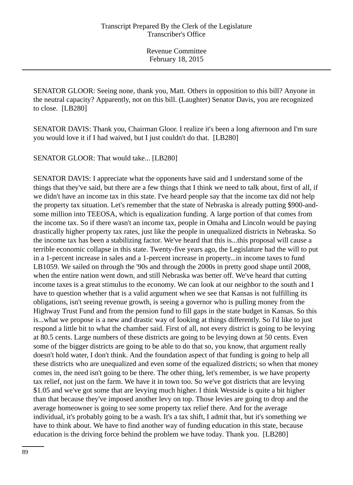SENATOR GLOOR: Seeing none, thank you, Matt. Others in opposition to this bill? Anyone in the neutral capacity? Apparently, not on this bill. (Laughter) Senator Davis, you are recognized to close. [LB280]

SENATOR DAVIS: Thank you, Chairman Gloor. I realize it's been a long afternoon and I'm sure you would love it if I had waived, but I just couldn't do that. [LB280]

SENATOR GLOOR: That would take... [LB280]

SENATOR DAVIS: I appreciate what the opponents have said and I understand some of the things that they've said, but there are a few things that I think we need to talk about, first of all, if we didn't have an income tax in this state. I've heard people say that the income tax did not help the property tax situation. Let's remember that the state of Nebraska is already putting \$900-andsome million into TEEOSA, which is equalization funding. A large portion of that comes from the income tax. So if there wasn't an income tax, people in Omaha and Lincoln would be paying drastically higher property tax rates, just like the people in unequalized districts in Nebraska. So the income tax has been a stabilizing factor. We've heard that this is...this proposal will cause a terrible economic collapse in this state. Twenty-five years ago, the Legislature had the will to put in a 1-percent increase in sales and a 1-percent increase in property...in income taxes to fund LB1059. We sailed on through the '90s and through the 2000s in pretty good shape until 2008, when the entire nation went down, and still Nebraska was better off. We've heard that cutting income taxes is a great stimulus to the economy. We can look at our neighbor to the south and I have to question whether that is a valid argument when we see that Kansas is not fulfilling its obligations, isn't seeing revenue growth, is seeing a governor who is pulling money from the Highway Trust Fund and from the pension fund to fill gaps in the state budget in Kansas. So this is...what we propose is a new and drastic way of looking at things differently. So I'd like to just respond a little bit to what the chamber said. First of all, not every district is going to be levying at 80.5 cents. Large numbers of these districts are going to be levying down at 50 cents. Even some of the bigger districts are going to be able to do that so, you know, that argument really doesn't hold water, I don't think. And the foundation aspect of that funding is going to help all these districts who are unequalized and even some of the equalized districts; so when that money comes in, the need isn't going to be there. The other thing, let's remember, is we have property tax relief, not just on the farm. We have it in town too. So we've got districts that are levying \$1.05 and we've got some that are levying much higher. I think Westside is quite a bit higher than that because they've imposed another levy on top. Those levies are going to drop and the average homeowner is going to see some property tax relief there. And for the average individual, it's probably going to be a wash. It's a tax shift, I admit that, but it's something we have to think about. We have to find another way of funding education in this state, because education is the driving force behind the problem we have today. Thank you. [LB280]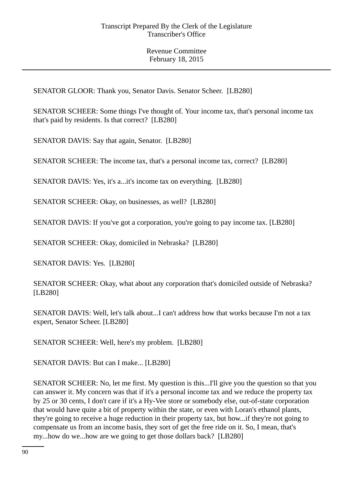SENATOR GLOOR: Thank you, Senator Davis. Senator Scheer. [LB280]

SENATOR SCHEER: Some things I've thought of. Your income tax, that's personal income tax that's paid by residents. Is that correct? [LB280]

SENATOR DAVIS: Say that again, Senator. [LB280]

SENATOR SCHEER: The income tax, that's a personal income tax, correct? [LB280]

SENATOR DAVIS: Yes, it's a...it's income tax on everything. [LB280]

SENATOR SCHEER: Okay, on businesses, as well? [LB280]

SENATOR DAVIS: If you've got a corporation, you're going to pay income tax. [LB280]

SENATOR SCHEER: Okay, domiciled in Nebraska? [LB280]

SENATOR DAVIS: Yes. [LB280]

SENATOR SCHEER: Okay, what about any corporation that's domiciled outside of Nebraska? [LB280]

SENATOR DAVIS: Well, let's talk about...I can't address how that works because I'm not a tax expert, Senator Scheer. [LB280]

SENATOR SCHEER: Well, here's my problem. [LB280]

SENATOR DAVIS: But can I make... [LB280]

SENATOR SCHEER: No, let me first. My question is this...I'll give you the question so that you can answer it. My concern was that if it's a personal income tax and we reduce the property tax by 25 or 30 cents, I don't care if it's a Hy-Vee store or somebody else, out-of-state corporation that would have quite a bit of property within the state, or even with Loran's ethanol plants, they're going to receive a huge reduction in their property tax, but how...if they're not going to compensate us from an income basis, they sort of get the free ride on it. So, I mean, that's my...how do we...how are we going to get those dollars back? [LB280]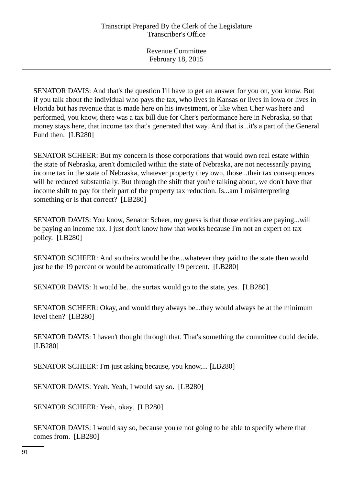SENATOR DAVIS: And that's the question I'll have to get an answer for you on, you know. But if you talk about the individual who pays the tax, who lives in Kansas or lives in Iowa or lives in Florida but has revenue that is made here on his investment, or like when Cher was here and performed, you know, there was a tax bill due for Cher's performance here in Nebraska, so that money stays here, that income tax that's generated that way. And that is...it's a part of the General Fund then. [LB280]

SENATOR SCHEER: But my concern is those corporations that would own real estate within the state of Nebraska, aren't domiciled within the state of Nebraska, are not necessarily paying income tax in the state of Nebraska, whatever property they own, those...their tax consequences will be reduced substantially. But through the shift that you're talking about, we don't have that income shift to pay for their part of the property tax reduction. Is...am I misinterpreting something or is that correct? [LB280]

SENATOR DAVIS: You know, Senator Scheer, my guess is that those entities are paying...will be paying an income tax. I just don't know how that works because I'm not an expert on tax policy. [LB280]

SENATOR SCHEER: And so theirs would be the...whatever they paid to the state then would just be the 19 percent or would be automatically 19 percent. [LB280]

SENATOR DAVIS: It would be...the surtax would go to the state, yes. [LB280]

SENATOR SCHEER: Okay, and would they always be...they would always be at the minimum level then? [LB280]

SENATOR DAVIS: I haven't thought through that. That's something the committee could decide. [LB280]

SENATOR SCHEER: I'm just asking because, you know,... [LB280]

SENATOR DAVIS: Yeah. Yeah, I would say so. [LB280]

SENATOR SCHEER: Yeah, okay. [LB280]

SENATOR DAVIS: I would say so, because you're not going to be able to specify where that comes from. [LB280]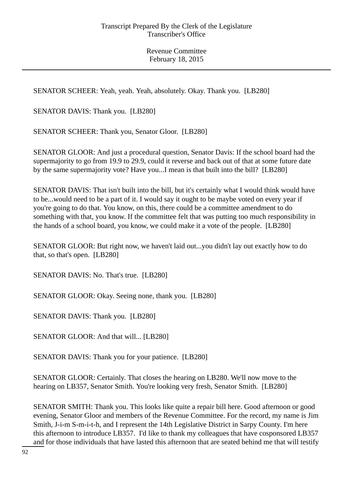SENATOR SCHEER: Yeah, yeah. Yeah, absolutely. Okay. Thank you. [LB280]

SENATOR DAVIS: Thank you. [LB280]

SENATOR SCHEER: Thank you, Senator Gloor. [LB280]

SENATOR GLOOR: And just a procedural question, Senator Davis: If the school board had the supermajority to go from 19.9 to 29.9, could it reverse and back out of that at some future date by the same supermajority vote? Have you...I mean is that built into the bill? [LB280]

SENATOR DAVIS: That isn't built into the bill, but it's certainly what I would think would have to be...would need to be a part of it. I would say it ought to be maybe voted on every year if you're going to do that. You know, on this, there could be a committee amendment to do something with that, you know. If the committee felt that was putting too much responsibility in the hands of a school board, you know, we could make it a vote of the people. [LB280]

SENATOR GLOOR: But right now, we haven't laid out...you didn't lay out exactly how to do that, so that's open. [LB280]

SENATOR DAVIS: No. That's true. [LB280]

SENATOR GLOOR: Okay. Seeing none, thank you. [LB280]

SENATOR DAVIS: Thank you. [LB280]

SENATOR GLOOR: And that will... [LB280]

SENATOR DAVIS: Thank you for your patience. [LB280]

SENATOR GLOOR: Certainly. That closes the hearing on LB280. We'll now move to the hearing on LB357, Senator Smith. You're looking very fresh, Senator Smith. [LB280]

SENATOR SMITH: Thank you. This looks like quite a repair bill here. Good afternoon or good evening, Senator Gloor and members of the Revenue Committee. For the record, my name is Jim Smith, J-i-m S-m-i-t-h, and I represent the 14th Legislative District in Sarpy County. I'm here this afternoon to introduce LB357. I'd like to thank my colleagues that have cosponsored LB357 and for those individuals that have lasted this afternoon that are seated behind me that will testify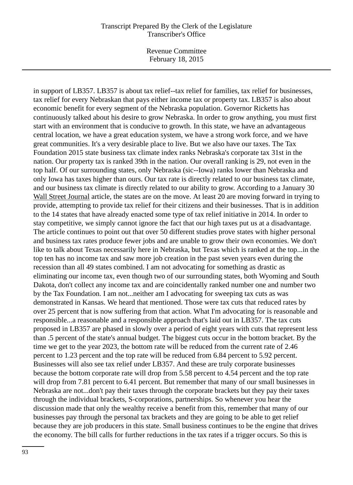Revenue Committee February 18, 2015

in support of LB357. LB357 is about tax relief--tax relief for families, tax relief for businesses, tax relief for every Nebraskan that pays either income tax or property tax. LB357 is also about economic benefit for every segment of the Nebraska population. Governor Ricketts has continuously talked about his desire to grow Nebraska. In order to grow anything, you must first start with an environment that is conducive to growth. In this state, we have an advantageous central location, we have a great education system, we have a strong work force, and we have great communities. It's a very desirable place to live. But we also have our taxes. The Tax Foundation 2015 state business tax climate index ranks Nebraska's corporate tax 31st in the nation. Our property tax is ranked 39th in the nation. Our overall ranking is 29, not even in the top half. Of our surrounding states, only Nebraska (sic--Iowa) ranks lower than Nebraska and only Iowa has taxes higher than ours. Our tax rate is directly related to our business tax climate, and our business tax climate is directly related to our ability to grow. According to a January 30 Wall Street Journal article, the states are on the move. At least 20 are moving forward in trying to provide, attempting to provide tax relief for their citizens and their businesses. That is in addition to the 14 states that have already enacted some type of tax relief initiative in 2014. In order to stay competitive, we simply cannot ignore the fact that our high taxes put us at a disadvantage. The article continues to point out that over 50 different studies prove states with higher personal and business tax rates produce fewer jobs and are unable to grow their own economies. We don't like to talk about Texas necessarily here in Nebraska, but Texas which is ranked at the top...in the top ten has no income tax and saw more job creation in the past seven years even during the recession than all 49 states combined. I am not advocating for something as drastic as eliminating our income tax, even though two of our surrounding states, both Wyoming and South Dakota, don't collect any income tax and are coincidentally ranked number one and number two by the Tax Foundation. I am not...neither am I advocating for sweeping tax cuts as was demonstrated in Kansas. We heard that mentioned. Those were tax cuts that reduced rates by over 25 percent that is now suffering from that action. What I'm advocating for is reasonable and responsible...a reasonable and a responsible approach that's laid out in LB357. The tax cuts proposed in LB357 are phased in slowly over a period of eight years with cuts that represent less than .5 percent of the state's annual budget. The biggest cuts occur in the bottom bracket. By the time we get to the year 2023, the bottom rate will be reduced from the current rate of 2.46 percent to 1.23 percent and the top rate will be reduced from 6.84 percent to 5.92 percent. Businesses will also see tax relief under LB357. And these are truly corporate businesses because the bottom corporate rate will drop from 5.58 percent to 4.54 percent and the top rate will drop from 7.81 percent to 6.41 percent. But remember that many of our small businesses in Nebraska are not...don't pay their taxes through the corporate brackets but they pay their taxes through the individual brackets, S-corporations, partnerships. So whenever you hear the discussion made that only the wealthy receive a benefit from this, remember that many of our businesses pay through the personal tax brackets and they are going to be able to get relief because they are job producers in this state. Small business continues to be the engine that drives the economy. The bill calls for further reductions in the tax rates if a trigger occurs. So this is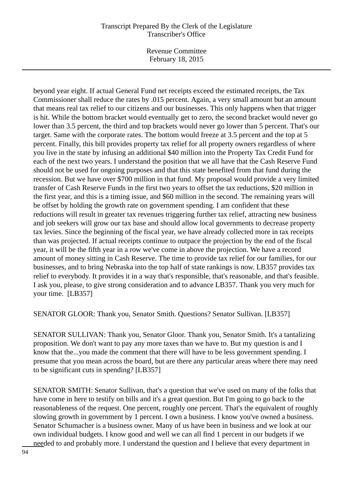Revenue Committee February 18, 2015

beyond year eight. If actual General Fund net receipts exceed the estimated receipts, the Tax Commissioner shall reduce the rates by .015 percent. Again, a very small amount but an amount that means real tax relief to our citizens and our businesses. This only happens when that trigger is hit. While the bottom bracket would eventually get to zero, the second bracket would never go lower than 3.5 percent, the third and top brackets would never go lower than 5 percent. That's our target. Same with the corporate rates. The bottom would freeze at 3.5 percent and the top at 5 percent. Finally, this bill provides property tax relief for all property owners regardless of where you live in the state by infusing an additional \$40 million into the Property Tax Credit Fund for each of the next two years. I understand the position that we all have that the Cash Reserve Fund should not be used for ongoing purposes and that this state benefited from that fund during the recession. But we have over \$700 million in that fund. My proposal would provide a very limited transfer of Cash Reserve Funds in the first two years to offset the tax reductions, \$20 million in the first year, and this is a timing issue, and \$60 million in the second. The remaining years will be offset by holding the growth rate on government spending. I am confident that these reductions will result in greater tax revenues triggering further tax relief, attracting new business and job seekers will grow our tax base and should allow local governments to decrease property tax levies. Since the beginning of the fiscal year, we have already collected more in tax receipts than was projected. If actual receipts continue to outpace the projection by the end of the fiscal year, it will be the fifth year in a row we've come in above the projection. We have a record amount of money sitting in Cash Reserve. The time to provide tax relief for our families, for our businesses, and to bring Nebraska into the top half of state rankings is now. LB357 provides tax relief to everybody. It provides it in a way that's responsible, that's reasonable, and that's feasible. I ask you, please, to give strong consideration and to advance LB357. Thank you very much for your time. [LB357]

SENATOR GLOOR: Thank you, Senator Smith. Questions? Senator Sullivan. [LB357]

SENATOR SULLIVAN: Thank you, Senator Gloor. Thank you, Senator Smith. It's a tantalizing proposition. We don't want to pay any more taxes than we have to. But my question is and I know that the...you made the comment that there will have to be less government spending. I presume that you mean across the board, but are there any particular areas where there may need to be significant cuts in spending? [LB357]

SENATOR SMITH: Senator Sullivan, that's a question that we've used on many of the folks that have come in here to testify on bills and it's a great question. But I'm going to go back to the reasonableness of the request. One percent, roughly one percent. That's the equivalent of roughly slowing growth in government by 1 percent. I own a business. I know you've owned a business. Senator Schumacher is a business owner. Many of us have been in business and we look at our own individual budgets. I know good and well we can all find 1 percent in our budgets if we needed to and probably more. I understand the question and I believe that every department in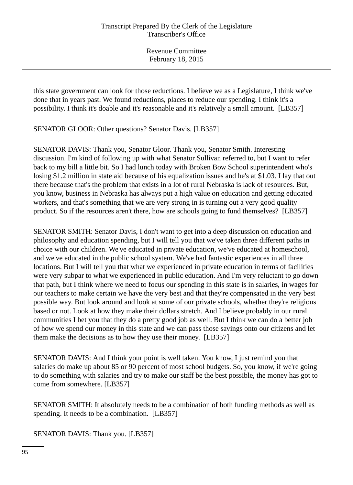this state government can look for those reductions. I believe we as a Legislature, I think we've done that in years past. We found reductions, places to reduce our spending. I think it's a possibility. I think it's doable and it's reasonable and it's relatively a small amount. [LB357]

SENATOR GLOOR: Other questions? Senator Davis. [LB357]

SENATOR DAVIS: Thank you, Senator Gloor. Thank you, Senator Smith. Interesting discussion. I'm kind of following up with what Senator Sullivan referred to, but I want to refer back to my bill a little bit. So I had lunch today with Broken Bow School superintendent who's losing \$1.2 million in state aid because of his equalization issues and he's at \$1.03. I lay that out there because that's the problem that exists in a lot of rural Nebraska is lack of resources. But, you know, business in Nebraska has always put a high value on education and getting educated workers, and that's something that we are very strong in is turning out a very good quality product. So if the resources aren't there, how are schools going to fund themselves? [LB357]

SENATOR SMITH: Senator Davis, I don't want to get into a deep discussion on education and philosophy and education spending, but I will tell you that we've taken three different paths in choice with our children. We've educated in private education, we've educated at homeschool, and we've educated in the public school system. We've had fantastic experiences in all three locations. But I will tell you that what we experienced in private education in terms of facilities were very subpar to what we experienced in public education. And I'm very reluctant to go down that path, but I think where we need to focus our spending in this state is in salaries, in wages for our teachers to make certain we have the very best and that they're compensated in the very best possible way. But look around and look at some of our private schools, whether they're religious based or not. Look at how they make their dollars stretch. And I believe probably in our rural communities I bet you that they do a pretty good job as well. But I think we can do a better job of how we spend our money in this state and we can pass those savings onto our citizens and let them make the decisions as to how they use their money. [LB357]

SENATOR DAVIS: And I think your point is well taken. You know, I just remind you that salaries do make up about 85 or 90 percent of most school budgets. So, you know, if we're going to do something with salaries and try to make our staff be the best possible, the money has got to come from somewhere. [LB357]

SENATOR SMITH: It absolutely needs to be a combination of both funding methods as well as spending. It needs to be a combination. [LB357]

SENATOR DAVIS: Thank you. [LB357]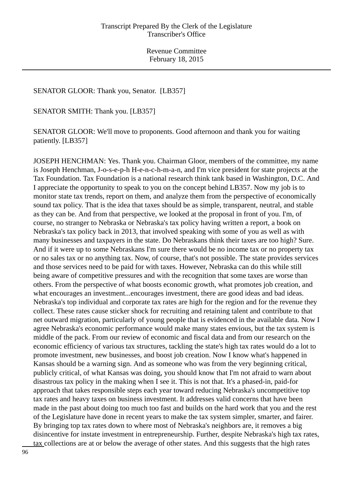#### SENATOR GLOOR: Thank you, Senator. [LB357]

SENATOR SMITH: Thank you. [LB357]

SENATOR GLOOR: We'll move to proponents. Good afternoon and thank you for waiting patiently. [LB357]

JOSEPH HENCHMAN: Yes. Thank you. Chairman Gloor, members of the committee, my name is Joseph Henchman, J-o-s-e-p-h H-e-n-c-h-m-a-n, and I'm vice president for state projects at the Tax Foundation. Tax Foundation is a national research think tank based in Washington, D.C. And I appreciate the opportunity to speak to you on the concept behind LB357. Now my job is to monitor state tax trends, report on them, and analyze them from the perspective of economically sound tax policy. That is the idea that taxes should be as simple, transparent, neutral, and stable as they can be. And from that perspective, we looked at the proposal in front of you. I'm, of course, no stranger to Nebraska or Nebraska's tax policy having written a report, a book on Nebraska's tax policy back in 2013, that involved speaking with some of you as well as with many businesses and taxpayers in the state. Do Nebraskans think their taxes are too high? Sure. And if it were up to some Nebraskans I'm sure there would be no income tax or no property tax or no sales tax or no anything tax. Now, of course, that's not possible. The state provides services and those services need to be paid for with taxes. However, Nebraska can do this while still being aware of competitive pressures and with the recognition that some taxes are worse than others. From the perspective of what boosts economic growth, what promotes job creation, and what encourages an investment...encourages investment, there are good ideas and bad ideas. Nebraska's top individual and corporate tax rates are high for the region and for the revenue they collect. These rates cause sticker shock for recruiting and retaining talent and contribute to that net outward migration, particularly of young people that is evidenced in the available data. Now I agree Nebraska's economic performance would make many states envious, but the tax system is middle of the pack. From our review of economic and fiscal data and from our research on the economic efficiency of various tax structures, tackling the state's high tax rates would do a lot to promote investment, new businesses, and boost job creation. Now I know what's happened in Kansas should be a warning sign. And as someone who was from the very beginning critical, publicly critical, of what Kansas was doing, you should know that I'm not afraid to warn about disastrous tax policy in the making when I see it. This is not that. It's a phased-in, paid-for approach that takes responsible steps each year toward reducing Nebraska's uncompetitive top tax rates and heavy taxes on business investment. It addresses valid concerns that have been made in the past about doing too much too fast and builds on the hard work that you and the rest of the Legislature have done in recent years to make the tax system simpler, smarter, and fairer. By bringing top tax rates down to where most of Nebraska's neighbors are, it removes a big disincentive for instate investment in entrepreneurship. Further, despite Nebraska's high tax rates, tax collections are at or below the average of other states. And this suggests that the high rates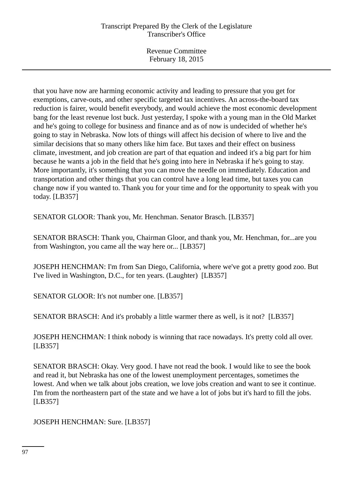Revenue Committee February 18, 2015

that you have now are harming economic activity and leading to pressure that you get for exemptions, carve-outs, and other specific targeted tax incentives. An across-the-board tax reduction is fairer, would benefit everybody, and would achieve the most economic development bang for the least revenue lost buck. Just yesterday, I spoke with a young man in the Old Market and he's going to college for business and finance and as of now is undecided of whether he's going to stay in Nebraska. Now lots of things will affect his decision of where to live and the similar decisions that so many others like him face. But taxes and their effect on business climate, investment, and job creation are part of that equation and indeed it's a big part for him because he wants a job in the field that he's going into here in Nebraska if he's going to stay. More importantly, it's something that you can move the needle on immediately. Education and transportation and other things that you can control have a long lead time, but taxes you can change now if you wanted to. Thank you for your time and for the opportunity to speak with you today. [LB357]

SENATOR GLOOR: Thank you, Mr. Henchman. Senator Brasch. [LB357]

SENATOR BRASCH: Thank you, Chairman Gloor, and thank you, Mr. Henchman, for...are you from Washington, you came all the way here or... [LB357]

JOSEPH HENCHMAN: I'm from San Diego, California, where we've got a pretty good zoo. But I've lived in Washington, D.C., for ten years. (Laughter) [LB357]

SENATOR GLOOR: It's not number one. [LB357]

SENATOR BRASCH: And it's probably a little warmer there as well, is it not? [LB357]

JOSEPH HENCHMAN: I think nobody is winning that race nowadays. It's pretty cold all over. [LB357]

SENATOR BRASCH: Okay. Very good. I have not read the book. I would like to see the book and read it, but Nebraska has one of the lowest unemployment percentages, sometimes the lowest. And when we talk about jobs creation, we love jobs creation and want to see it continue. I'm from the northeastern part of the state and we have a lot of jobs but it's hard to fill the jobs. [LB357]

JOSEPH HENCHMAN: Sure. [LB357]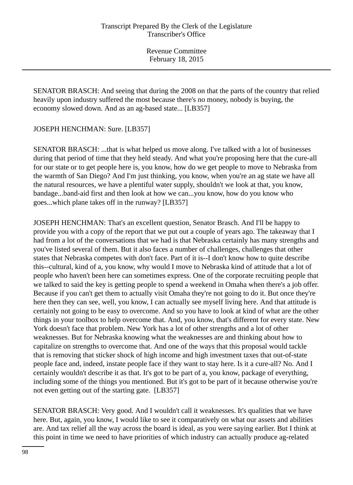SENATOR BRASCH: And seeing that during the 2008 on that the parts of the country that relied heavily upon industry suffered the most because there's no money, nobody is buying, the economy slowed down. And as an ag-based state... [LB357]

JOSEPH HENCHMAN: Sure. [LB357]

SENATOR BRASCH: ...that is what helped us move along. I've talked with a lot of businesses during that period of time that they held steady. And what you're proposing here that the cure-all for our state or to get people here is, you know, how do we get people to move to Nebraska from the warmth of San Diego? And I'm just thinking, you know, when you're an ag state we have all the natural resources, we have a plentiful water supply, shouldn't we look at that, you know, bandage...band-aid first and then look at how we can...you know, how do you know who goes...which plane takes off in the runway? [LB357]

JOSEPH HENCHMAN: That's an excellent question, Senator Brasch. And I'll be happy to provide you with a copy of the report that we put out a couple of years ago. The takeaway that I had from a lot of the conversations that we had is that Nebraska certainly has many strengths and you've listed several of them. But it also faces a number of challenges, challenges that other states that Nebraska competes with don't face. Part of it is--I don't know how to quite describe this--cultural, kind of a, you know, why would I move to Nebraska kind of attitude that a lot of people who haven't been here can sometimes express. One of the corporate recruiting people that we talked to said the key is getting people to spend a weekend in Omaha when there's a job offer. Because if you can't get them to actually visit Omaha they're not going to do it. But once they're here then they can see, well, you know, I can actually see myself living here. And that attitude is certainly not going to be easy to overcome. And so you have to look at kind of what are the other things in your toolbox to help overcome that. And, you know, that's different for every state. New York doesn't face that problem. New York has a lot of other strengths and a lot of other weaknesses. But for Nebraska knowing what the weaknesses are and thinking about how to capitalize on strengths to overcome that. And one of the ways that this proposal would tackle that is removing that sticker shock of high income and high investment taxes that out-of-state people face and, indeed, instate people face if they want to stay here. Is it a cure-all? No. And I certainly wouldn't describe it as that. It's got to be part of a, you know, package of everything, including some of the things you mentioned. But it's got to be part of it because otherwise you're not even getting out of the starting gate. [LB357]

SENATOR BRASCH: Very good. And I wouldn't call it weaknesses. It's qualities that we have here. But, again, you know, I would like to see it comparatively on what our assets and abilities are. And tax relief all the way across the board is ideal, as you were saying earlier. But I think at this point in time we need to have priorities of which industry can actually produce ag-related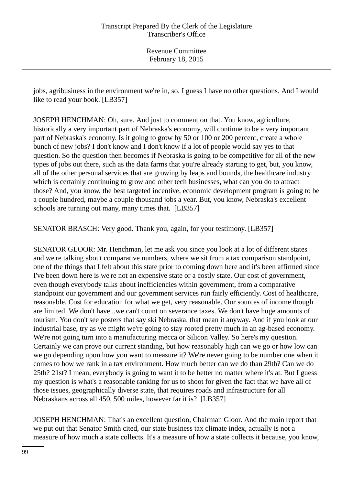jobs, agribusiness in the environment we're in, so. I guess I have no other questions. And I would like to read your book. [LB357]

JOSEPH HENCHMAN: Oh, sure. And just to comment on that. You know, agriculture, historically a very important part of Nebraska's economy, will continue to be a very important part of Nebraska's economy. Is it going to grow by 50 or 100 or 200 percent, create a whole bunch of new jobs? I don't know and I don't know if a lot of people would say yes to that question. So the question then becomes if Nebraska is going to be competitive for all of the new types of jobs out there, such as the data farms that you're already starting to get, but, you know, all of the other personal services that are growing by leaps and bounds, the healthcare industry which is certainly continuing to grow and other tech businesses, what can you do to attract those? And, you know, the best targeted incentive, economic development program is going to be a couple hundred, maybe a couple thousand jobs a year. But, you know, Nebraska's excellent schools are turning out many, many times that. [LB357]

SENATOR BRASCH: Very good. Thank you, again, for your testimony. [LB357]

SENATOR GLOOR: Mr. Henchman, let me ask you since you look at a lot of different states and we're talking about comparative numbers, where we sit from a tax comparison standpoint, one of the things that I felt about this state prior to coming down here and it's been affirmed since I've been down here is we're not an expensive state or a costly state. Our cost of government, even though everybody talks about inefficiencies within government, from a comparative standpoint our government and our government services run fairly efficiently. Cost of healthcare, reasonable. Cost for education for what we get, very reasonable. Our sources of income though are limited. We don't have...we can't count on severance taxes. We don't have huge amounts of tourism. You don't see posters that say ski Nebraska, that mean it anyway. And if you look at our industrial base, try as we might we're going to stay rooted pretty much in an ag-based economy. We're not going turn into a manufacturing mecca or Silicon Valley. So here's my question. Certainly we can prove our current standing, but how reasonably high can we go or how low can we go depending upon how you want to measure it? We're never going to be number one when it comes to how we rank in a tax environment. How much better can we do than 29th? Can we do 25th? 21st? I mean, everybody is going to want it to be better no matter where it's at. But I guess my question is what's a reasonable ranking for us to shoot for given the fact that we have all of those issues, geographically diverse state, that requires roads and infrastructure for all Nebraskans across all 450, 500 miles, however far it is? [LB357]

JOSEPH HENCHMAN: That's an excellent question, Chairman Gloor. And the main report that we put out that Senator Smith cited, our state business tax climate index, actually is not a measure of how much a state collects. It's a measure of how a state collects it because, you know,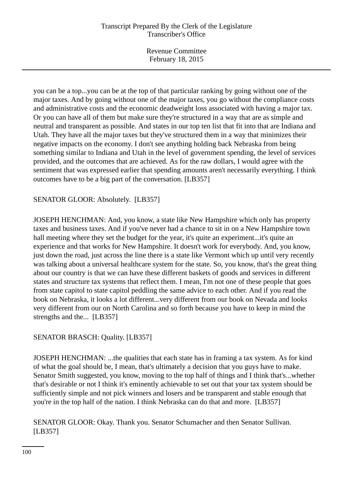Revenue Committee February 18, 2015

you can be a top...you can be at the top of that particular ranking by going without one of the major taxes. And by going without one of the major taxes, you go without the compliance costs and administrative costs and the economic deadweight loss associated with having a major tax. Or you can have all of them but make sure they're structured in a way that are as simple and neutral and transparent as possible. And states in our top ten list that fit into that are Indiana and Utah. They have all the major taxes but they've structured them in a way that minimizes their negative impacts on the economy. I don't see anything holding back Nebraska from being something similar to Indiana and Utah in the level of government spending, the level of services provided, and the outcomes that are achieved. As for the raw dollars, I would agree with the sentiment that was expressed earlier that spending amounts aren't necessarily everything. I think outcomes have to be a big part of the conversation. [LB357]

# SENATOR GLOOR: Absolutely. [LB357]

JOSEPH HENCHMAN: And, you know, a state like New Hampshire which only has property taxes and business taxes. And if you've never had a chance to sit in on a New Hampshire town hall meeting where they set the budget for the year, it's quite an experiment...it's quite an experience and that works for New Hampshire. It doesn't work for everybody. And, you know, just down the road, just across the line there is a state like Vermont which up until very recently was talking about a universal healthcare system for the state. So, you know, that's the great thing about our country is that we can have these different baskets of goods and services in different states and structure tax systems that reflect them. I mean, I'm not one of these people that goes from state capitol to state capitol peddling the same advice to each other. And if you read the book on Nebraska, it looks a lot different...very different from our book on Nevada and looks very different from our on North Carolina and so forth because you have to keep in mind the strengths and the... [LB357]

## SENATOR BRASCH: Quality. [LB357]

JOSEPH HENCHMAN: ...the qualities that each state has in framing a tax system. As for kind of what the goal should be, I mean, that's ultimately a decision that you guys have to make. Senator Smith suggested, you know, moving to the top half of things and I think that's...whether that's desirable or not I think it's eminently achievable to set out that your tax system should be sufficiently simple and not pick winners and losers and be transparent and stable enough that you're in the top half of the nation. I think Nebraska can do that and more. [LB357]

SENATOR GLOOR: Okay. Thank you. Senator Schumacher and then Senator Sullivan. [LB357]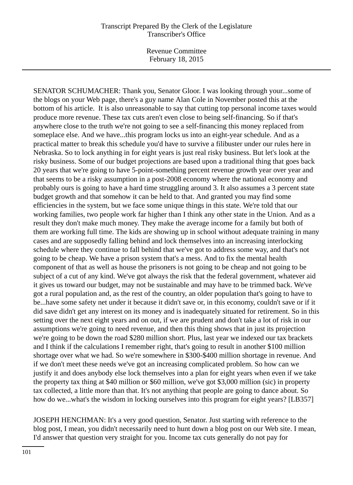SENATOR SCHUMACHER: Thank you, Senator Gloor. I was looking through your...some of the blogs on your Web page, there's a guy name Alan Cole in November posted this at the bottom of his article. It is also unreasonable to say that cutting top personal income taxes would produce more revenue. These tax cuts aren't even close to being self-financing. So if that's anywhere close to the truth we're not going to see a self-financing this money replaced from someplace else. And we have...this program locks us into an eight-year schedule. And as a practical matter to break this schedule you'd have to survive a filibuster under our rules here in Nebraska. So to lock anything in for eight years is just real risky business. But let's look at the risky business. Some of our budget projections are based upon a traditional thing that goes back 20 years that we're going to have 5-point-something percent revenue growth year over year and that seems to be a risky assumption in a post-2008 economy where the national economy and probably ours is going to have a hard time struggling around 3. It also assumes a 3 percent state budget growth and that somehow it can be held to that. And granted you may find some efficiencies in the system, but we face some unique things in this state. We're told that our working families, two people work far higher than I think any other state in the Union. And as a result they don't make much money. They make the average income for a family but both of them are working full time. The kids are showing up in school without adequate training in many cases and are supposedly falling behind and lock themselves into an increasing interlocking schedule where they continue to fall behind that we've got to address some way, and that's not going to be cheap. We have a prison system that's a mess. And to fix the mental health component of that as well as house the prisoners is not going to be cheap and not going to be subject of a cut of any kind. We've got always the risk that the federal government, whatever aid it gives us toward our budget, may not be sustainable and may have to be trimmed back. We've got a rural population and, as the rest of the country, an older population that's going to have to be...have some safety net under it because it didn't save or, in this economy, couldn't save or if it did save didn't get any interest on its money and is inadequately situated for retirement. So in this setting over the next eight years and on out, if we are prudent and don't take a lot of risk in our assumptions we're going to need revenue, and then this thing shows that in just its projection we're going to be down the road \$280 million short. Plus, last year we indexed our tax brackets and I think if the calculations I remember right, that's going to result in another \$100 million shortage over what we had. So we're somewhere in \$300-\$400 million shortage in revenue. And if we don't meet these needs we've got an increasing complicated problem. So how can we justify it and does anybody else lock themselves into a plan for eight years when even if we take the property tax thing at \$40 million or \$60 million, we've got \$3,000 million (sic) in property tax collected, a little more than that. It's not anything that people are going to dance about. So how do we...what's the wisdom in locking ourselves into this program for eight years? [LB357]

JOSEPH HENCHMAN: It's a very good question, Senator. Just starting with reference to the blog post, I mean, you didn't necessarily need to hunt down a blog post on our Web site. I mean, I'd answer that question very straight for you. Income tax cuts generally do not pay for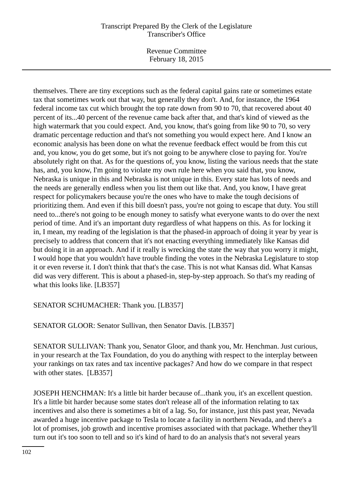Revenue Committee February 18, 2015

themselves. There are tiny exceptions such as the federal capital gains rate or sometimes estate tax that sometimes work out that way, but generally they don't. And, for instance, the 1964 federal income tax cut which brought the top rate down from 90 to 70, that recovered about 40 percent of its...40 percent of the revenue came back after that, and that's kind of viewed as the high watermark that you could expect. And, you know, that's going from like 90 to 70, so very dramatic percentage reduction and that's not something you would expect here. And I know an economic analysis has been done on what the revenue feedback effect would be from this cut and, you know, you do get some, but it's not going to be anywhere close to paying for. You're absolutely right on that. As for the questions of, you know, listing the various needs that the state has, and, you know, I'm going to violate my own rule here when you said that, you know, Nebraska is unique in this and Nebraska is not unique in this. Every state has lots of needs and the needs are generally endless when you list them out like that. And, you know, I have great respect for policymakers because you're the ones who have to make the tough decisions of prioritizing them. And even if this bill doesn't pass, you're not going to escape that duty. You still need to...there's not going to be enough money to satisfy what everyone wants to do over the next period of time. And it's an important duty regardless of what happens on this. As for locking it in, I mean, my reading of the legislation is that the phased-in approach of doing it year by year is precisely to address that concern that it's not enacting everything immediately like Kansas did but doing it in an approach. And if it really is wrecking the state the way that you worry it might, I would hope that you wouldn't have trouble finding the votes in the Nebraska Legislature to stop it or even reverse it. I don't think that that's the case. This is not what Kansas did. What Kansas did was very different. This is about a phased-in, step-by-step approach. So that's my reading of what this looks like. [LB357]

# SENATOR SCHUMACHER: Thank you. [LB357]

SENATOR GLOOR: Senator Sullivan, then Senator Davis. [LB357]

SENATOR SULLIVAN: Thank you, Senator Gloor, and thank you, Mr. Henchman. Just curious, in your research at the Tax Foundation, do you do anything with respect to the interplay between your rankings on tax rates and tax incentive packages? And how do we compare in that respect with other states. [LB357]

JOSEPH HENCHMAN: It's a little bit harder because of...thank you, it's an excellent question. It's a little bit harder because some states don't release all of the information relating to tax incentives and also there is sometimes a bit of a lag. So, for instance, just this past year, Nevada awarded a huge incentive package to Tesla to locate a facility in northern Nevada, and there's a lot of promises, job growth and incentive promises associated with that package. Whether they'll turn out it's too soon to tell and so it's kind of hard to do an analysis that's not several years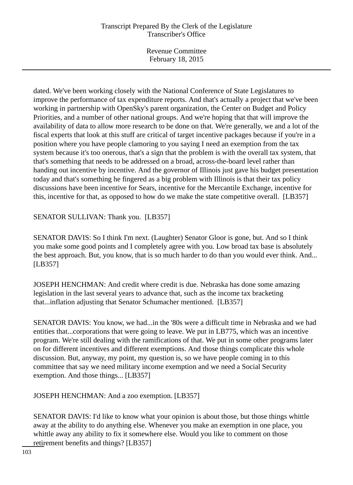Revenue Committee February 18, 2015

dated. We've been working closely with the National Conference of State Legislatures to improve the performance of tax expenditure reports. And that's actually a project that we've been working in partnership with OpenSky's parent organization, the Center on Budget and Policy Priorities, and a number of other national groups. And we're hoping that that will improve the availability of data to allow more research to be done on that. We're generally, we and a lot of the fiscal experts that look at this stuff are critical of target incentive packages because if you're in a position where you have people clamoring to you saying I need an exemption from the tax system because it's too onerous, that's a sign that the problem is with the overall tax system, that that's something that needs to be addressed on a broad, across-the-board level rather than handing out incentive by incentive. And the governor of Illinois just gave his budget presentation today and that's something he fingered as a big problem with Illinois is that their tax policy discussions have been incentive for Sears, incentive for the Mercantile Exchange, incentive for this, incentive for that, as opposed to how do we make the state competitive overall. [LB357]

SENATOR SULLIVAN: Thank you. [LB357]

SENATOR DAVIS: So I think I'm next. (Laughter) Senator Gloor is gone, but. And so I think you make some good points and I completely agree with you. Low broad tax base is absolutely the best approach. But, you know, that is so much harder to do than you would ever think. And... [LB357]

JOSEPH HENCHMAN: And credit where credit is due. Nebraska has done some amazing legislation in the last several years to advance that, such as the income tax bracketing that...inflation adjusting that Senator Schumacher mentioned. [LB357]

SENATOR DAVIS: You know, we had...in the '80s were a difficult time in Nebraska and we had entities that...corporations that were going to leave. We put in LB775, which was an incentive program. We're still dealing with the ramifications of that. We put in some other programs later on for different incentives and different exemptions. And those things complicate this whole discussion. But, anyway, my point, my question is, so we have people coming in to this committee that say we need military income exemption and we need a Social Security exemption. And those things... [LB357]

JOSEPH HENCHMAN: And a zoo exemption. [LB357]

SENATOR DAVIS: I'd like to know what your opinion is about those, but those things whittle away at the ability to do anything else. Whenever you make an exemption in one place, you whittle away any ability to fix it somewhere else. Would you like to comment on those retirement benefits and things? [LB357]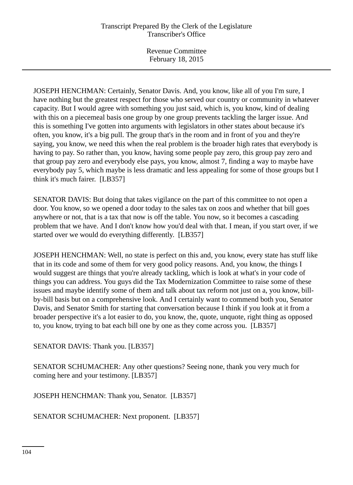JOSEPH HENCHMAN: Certainly, Senator Davis. And, you know, like all of you I'm sure, I have nothing but the greatest respect for those who served our country or community in whatever capacity. But I would agree with something you just said, which is, you know, kind of dealing with this on a piecemeal basis one group by one group prevents tackling the larger issue. And this is something I've gotten into arguments with legislators in other states about because it's often, you know, it's a big pull. The group that's in the room and in front of you and they're saying, you know, we need this when the real problem is the broader high rates that everybody is having to pay. So rather than, you know, having some people pay zero, this group pay zero and that group pay zero and everybody else pays, you know, almost 7, finding a way to maybe have everybody pay 5, which maybe is less dramatic and less appealing for some of those groups but I think it's much fairer. [LB357]

SENATOR DAVIS: But doing that takes vigilance on the part of this committee to not open a door. You know, so we opened a door today to the sales tax on zoos and whether that bill goes anywhere or not, that is a tax that now is off the table. You now, so it becomes a cascading problem that we have. And I don't know how you'd deal with that. I mean, if you start over, if we started over we would do everything differently. [LB357]

JOSEPH HENCHMAN: Well, no state is perfect on this and, you know, every state has stuff like that in its code and some of them for very good policy reasons. And, you know, the things I would suggest are things that you're already tackling, which is look at what's in your code of things you can address. You guys did the Tax Modernization Committee to raise some of these issues and maybe identify some of them and talk about tax reform not just on a, you know, billby-bill basis but on a comprehensive look. And I certainly want to commend both you, Senator Davis, and Senator Smith for starting that conversation because I think if you look at it from a broader perspective it's a lot easier to do, you know, the, quote, unquote, right thing as opposed to, you know, trying to bat each bill one by one as they come across you. [LB357]

SENATOR DAVIS: Thank you. [LB357]

SENATOR SCHUMACHER: Any other questions? Seeing none, thank you very much for coming here and your testimony. [LB357]

JOSEPH HENCHMAN: Thank you, Senator. [LB357]

SENATOR SCHUMACHER: Next proponent. [LB357]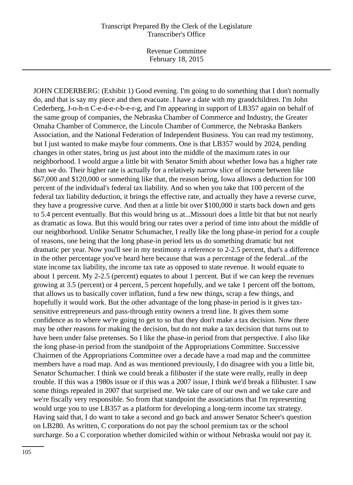JOHN CEDERBERG: (Exhibit 1) Good evening. I'm going to do something that I don't normally do, and that is say my piece and then evacuate. I have a date with my grandchildren. I'm John Cederberg, J-o-h-n C-e-d-e-r-b-e-r-g, and I'm appearing in support of LB357 again on behalf of the same group of companies, the Nebraska Chamber of Commerce and Industry, the Greater Omaha Chamber of Commerce, the Lincoln Chamber of Commerce, the Nebraska Bankers Association, and the National Federation of Independent Business. You can read my testimony, but I just wanted to make maybe four comments. One is that LB357 would by 2024, pending changes in other states, bring us just about into the middle of the maximum rates in our neighborhood. I would argue a little bit with Senator Smith about whether Iowa has a higher rate than we do. Their higher rate is actually for a relatively narrow slice of income between like \$67,000 and \$120,000 or something like that, the reason being, Iowa allows a deduction for 100 percent of the individual's federal tax liability. And so when you take that 100 percent of the federal tax liability deduction, it brings the effective rate, and actually they have a reverse curve, they have a progressive curve. And then at a little bit over \$100,000 it starts back down and gets to 5.4 percent eventually. But this would bring us at...Missouri does a little bit that but not nearly as dramatic as Iowa. But this would bring our rates over a period of time into about the middle of our neighborhood. Unlike Senator Schumacher, I really like the long phase-in period for a couple of reasons, one being that the long phase-in period lets us do something dramatic but not dramatic per year. Now you'll see in my testimony a reference to 2-2.5 percent, that's a difference in the other percentage you've heard here because that was a percentage of the federal...of the state income tax liability, the income tax rate as opposed to state revenue. It would equate to about 1 percent. My 2-2.5 (percent) equates to about 1 percent. But if we can keep the revenues growing at 3.5 (percent) or 4 percent, 5 percent hopefully, and we take 1 percent off the bottom, that allows us to basically cover inflation, fund a few new things, scrap a few things, and hopefully it would work. But the other advantage of the long phase-in period is it gives taxsensitive entrepreneurs and pass-through entity owners a trend line. It gives them some confidence as to where we're going to get to so that they don't make a tax decision. Now there may be other reasons for making the decision, but do not make a tax decision that turns out to have been under false pretenses. So I like the phase-in period from that perspective. I also like the long phase-in period from the standpoint of the Appropriations Committee. Successive Chairmen of the Appropriations Committee over a decade have a road map and the committee members have a road map. And as was mentioned previously, I do disagree with you a little bit, Senator Schumacher. I think we could break a filibuster if the state were really, really in deep trouble. If this was a 1980s issue or if this was a 2007 issue, I think we'd break a filibuster. I saw some things repealed in 2007 that surprised me. We take care of our own and we take care and we're fiscally very responsible. So from that standpoint the associations that I'm representing would urge you to use LB357 as a platform for developing a long-term income tax strategy. Having said that, I do want to take a second and go back and answer Senator Scheer's question on LB280. As written, C corporations do not pay the school premium tax or the school surcharge. So a C corporation whether domiciled within or without Nebraska would not pay it.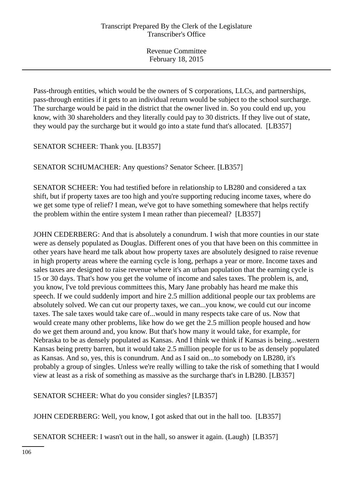Pass-through entities, which would be the owners of S corporations, LLCs, and partnerships, pass-through entities if it gets to an individual return would be subject to the school surcharge. The surcharge would be paid in the district that the owner lived in. So you could end up, you know, with 30 shareholders and they literally could pay to 30 districts. If they live out of state, they would pay the surcharge but it would go into a state fund that's allocated. [LB357]

SENATOR SCHEER: Thank you. [LB357]

SENATOR SCHUMACHER: Any questions? Senator Scheer. [LB357]

SENATOR SCHEER: You had testified before in relationship to LB280 and considered a tax shift, but if property taxes are too high and you're supporting reducing income taxes, where do we get some type of relief? I mean, we've got to have something somewhere that helps rectify the problem within the entire system I mean rather than piecemeal? [LB357]

JOHN CEDERBERG: And that is absolutely a conundrum. I wish that more counties in our state were as densely populated as Douglas. Different ones of you that have been on this committee in other years have heard me talk about how property taxes are absolutely designed to raise revenue in high property areas where the earning cycle is long, perhaps a year or more. Income taxes and sales taxes are designed to raise revenue where it's an urban population that the earning cycle is 15 or 30 days. That's how you get the volume of income and sales taxes. The problem is, and, you know, I've told previous committees this, Mary Jane probably has heard me make this speech. If we could suddenly import and hire 2.5 million additional people our tax problems are absolutely solved. We can cut our property taxes, we can...you know, we could cut our income taxes. The sale taxes would take care of...would in many respects take care of us. Now that would create many other problems, like how do we get the 2.5 million people housed and how do we get them around and, you know. But that's how many it would take, for example, for Nebraska to be as densely populated as Kansas. And I think we think if Kansas is being...western Kansas being pretty barren, but it would take 2.5 million people for us to be as densely populated as Kansas. And so, yes, this is conundrum. And as I said on...to somebody on LB280, it's probably a group of singles. Unless we're really willing to take the risk of something that I would view at least as a risk of something as massive as the surcharge that's in LB280. [LB357]

SENATOR SCHEER: What do you consider singles? [LB357]

JOHN CEDERBERG: Well, you know, I got asked that out in the hall too. [LB357]

SENATOR SCHEER: I wasn't out in the hall, so answer it again. (Laugh) [LB357]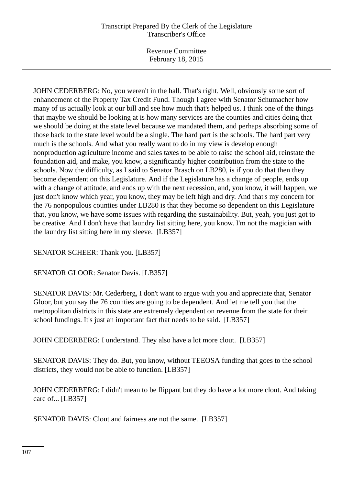Revenue Committee February 18, 2015

JOHN CEDERBERG: No, you weren't in the hall. That's right. Well, obviously some sort of enhancement of the Property Tax Credit Fund. Though I agree with Senator Schumacher how many of us actually look at our bill and see how much that's helped us. I think one of the things that maybe we should be looking at is how many services are the counties and cities doing that we should be doing at the state level because we mandated them, and perhaps absorbing some of those back to the state level would be a single. The hard part is the schools. The hard part very much is the schools. And what you really want to do in my view is develop enough nonproduction agriculture income and sales taxes to be able to raise the school aid, reinstate the foundation aid, and make, you know, a significantly higher contribution from the state to the schools. Now the difficulty, as I said to Senator Brasch on LB280, is if you do that then they become dependent on this Legislature. And if the Legislature has a change of people, ends up with a change of attitude, and ends up with the next recession, and, you know, it will happen, we just don't know which year, you know, they may be left high and dry. And that's my concern for the 76 nonpopulous counties under LB280 is that they become so dependent on this Legislature that, you know, we have some issues with regarding the sustainability. But, yeah, you just got to be creative. And I don't have that laundry list sitting here, you know. I'm not the magician with the laundry list sitting here in my sleeve. [LB357]

SENATOR SCHEER: Thank you. [LB357]

SENATOR GLOOR: Senator Davis. [LB357]

SENATOR DAVIS: Mr. Cederberg, I don't want to argue with you and appreciate that, Senator Gloor, but you say the 76 counties are going to be dependent. And let me tell you that the metropolitan districts in this state are extremely dependent on revenue from the state for their school fundings. It's just an important fact that needs to be said. [LB357]

JOHN CEDERBERG: I understand. They also have a lot more clout. [LB357]

SENATOR DAVIS: They do. But, you know, without TEEOSA funding that goes to the school districts, they would not be able to function. [LB357]

JOHN CEDERBERG: I didn't mean to be flippant but they do have a lot more clout. And taking care of... [LB357]

SENATOR DAVIS: Clout and fairness are not the same. [LB357]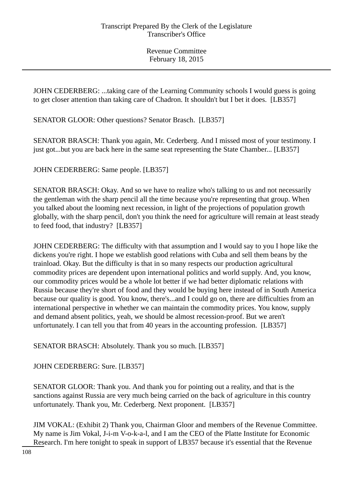JOHN CEDERBERG: ...taking care of the Learning Community schools I would guess is going to get closer attention than taking care of Chadron. It shouldn't but I bet it does. [LB357]

SENATOR GLOOR: Other questions? Senator Brasch. [LB357]

SENATOR BRASCH: Thank you again, Mr. Cederberg. And I missed most of your testimony. I just got...but you are back here in the same seat representing the State Chamber... [LB357]

JOHN CEDERBERG: Same people. [LB357]

SENATOR BRASCH: Okay. And so we have to realize who's talking to us and not necessarily the gentleman with the sharp pencil all the time because you're representing that group. When you talked about the looming next recession, in light of the projections of population growth globally, with the sharp pencil, don't you think the need for agriculture will remain at least steady to feed food, that industry? [LB357]

JOHN CEDERBERG: The difficulty with that assumption and I would say to you I hope like the dickens you're right. I hope we establish good relations with Cuba and sell them beans by the trainload. Okay. But the difficulty is that in so many respects our production agricultural commodity prices are dependent upon international politics and world supply. And, you know, our commodity prices would be a whole lot better if we had better diplomatic relations with Russia because they're short of food and they would be buying here instead of in South America because our quality is good. You know, there's...and I could go on, there are difficulties from an international perspective in whether we can maintain the commodity prices. You know, supply and demand absent politics, yeah, we should be almost recession-proof. But we aren't unfortunately. I can tell you that from 40 years in the accounting profession. [LB357]

SENATOR BRASCH: Absolutely. Thank you so much. [LB357]

JOHN CEDERBERG: Sure. [LB357]

SENATOR GLOOR: Thank you. And thank you for pointing out a reality, and that is the sanctions against Russia are very much being carried on the back of agriculture in this country unfortunately. Thank you, Mr. Cederberg. Next proponent. [LB357]

JIM VOKAL: (Exhibit 2) Thank you, Chairman Gloor and members of the Revenue Committee. My name is Jim Vokal, J-i-m V-o-k-a-l, and I am the CEO of the Platte Institute for Economic Research. I'm here tonight to speak in support of LB357 because it's essential that the Revenue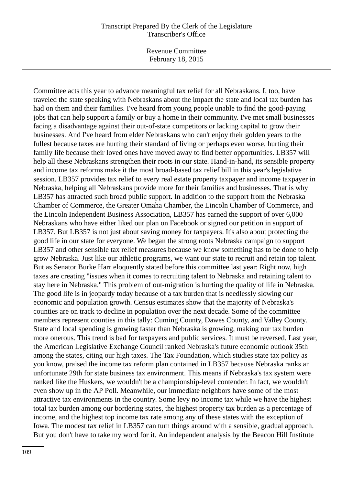Revenue Committee February 18, 2015

Committee acts this year to advance meaningful tax relief for all Nebraskans. I, too, have traveled the state speaking with Nebraskans about the impact the state and local tax burden has had on them and their families. I've heard from young people unable to find the good-paying jobs that can help support a family or buy a home in their community. I've met small businesses facing a disadvantage against their out-of-state competitors or lacking capital to grow their businesses. And I've heard from elder Nebraskans who can't enjoy their golden years to the fullest because taxes are hurting their standard of living or perhaps even worse, hurting their family life because their loved ones have moved away to find better opportunities. LB357 will help all these Nebraskans strengthen their roots in our state. Hand-in-hand, its sensible property and income tax reforms make it the most broad-based tax relief bill in this year's legislative session. LB357 provides tax relief to every real estate property taxpayer and income taxpayer in Nebraska, helping all Nebraskans provide more for their families and businesses. That is why LB357 has attracted such broad public support. In addition to the support from the Nebraska Chamber of Commerce, the Greater Omaha Chamber, the Lincoln Chamber of Commerce, and the Lincoln Independent Business Association, LB357 has earned the support of over 6,000 Nebraskans who have either liked our plan on Facebook or signed our petition in support of LB357. But LB357 is not just about saving money for taxpayers. It's also about protecting the good life in our state for everyone. We began the strong roots Nebraska campaign to support LB357 and other sensible tax relief measures because we know something has to be done to help grow Nebraska. Just like our athletic programs, we want our state to recruit and retain top talent. But as Senator Burke Harr eloquently stated before this committee last year: Right now, high taxes are creating "issues when it comes to recruiting talent to Nebraska and retaining talent to stay here in Nebraska." This problem of out-migration is hurting the quality of life in Nebraska. The good life is in jeopardy today because of a tax burden that is needlessly slowing our economic and population growth. Census estimates show that the majority of Nebraska's counties are on track to decline in population over the next decade. Some of the committee members represent counties in this tally: Cuming County, Dawes County, and Valley County. State and local spending is growing faster than Nebraska is growing, making our tax burden more onerous. This trend is bad for taxpayers and public services. It must be reversed. Last year, the American Legislative Exchange Council ranked Nebraska's future economic outlook 35th among the states, citing our high taxes. The Tax Foundation, which studies state tax policy as you know, praised the income tax reform plan contained in LB357 because Nebraska ranks an unfortunate 29th for state business tax environment. This means if Nebraska's tax system were ranked like the Huskers, we wouldn't be a championship-level contender. In fact, we wouldn't even show up in the AP Poll. Meanwhile, our immediate neighbors have some of the most attractive tax environments in the country. Some levy no income tax while we have the highest total tax burden among our bordering states, the highest property tax burden as a percentage of income, and the highest top income tax rate among any of these states with the exception of Iowa. The modest tax relief in LB357 can turn things around with a sensible, gradual approach. But you don't have to take my word for it. An independent analysis by the Beacon Hill Institute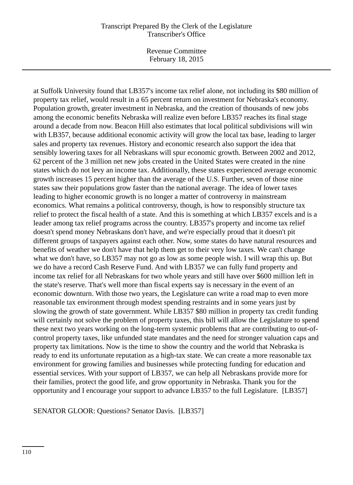Revenue Committee February 18, 2015

at Suffolk University found that LB357's income tax relief alone, not including its \$80 million of property tax relief, would result in a 65 percent return on investment for Nebraska's economy. Population growth, greater investment in Nebraska, and the creation of thousands of new jobs among the economic benefits Nebraska will realize even before LB357 reaches its final stage around a decade from now. Beacon Hill also estimates that local political subdivisions will win with LB357, because additional economic activity will grow the local tax base, leading to larger sales and property tax revenues. History and economic research also support the idea that sensibly lowering taxes for all Nebraskans will spur economic growth. Between 2002 and 2012, 62 percent of the 3 million net new jobs created in the United States were created in the nine states which do not levy an income tax. Additionally, these states experienced average economic growth increases 15 percent higher than the average of the U.S. Further, seven of those nine states saw their populations grow faster than the national average. The idea of lower taxes leading to higher economic growth is no longer a matter of controversy in mainstream economics. What remains a political controversy, though, is how to responsibly structure tax relief to protect the fiscal health of a state. And this is something at which LB357 excels and is a leader among tax relief programs across the country. LB357's property and income tax relief doesn't spend money Nebraskans don't have, and we're especially proud that it doesn't pit different groups of taxpayers against each other. Now, some states do have natural resources and benefits of weather we don't have that help them get to their very low taxes. We can't change what we don't have, so LB357 may not go as low as some people wish. I will wrap this up. But we do have a record Cash Reserve Fund. And with LB357 we can fully fund property and income tax relief for all Nebraskans for two whole years and still have over \$600 million left in the state's reserve. That's well more than fiscal experts say is necessary in the event of an economic downturn. With those two years, the Legislature can write a road map to even more reasonable tax environment through modest spending restraints and in some years just by slowing the growth of state government. While LB357 \$80 million in property tax credit funding will certainly not solve the problem of property taxes, this bill will allow the Legislature to spend these next two years working on the long-term systemic problems that are contributing to out-ofcontrol property taxes, like unfunded state mandates and the need for stronger valuation caps and property tax limitations. Now is the time to show the country and the world that Nebraska is ready to end its unfortunate reputation as a high-tax state. We can create a more reasonable tax environment for growing families and businesses while protecting funding for education and essential services. With your support of LB357, we can help all Nebraskans provide more for their families, protect the good life, and grow opportunity in Nebraska. Thank you for the opportunity and I encourage your support to advance LB357 to the full Legislature. [LB357]

SENATOR GLOOR: Questions? Senator Davis. [LB357]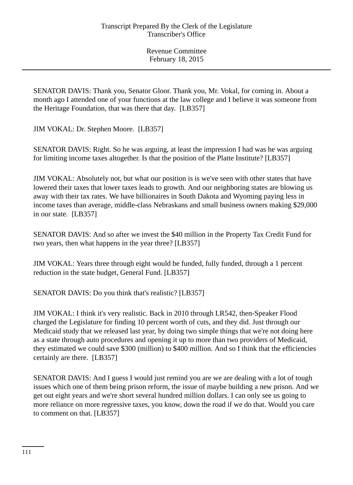SENATOR DAVIS: Thank you, Senator Gloor. Thank you, Mr. Vokal, for coming in. About a month ago I attended one of your functions at the law college and I believe it was someone from the Heritage Foundation, that was there that day. [LB357]

JIM VOKAL: Dr. Stephen Moore. [LB357]

SENATOR DAVIS: Right. So he was arguing, at least the impression I had was he was arguing for limiting income taxes altogether. Is that the position of the Platte Institute? [LB357]

JIM VOKAL: Absolutely not, but what our position is is we've seen with other states that have lowered their taxes that lower taxes leads to growth. And our neighboring states are blowing us away with their tax rates. We have billionaires in South Dakota and Wyoming paying less in income taxes than average, middle-class Nebraskans and small business owners making \$29,000 in our state. [LB357]

SENATOR DAVIS: And so after we invest the \$40 million in the Property Tax Credit Fund for two years, then what happens in the year three? [LB357]

JIM VOKAL: Years three through eight would be funded, fully funded, through a 1 percent reduction in the state budget, General Fund. [LB357]

SENATOR DAVIS: Do you think that's realistic? [LB357]

JIM VOKAL: I think it's very realistic. Back in 2010 through LR542, then-Speaker Flood charged the Legislature for finding 10 percent worth of cuts, and they did. Just through our Medicaid study that we released last year, by doing two simple things that we're not doing here as a state through auto procedures and opening it up to more than two providers of Medicaid, they estimated we could save \$300 (million) to \$400 million. And so I think that the efficiencies certainly are there. [LB357]

SENATOR DAVIS: And I guess I would just remind you are we are dealing with a lot of tough issues which one of them being prison reform, the issue of maybe building a new prison. And we get out eight years and we're short several hundred million dollars. I can only see us going to more reliance on more regressive taxes, you know, down the road if we do that. Would you care to comment on that. [LB357]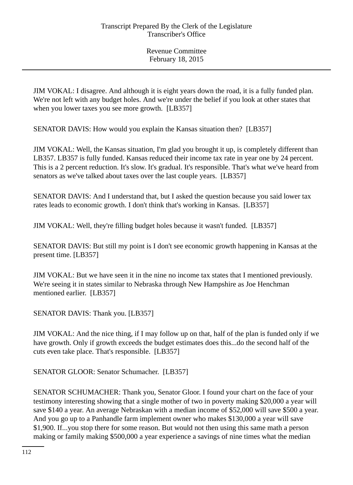JIM VOKAL: I disagree. And although it is eight years down the road, it is a fully funded plan. We're not left with any budget holes. And we're under the belief if you look at other states that when you lower taxes you see more growth. [LB357]

SENATOR DAVIS: How would you explain the Kansas situation then? [LB357]

JIM VOKAL: Well, the Kansas situation, I'm glad you brought it up, is completely different than LB357. LB357 is fully funded. Kansas reduced their income tax rate in year one by 24 percent. This is a 2 percent reduction. It's slow. It's gradual. It's responsible. That's what we've heard from senators as we've talked about taxes over the last couple years. [LB357]

SENATOR DAVIS: And I understand that, but I asked the question because you said lower tax rates leads to economic growth. I don't think that's working in Kansas. [LB357]

JIM VOKAL: Well, they're filling budget holes because it wasn't funded. [LB357]

SENATOR DAVIS: But still my point is I don't see economic growth happening in Kansas at the present time. [LB357]

JIM VOKAL: But we have seen it in the nine no income tax states that I mentioned previously. We're seeing it in states similar to Nebraska through New Hampshire as Joe Henchman mentioned earlier. [LB357]

SENATOR DAVIS: Thank you. [LB357]

JIM VOKAL: And the nice thing, if I may follow up on that, half of the plan is funded only if we have growth. Only if growth exceeds the budget estimates does this...do the second half of the cuts even take place. That's responsible. [LB357]

SENATOR GLOOR: Senator Schumacher. [LB357]

SENATOR SCHUMACHER: Thank you, Senator Gloor. I found your chart on the face of your testimony interesting showing that a single mother of two in poverty making \$20,000 a year will save \$140 a year. An average Nebraskan with a median income of \$52,000 will save \$500 a year. And you go up to a Panhandle farm implement owner who makes \$130,000 a year will save \$1,900. If...you stop there for some reason. But would not then using this same math a person making or family making \$500,000 a year experience a savings of nine times what the median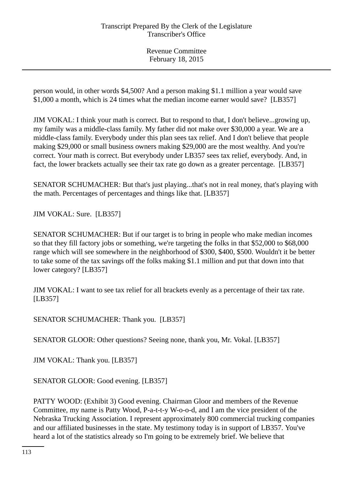person would, in other words \$4,500? And a person making \$1.1 million a year would save \$1,000 a month, which is 24 times what the median income earner would save? [LB357]

JIM VOKAL: I think your math is correct. But to respond to that, I don't believe...growing up, my family was a middle-class family. My father did not make over \$30,000 a year. We are a middle-class family. Everybody under this plan sees tax relief. And I don't believe that people making \$29,000 or small business owners making \$29,000 are the most wealthy. And you're correct. Your math is correct. But everybody under LB357 sees tax relief, everybody. And, in fact, the lower brackets actually see their tax rate go down as a greater percentage. [LB357]

SENATOR SCHUMACHER: But that's just playing...that's not in real money, that's playing with the math. Percentages of percentages and things like that. [LB357]

JIM VOKAL: Sure. [LB357]

SENATOR SCHUMACHER: But if our target is to bring in people who make median incomes so that they fill factory jobs or something, we're targeting the folks in that \$52,000 to \$68,000 range which will see somewhere in the neighborhood of \$300, \$400, \$500. Wouldn't it be better to take some of the tax savings off the folks making \$1.1 million and put that down into that lower category? [LB357]

JIM VOKAL: I want to see tax relief for all brackets evenly as a percentage of their tax rate. [LB357]

SENATOR SCHUMACHER: Thank you. [LB357]

SENATOR GLOOR: Other questions? Seeing none, thank you, Mr. Vokal. [LB357]

JIM VOKAL: Thank you. [LB357]

SENATOR GLOOR: Good evening. [LB357]

PATTY WOOD: (Exhibit 3) Good evening. Chairman Gloor and members of the Revenue Committee, my name is Patty Wood, P-a-t-t-y W-o-o-d, and I am the vice president of the Nebraska Trucking Association. I represent approximately 800 commercial trucking companies and our affiliated businesses in the state. My testimony today is in support of LB357. You've heard a lot of the statistics already so I'm going to be extremely brief. We believe that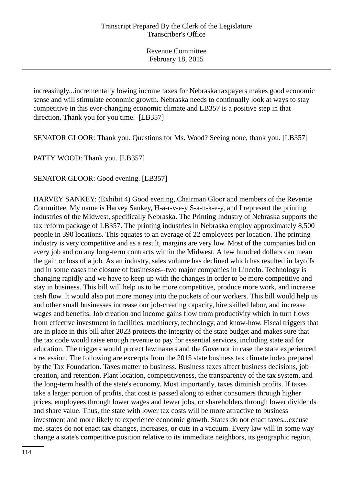increasingly...incrementally lowing income taxes for Nebraska taxpayers makes good economic sense and will stimulate economic growth. Nebraska needs to continually look at ways to stay competitive in this ever-changing economic climate and LB357 is a positive step in that direction. Thank you for you time. [LB357]

SENATOR GLOOR: Thank you. Questions for Ms. Wood? Seeing none, thank you. [LB357]

PATTY WOOD: Thank you. [LB357]

SENATOR GLOOR: Good evening. [LB357]

HARVEY SANKEY: (Exhibit 4) Good evening, Chairman Gloor and members of the Revenue Committee. My name is Harvey Sankey, H-a-r-v-e-y S-a-n-k-e-y, and I represent the printing industries of the Midwest, specifically Nebraska. The Printing Industry of Nebraska supports the tax reform package of LB357. The printing industries in Nebraska employ approximately 8,500 people in 390 locations. This equates to an average of 22 employees per location. The printing industry is very competitive and as a result, margins are very low. Most of the companies bid on every job and on any long-term contracts within the Midwest. A few hundred dollars can mean the gain or loss of a job. As an industry, sales volume has declined which has resulted in layoffs and in some cases the closure of businesses--two major companies in Lincoln. Technology is changing rapidly and we have to keep up with the changes in order to be more competitive and stay in business. This bill will help us to be more competitive, produce more work, and increase cash flow. It would also put more money into the pockets of our workers. This bill would help us and other small businesses increase our job-creating capacity, hire skilled labor, and increase wages and benefits. Job creation and income gains flow from productivity which in turn flows from effective investment in facilities, machinery, technology, and know-how. Fiscal triggers that are in place in this bill after 2023 protects the integrity of the state budget and makes sure that the tax code would raise enough revenue to pay for essential services, including state aid for education. The triggers would protect lawmakers and the Governor in case the state experienced a recession. The following are excerpts from the 2015 state business tax climate index prepared by the Tax Foundation. Taxes matter to business. Business taxes affect business decisions, job creation, and retention. Plant location, competitiveness, the transparency of the tax system, and the long-term health of the state's economy. Most importantly, taxes diminish profits. If taxes take a larger portion of profits, that cost is passed along to either consumers through higher prices, employees through lower wages and fewer jobs, or shareholders through lower dividends and share value. Thus, the state with lower tax costs will be more attractive to business investment and more likely to experience economic growth. States do not enact taxes...excuse me, states do not enact tax changes, increases, or cuts in a vacuum. Every law will in some way change a state's competitive position relative to its immediate neighbors, its geographic region,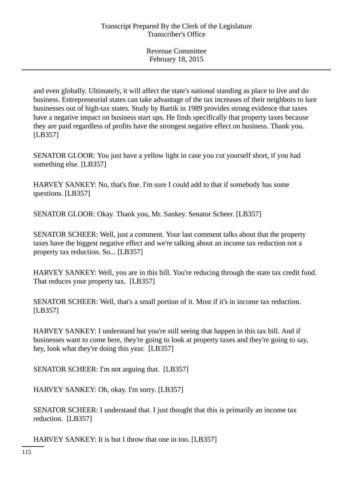and even globally. Ultimately, it will affect the state's national standing as place to live and do business. Entrepreneurial states can take advantage of the tax increases of their neighbors to lure businesses out of high-tax states. Study by Bartik in 1989 provides strong evidence that taxes have a negative impact on business start ups. He finds specifically that property taxes because they are paid regardless of profits have the strongest negative effect on business. Thank you. [LB357]

SENATOR GLOOR: You just have a yellow light in case you cut yourself short, if you had something else. [LB357]

HARVEY SANKEY: No, that's fine. I'm sure I could add to that if somebody has some questions. [LB357]

SENATOR GLOOR: Okay. Thank you, Mr. Sankey. Senator Scheer. [LB357]

SENATOR SCHEER: Well, just a comment. Your last comment talks about that the property taxes have the biggest negative effect and we're talking about an income tax reduction not a property tax reduction. So... [LB357]

HARVEY SANKEY: Well, you are in this bill. You're reducing through the state tax credit fund. That reduces your property tax. [LB357]

SENATOR SCHEER: Well, that's a small portion of it. Most if it's in income tax reduction. [LB357]

HARVEY SANKEY: I understand but you're still seeing that happen in this tax bill. And if businesses want to come here, they're going to look at property taxes and they're going to say, hey, look what they're doing this year. [LB357]

SENATOR SCHEER: I'm not arguing that. [LB357]

HARVEY SANKEY: Oh, okay. I'm sorry. [LB357]

SENATOR SCHEER: I understand that. I just thought that this is primarily an income tax reduction. [LB357]

HARVEY SANKEY: It is but I throw that one in too. [LB357]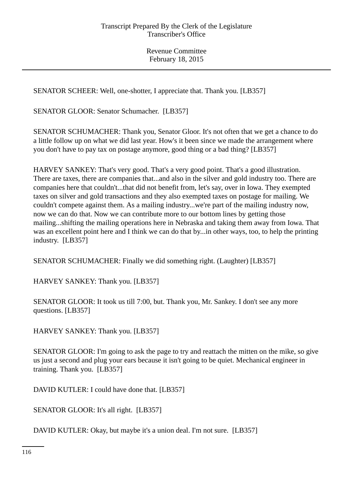SENATOR SCHEER: Well, one-shotter, I appreciate that. Thank you. [LB357]

SENATOR GLOOR: Senator Schumacher. [LB357]

SENATOR SCHUMACHER: Thank you, Senator Gloor. It's not often that we get a chance to do a little follow up on what we did last year. How's it been since we made the arrangement where you don't have to pay tax on postage anymore, good thing or a bad thing? [LB357]

HARVEY SANKEY: That's very good. That's a very good point. That's a good illustration. There are taxes, there are companies that...and also in the silver and gold industry too. There are companies here that couldn't...that did not benefit from, let's say, over in Iowa. They exempted taxes on silver and gold transactions and they also exempted taxes on postage for mailing. We couldn't compete against them. As a mailing industry...we're part of the mailing industry now, now we can do that. Now we can contribute more to our bottom lines by getting those mailing...shifting the mailing operations here in Nebraska and taking them away from Iowa. That was an excellent point here and I think we can do that by...in other ways, too, to help the printing industry. [LB357]

SENATOR SCHUMACHER: Finally we did something right. (Laughter) [LB357]

HARVEY SANKEY: Thank you. [LB357]

SENATOR GLOOR: It took us till 7:00, but. Thank you, Mr. Sankey. I don't see any more questions. [LB357]

HARVEY SANKEY: Thank you. [LB357]

SENATOR GLOOR: I'm going to ask the page to try and reattach the mitten on the mike, so give us just a second and plug your ears because it isn't going to be quiet. Mechanical engineer in training. Thank you. [LB357]

DAVID KUTLER: I could have done that. [LB357]

SENATOR GLOOR: It's all right. [LB357]

DAVID KUTLER: Okay, but maybe it's a union deal. I'm not sure. [LB357]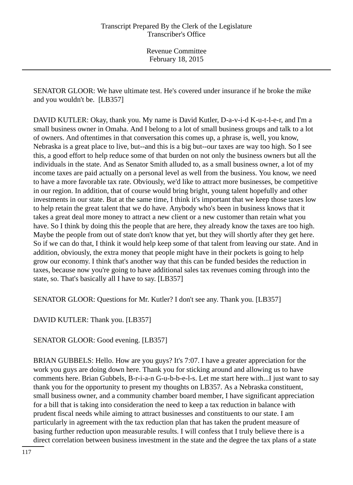SENATOR GLOOR: We have ultimate test. He's covered under insurance if he broke the mike and you wouldn't be. [LB357]

DAVID KUTLER: Okay, thank you. My name is David Kutler, D-a-v-i-d K-u-t-l-e-r, and I'm a small business owner in Omaha. And I belong to a lot of small business groups and talk to a lot of owners. And oftentimes in that conversation this comes up, a phrase is, well, you know, Nebraska is a great place to live, but--and this is a big but--our taxes are way too high. So I see this, a good effort to help reduce some of that burden on not only the business owners but all the individuals in the state. And as Senator Smith alluded to, as a small business owner, a lot of my income taxes are paid actually on a personal level as well from the business. You know, we need to have a more favorable tax rate. Obviously, we'd like to attract more businesses, be competitive in our region. In addition, that of course would bring bright, young talent hopefully and other investments in our state. But at the same time, I think it's important that we keep those taxes low to help retain the great talent that we do have. Anybody who's been in business knows that it takes a great deal more money to attract a new client or a new customer than retain what you have. So I think by doing this the people that are here, they already know the taxes are too high. Maybe the people from out of state don't know that yet, but they will shortly after they get here. So if we can do that, I think it would help keep some of that talent from leaving our state. And in addition, obviously, the extra money that people might have in their pockets is going to help grow our economy. I think that's another way that this can be funded besides the reduction in taxes, because now you're going to have additional sales tax revenues coming through into the state, so. That's basically all I have to say. [LB357]

SENATOR GLOOR: Questions for Mr. Kutler? I don't see any. Thank you. [LB357]

DAVID KUTLER: Thank you. [LB357]

SENATOR GLOOR: Good evening. [LB357]

BRIAN GUBBELS: Hello. How are you guys? It's 7:07. I have a greater appreciation for the work you guys are doing down here. Thank you for sticking around and allowing us to have comments here. Brian Gubbels, B-r-i-a-n G-u-b-b-e-l-s. Let me start here with...I just want to say thank you for the opportunity to present my thoughts on LB357. As a Nebraska constituent, small business owner, and a community chamber board member, I have significant appreciation for a bill that is taking into consideration the need to keep a tax reduction in balance with prudent fiscal needs while aiming to attract businesses and constituents to our state. I am particularly in agreement with the tax reduction plan that has taken the prudent measure of basing further reduction upon measurable results. I will confess that I truly believe there is a direct correlation between business investment in the state and the degree the tax plans of a state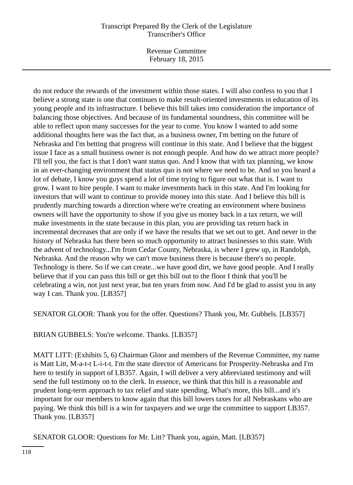Revenue Committee February 18, 2015

do not reduce the rewards of the investment within those states. I will also confess to you that I believe a strong state is one that continues to make result-oriented investments in education of its young people and its infrastructure. I believe this bill takes into consideration the importance of balancing those objectives. And because of its fundamental soundness, this committee will be able to reflect upon many successes for the year to come. You know I wanted to add some additional thoughts here was the fact that, as a business owner, I'm betting on the future of Nebraska and I'm betting that progress will continue in this state. And I believe that the biggest issue I face as a small business owner is not enough people. And how do we attract more people? I'll tell you, the fact is that I don't want status quo. And I know that with tax planning, we know in an ever-changing environment that status quo is not where we need to be. And so you heard a lot of debate, I know you guys spend a lot of time trying to figure out what that is. I want to grow. I want to hire people. I want to make investments back in this state. And I'm looking for investors that will want to continue to provide money into this state. And I believe this bill is prudently marching towards a direction where we're creating an environment where business owners will have the opportunity to show if you give us money back in a tax return, we will make investments in the state because in this plan, you are providing tax return back in incremental decreases that are only if we have the results that we set out to get. And never in the history of Nebraska has there been so much opportunity to attract businesses to this state. With the advent of technology...I'm from Cedar County, Nebraska, is where I grew up, in Randolph, Nebraska. And the reason why we can't move business there is because there's no people. Technology is there. So if we can create...we have good dirt, we have good people. And I really believe that if you can pass this bill or get this bill out to the floor I think that you'll be celebrating a win, not just next year, but ten years from now. And I'd be glad to assist you in any way I can. Thank you. [LB357]

SENATOR GLOOR: Thank you for the offer. Questions? Thank you, Mr. Gubbels. [LB357]

BRIAN GUBBELS: You're welcome. Thanks. [LB357]

MATT LITT: (Exhibits 5, 6) Chairman Gloor and members of the Revenue Committee, my name is Matt Litt, M-a-t-t L-i-t-t. I'm the state director of Americans for Prosperity-Nebraska and I'm here to testify in support of LB357. Again, I will deliver a very abbreviated testimony and will send the full testimony on to the clerk. In essence, we think that this bill is a reasonable and prudent long-term approach to tax relief and state spending. What's more, this bill...and it's important for our members to know again that this bill lowers taxes for all Nebraskans who are paying. We think this bill is a win for taxpayers and we urge the committee to support LB357. Thank you. [LB357]

SENATOR GLOOR: Questions for Mr. Litt? Thank you, again, Matt. [LB357]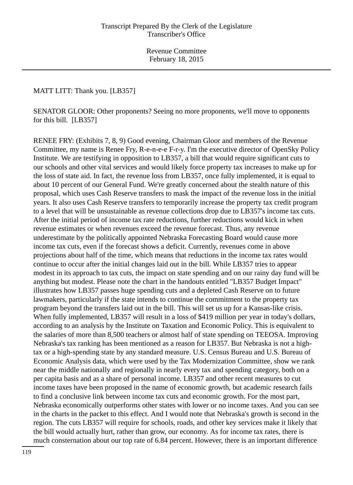## MATT LITT: Thank you. [LB357]

SENATOR GLOOR: Other proponents? Seeing no more proponents, we'll move to opponents for this bill. [LB357]

RENEE FRY: (Exhibits 7, 8, 9) Good evening, Chairman Gloor and members of the Revenue Committee, my name is Renee Fry, R-e-n-e-e F-r-y. I'm the executive director of OpenSky Policy Institute. We are testifying in opposition to LB357, a bill that would require significant cuts to our schools and other vital services and would likely force property tax increases to make up for the loss of state aid. In fact, the revenue loss from LB357, once fully implemented, it is equal to about 10 percent of our General Fund. We're greatly concerned about the stealth nature of this proposal, which uses Cash Reserve transfers to mask the impact of the revenue loss in the initial years. It also uses Cash Reserve transfers to temporarily increase the property tax credit program to a level that will be unsustainable as revenue collections drop due to LB357's income tax cuts. After the initial period of income tax rate reductions, further reductions would kick in when revenue estimates or when revenues exceed the revenue forecast. Thus, any revenue underestimate by the politically appointed Nebraska Forecasting Board would cause more income tax cuts, even if the forecast shows a deficit. Currently, revenues come in above projections about half of the time, which means that reductions in the income tax rates would continue to occur after the initial changes laid out in the bill. While LB357 tries to appear modest in its approach to tax cuts, the impact on state spending and on our rainy day fund will be anything but modest. Please note the chart in the handouts entitled "LB357 Budget Impact" illustrates how LB357 passes huge spending cuts and a depleted Cash Reserve on to future lawmakers, particularly if the state intends to continue the commitment to the property tax program beyond the transfers laid out in the bill. This will set us up for a Kansas-like crisis. When fully implemented, LB357 will result in a loss of \$419 million per year in today's dollars, according to an analysis by the Institute on Taxation and Economic Policy. This is equivalent to the salaries of more than 8,500 teachers or almost half of state spending on TEEOSA. Improving Nebraska's tax ranking has been mentioned as a reason for LB357. But Nebraska is not a hightax or a high-spending state by any standard measure. U.S. Census Bureau and U.S. Bureau of Economic Analysis data, which were used by the Tax Modernization Committee, show we rank near the middle nationally and regionally in nearly every tax and spending category, both on a per capita basis and as a share of personal income. LB357 and other recent measures to cut income taxes have been proposed in the name of economic growth, but academic research fails to find a conclusive link between income tax cuts and economic growth. For the most part, Nebraska economically outperforms other states with lower or no income taxes. And you can see in the charts in the packet to this effect. And I would note that Nebraska's growth is second in the region. The cuts LB357 will require for schools, roads, and other key services make it likely that the bill would actually hurt, rather than grow, our economy. As for income tax rates, there is much consternation about our top rate of 6.84 percent. However, there is an important difference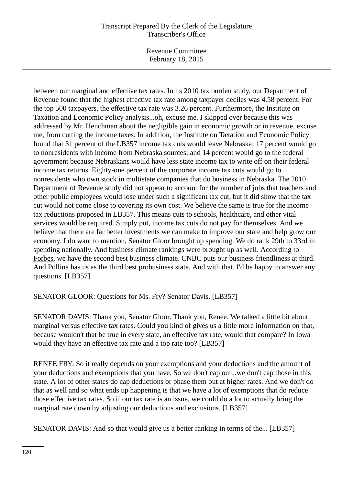Revenue Committee February 18, 2015

between our marginal and effective tax rates. In its 2010 tax burden study, our Department of Revenue found that the highest effective tax rate among taxpayer deciles was 4.58 percent. For the top 500 taxpayers, the effective tax rate was 3.26 percent. Furthermore, the Institute on Taxation and Economic Policy analysis...oh, excuse me. I skipped over because this was addressed by Mr. Henchman about the negligible gain in economic growth or in revenue, excuse me, from cutting the income taxes. In addition, the Institute on Taxation and Economic Policy found that 31 percent of the LB357 income tax cuts would leave Nebraska; 17 percent would go to nonresidents with income from Nebraska sources; and 14 percent would go to the federal government because Nebraskans would have less state income tax to write off on their federal income tax returns. Eighty-one percent of the corporate income tax cuts would go to nonresidents who own stock in multistate companies that do business in Nebraska. The 2010 Department of Revenue study did not appear to account for the number of jobs that teachers and other public employees would lose under such a significant tax cut, but it did show that the tax cut would not come close to covering its own cost. We believe the same is true for the income tax reductions proposed in LB357. This means cuts to schools, healthcare, and other vital services would be required. Simply put, income tax cuts do not pay for themselves. And we believe that there are far better investments we can make to improve our state and help grow our economy. I do want to mention, Senator Gloor brought up spending. We do rank 29th to 33rd in spending nationally. And business climate rankings were brought up as well. According to Forbes, we have the second best business climate. CNBC puts our business friendliness at third. And Pollina has us as the third best probusiness state. And with that, I'd be happy to answer any questions. [LB357]

SENATOR GLOOR: Questions for Ms. Fry? Senator Davis. [LB357]

SENATOR DAVIS: Thank you, Senator Gloor. Thank you, Renee. We talked a little bit about marginal versus effective tax rates. Could you kind of gives us a little more information on that, because wouldn't that be true in every state, an effective tax rate, would that compare? In Iowa would they have an effective tax rate and a top rate too? [LB357]

RENEE FRY: So it really depends on your exemptions and your deductions and the amount of your deductions and exemptions that you have. So we don't cap our...we don't cap those in this state. A lot of other states do cap deductions or phase them out at higher rates. And we don't do that as well and so what ends up happening is that we have a lot of exemptions that do reduce those effective tax rates. So if our tax rate is an issue, we could do a lot to actually bring the marginal rate down by adjusting our deductions and exclusions. [LB357]

SENATOR DAVIS: And so that would give us a better ranking in terms of the... [LB357]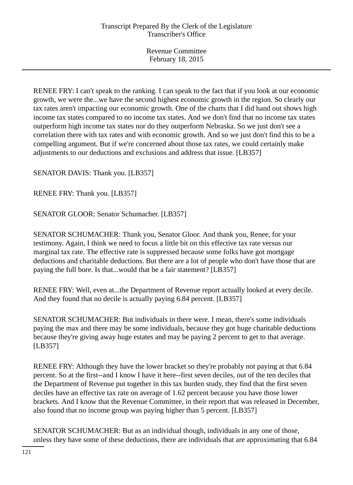RENEE FRY: I can't speak to the ranking. I can speak to the fact that if you look at our economic growth, we were the...we have the second highest economic growth in the region. So clearly our tax rates aren't impacting our economic growth. One of the charts that I did hand out shows high income tax states compared to no income tax states. And we don't find that no income tax states outperform high income tax states nor do they outperform Nebraska. So we just don't see a correlation there with tax rates and with economic growth. And so we just don't find this to be a compelling argument. But if we're concerned about those tax rates, we could certainly make adjustments to our deductions and exclusions and address that issue. [LB357]

SENATOR DAVIS: Thank you. [LB357]

RENEE FRY: Thank you. [LB357]

SENATOR GLOOR: Senator Schumacher. [LB357]

SENATOR SCHUMACHER: Thank you, Senator Gloor. And thank you, Renee, for your testimony. Again, I think we need to focus a little bit on this effective tax rate versus our marginal tax rate. The effective rate is suppressed because some folks have got mortgage deductions and charitable deductions. But there are a lot of people who don't have those that are paying the full bore. Is that...would that be a fair statement? [LB357]

RENEE FRY: Well, even at...the Department of Revenue report actually looked at every decile. And they found that no decile is actually paying 6.84 percent. [LB357]

SENATOR SCHUMACHER: But individuals in there were. I mean, there's some individuals paying the max and there may be some individuals, because they got huge charitable deductions because they're giving away huge estates and may be paying 2 percent to get to that average. [LB357]

RENEE FRY: Although they have the lower bracket so they're probably not paying at that 6.84 percent. So at the first--and I know I have it here--first seven deciles, out of the ten deciles that the Department of Revenue put together in this tax burden study, they find that the first seven deciles have an effective tax rate on average of 1.62 percent because you have those lower brackets. And I know that the Revenue Committee, in their report that was released in December, also found that no income group was paying higher than 5 percent. [LB357]

SENATOR SCHUMACHER: But as an individual though, individuals in any one of those, unless they have some of these deductions, there are individuals that are approximating that 6.84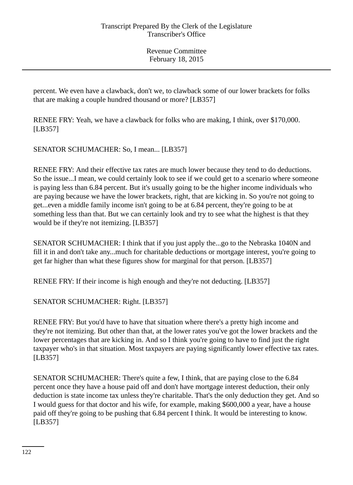percent. We even have a clawback, don't we, to clawback some of our lower brackets for folks that are making a couple hundred thousand or more? [LB357]

RENEE FRY: Yeah, we have a clawback for folks who are making, I think, over \$170,000. [LB357]

SENATOR SCHUMACHER: So, I mean... [LB357]

RENEE FRY: And their effective tax rates are much lower because they tend to do deductions. So the issue...I mean, we could certainly look to see if we could get to a scenario where someone is paying less than 6.84 percent. But it's usually going to be the higher income individuals who are paying because we have the lower brackets, right, that are kicking in. So you're not going to get...even a middle family income isn't going to be at 6.84 percent, they're going to be at something less than that. But we can certainly look and try to see what the highest is that they would be if they're not itemizing. [LB357]

SENATOR SCHUMACHER: I think that if you just apply the...go to the Nebraska 1040N and fill it in and don't take any...much for charitable deductions or mortgage interest, you're going to get far higher than what these figures show for marginal for that person. [LB357]

RENEE FRY: If their income is high enough and they're not deducting. [LB357]

SENATOR SCHUMACHER: Right. [LB357]

RENEE FRY: But you'd have to have that situation where there's a pretty high income and they're not itemizing. But other than that, at the lower rates you've got the lower brackets and the lower percentages that are kicking in. And so I think you're going to have to find just the right taxpayer who's in that situation. Most taxpayers are paying significantly lower effective tax rates. [LB357]

SENATOR SCHUMACHER: There's quite a few, I think, that are paying close to the 6.84 percent once they have a house paid off and don't have mortgage interest deduction, their only deduction is state income tax unless they're charitable. That's the only deduction they get. And so I would guess for that doctor and his wife, for example, making \$600,000 a year, have a house paid off they're going to be pushing that 6.84 percent I think. It would be interesting to know. [LB357]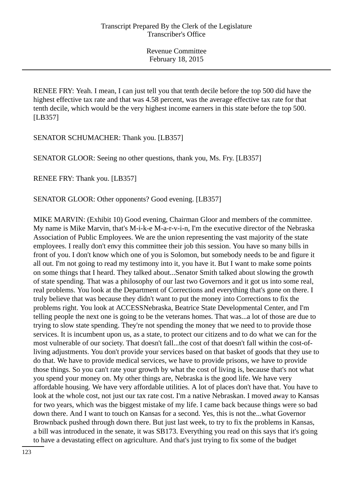RENEE FRY: Yeah. I mean, I can just tell you that tenth decile before the top 500 did have the highest effective tax rate and that was 4.58 percent, was the average effective tax rate for that tenth decile, which would be the very highest income earners in this state before the top 500. [LB357]

SENATOR SCHUMACHER: Thank you. [LB357]

SENATOR GLOOR: Seeing no other questions, thank you, Ms. Fry. [LB357]

RENEE FRY: Thank you. [LB357]

SENATOR GLOOR: Other opponents? Good evening. [LB357]

MIKE MARVIN: (Exhibit 10) Good evening, Chairman Gloor and members of the committee. My name is Mike Marvin, that's M-i-k-e M-a-r-v-i-n, I'm the executive director of the Nebraska Association of Public Employees. We are the union representing the vast majority of the state employees. I really don't envy this committee their job this session. You have so many bills in front of you. I don't know which one of you is Solomon, but somebody needs to be and figure it all out. I'm not going to read my testimony into it, you have it. But I want to make some points on some things that I heard. They talked about...Senator Smith talked about slowing the growth of state spending. That was a philosophy of our last two Governors and it got us into some real, real problems. You look at the Department of Corrections and everything that's gone on there. I truly believe that was because they didn't want to put the money into Corrections to fix the problems right. You look at ACCESSNebraska, Beatrice State Developmental Center, and I'm telling people the next one is going to be the veterans homes. That was...a lot of those are due to trying to slow state spending. They're not spending the money that we need to to provide those services. It is incumbent upon us, as a state, to protect our citizens and to do what we can for the most vulnerable of our society. That doesn't fall...the cost of that doesn't fall within the cost-ofliving adjustments. You don't provide your services based on that basket of goods that they use to do that. We have to provide medical services, we have to provide prisons, we have to provide those things. So you can't rate your growth by what the cost of living is, because that's not what you spend your money on. My other things are, Nebraska is the good life. We have very affordable housing. We have very affordable utilities. A lot of places don't have that. You have to look at the whole cost, not just our tax rate cost. I'm a native Nebraskan. I moved away to Kansas for two years, which was the biggest mistake of my life. I came back because things were so bad down there. And I want to touch on Kansas for a second. Yes, this is not the...what Governor Brownback pushed through down there. But just last week, to try to fix the problems in Kansas, a bill was introduced in the senate, it was SB173. Everything you read on this says that it's going to have a devastating effect on agriculture. And that's just trying to fix some of the budget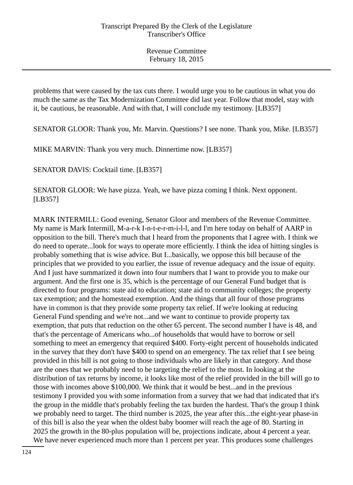problems that were caused by the tax cuts there. I would urge you to be cautious in what you do much the same as the Tax Modernization Committee did last year. Follow that model, stay with it, be cautious, be reasonable. And with that, I will conclude my testimony. [LB357]

SENATOR GLOOR: Thank you, Mr. Marvin. Questions? I see none. Thank you, Mike. [LB357]

MIKE MARVIN: Thank you very much. Dinnertime now. [LB357]

SENATOR DAVIS: Cocktail time. [LB357]

SENATOR GLOOR: We have pizza. Yeah, we have pizza coming I think. Next opponent. [LB357]

MARK INTERMILL: Good evening, Senator Gloor and members of the Revenue Committee. My name is Mark Intermill, M-a-r-k I-n-t-e-r-m-i-l-l, and I'm here today on behalf of AARP in opposition to the bill. There's much that I heard from the proponents that I agree with. I think we do need to operate...look for ways to operate more efficiently. I think the idea of hitting singles is probably something that is wise advice. But I...basically, we oppose this bill because of the principles that we provided to you earlier, the issue of revenue adequacy and the issue of equity. And I just have summarized it down into four numbers that I want to provide you to make our argument. And the first one is 35, which is the percentage of our General Fund budget that is directed to four programs: state aid to education; state aid to community colleges; the property tax exemption; and the homestead exemption. And the things that all four of those programs have in common is that they provide some property tax relief. If we're looking at reducing General Fund spending and we're not...and we want to continue to provide property tax exemption, that puts that reduction on the other 65 percent. The second number I have is 48, and that's the percentage of Americans who...of households that would have to borrow or sell something to meet an emergency that required \$400. Forty-eight percent of households indicated in the survey that they don't have \$400 to spend on an emergency. The tax relief that I see being provided in this bill is not going to those individuals who are likely in that category. And those are the ones that we probably need to be targeting the relief to the most. In looking at the distribution of tax returns by income, it looks like most of the relief provided in the bill will go to those with incomes above \$100,000. We think that it would be best...and in the previous testimony I provided you with some information from a survey that we had that indicated that it's the group in the middle that's probably feeling the tax burden the hardest. That's the group I think we probably need to target. The third number is 2025, the year after this...the eight-year phase-in of this bill is also the year when the oldest baby boomer will reach the age of 80. Starting in 2025 the growth in the 80-plus population will be, projections indicate, about 4 percent a year. We have never experienced much more than 1 percent per year. This produces some challenges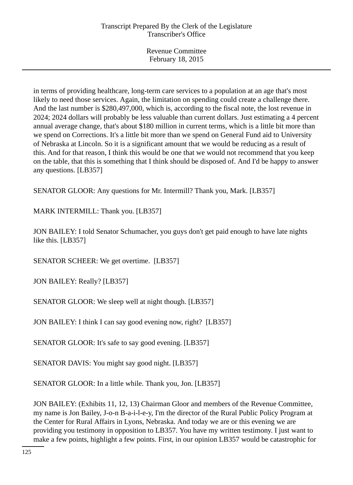in terms of providing healthcare, long-term care services to a population at an age that's most likely to need those services. Again, the limitation on spending could create a challenge there. And the last number is \$280,497,000, which is, according to the fiscal note, the lost revenue in 2024; 2024 dollars will probably be less valuable than current dollars. Just estimating a 4 percent annual average change, that's about \$180 million in current terms, which is a little bit more than we spend on Corrections. It's a little bit more than we spend on General Fund aid to University of Nebraska at Lincoln. So it is a significant amount that we would be reducing as a result of this. And for that reason, I think this would be one that we would not recommend that you keep on the table, that this is something that I think should be disposed of. And I'd be happy to answer any questions. [LB357]

SENATOR GLOOR: Any questions for Mr. Intermill? Thank you, Mark. [LB357]

MARK INTERMILL: Thank you. [LB357]

JON BAILEY: I told Senator Schumacher, you guys don't get paid enough to have late nights like this. [LB357]

SENATOR SCHEER: We get overtime. [LB357]

JON BAILEY: Really? [LB357]

SENATOR GLOOR: We sleep well at night though. [LB357]

JON BAILEY: I think I can say good evening now, right? [LB357]

SENATOR GLOOR: It's safe to say good evening. [LB357]

SENATOR DAVIS: You might say good night. [LB357]

SENATOR GLOOR: In a little while. Thank you, Jon. [LB357]

JON BAILEY: (Exhibits 11, 12, 13) Chairman Gloor and members of the Revenue Committee, my name is Jon Bailey, J-o-n B-a-i-l-e-y, I'm the director of the Rural Public Policy Program at the Center for Rural Affairs in Lyons, Nebraska. And today we are or this evening we are providing you testimony in opposition to LB357. You have my written testimony. I just want to make a few points, highlight a few points. First, in our opinion LB357 would be catastrophic for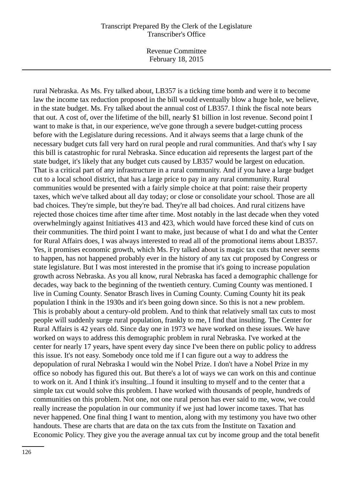Revenue Committee February 18, 2015

rural Nebraska. As Ms. Fry talked about, LB357 is a ticking time bomb and were it to become law the income tax reduction proposed in the bill would eventually blow a huge hole, we believe, in the state budget. Ms. Fry talked about the annual cost of LB357. I think the fiscal note bears that out. A cost of, over the lifetime of the bill, nearly \$1 billion in lost revenue. Second point I want to make is that, in our experience, we've gone through a severe budget-cutting process before with the Legislature during recessions. And it always seems that a large chunk of the necessary budget cuts fall very hard on rural people and rural communities. And that's why I say this bill is catastrophic for rural Nebraska. Since education aid represents the largest part of the state budget, it's likely that any budget cuts caused by LB357 would be largest on education. That is a critical part of any infrastructure in a rural community. And if you have a large budget cut to a local school district, that has a large price to pay in any rural community. Rural communities would be presented with a fairly simple choice at that point: raise their property taxes, which we've talked about all day today; or close or consolidate your school. Those are all bad choices. They're simple, but they're bad. They're all bad choices. And rural citizens have rejected those choices time after time after time. Most notably in the last decade when they voted overwhelmingly against Initiatives 413 and 423, which would have forced these kind of cuts on their communities. The third point I want to make, just because of what I do and what the Center for Rural Affairs does, I was always interested to read all of the promotional items about LB357. Yes, it promises economic growth, which Ms. Fry talked about is magic tax cuts that never seems to happen, has not happened probably ever in the history of any tax cut proposed by Congress or state legislature. But I was most interested in the promise that it's going to increase population growth across Nebraska. As you all know, rural Nebraska has faced a demographic challenge for decades, way back to the beginning of the twentieth century. Cuming County was mentioned. I live in Cuming County. Senator Brasch lives in Cuming County. Cuming County hit its peak population I think in the 1930s and it's been going down since. So this is not a new problem. This is probably about a century-old problem. And to think that relatively small tax cuts to most people will suddenly surge rural population, frankly to me, I find that insulting. The Center for Rural Affairs is 42 years old. Since day one in 1973 we have worked on these issues. We have worked on ways to address this demographic problem in rural Nebraska. I've worked at the center for nearly 17 years, have spent every day since I've been there on public policy to address this issue. It's not easy. Somebody once told me if I can figure out a way to address the depopulation of rural Nebraska I would win the Nobel Prize. I don't have a Nobel Prize in my office so nobody has figured this out. But there's a lot of ways we can work on this and continue to work on it. And I think it's insulting...I found it insulting to myself and to the center that a simple tax cut would solve this problem. I have worked with thousands of people, hundreds of communities on this problem. Not one, not one rural person has ever said to me, wow, we could really increase the population in our community if we just had lower income taxes. That has never happened. One final thing I want to mention, along with my testimony you have two other handouts. These are charts that are data on the tax cuts from the Institute on Taxation and Economic Policy. They give you the average annual tax cut by income group and the total benefit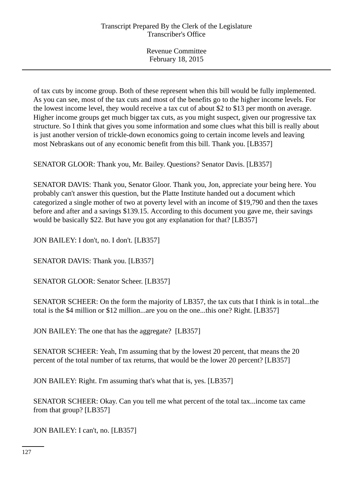of tax cuts by income group. Both of these represent when this bill would be fully implemented. As you can see, most of the tax cuts and most of the benefits go to the higher income levels. For the lowest income level, they would receive a tax cut of about \$2 to \$13 per month on average. Higher income groups get much bigger tax cuts, as you might suspect, given our progressive tax structure. So I think that gives you some information and some clues what this bill is really about is just another version of trickle-down economics going to certain income levels and leaving most Nebraskans out of any economic benefit from this bill. Thank you. [LB357]

SENATOR GLOOR: Thank you, Mr. Bailey. Questions? Senator Davis. [LB357]

SENATOR DAVIS: Thank you, Senator Gloor. Thank you, Jon, appreciate your being here. You probably can't answer this question, but the Platte Institute handed out a document which categorized a single mother of two at poverty level with an income of \$19,790 and then the taxes before and after and a savings \$139.15. According to this document you gave me, their savings would be basically \$22. But have you got any explanation for that? [LB357]

JON BAILEY: I don't, no. I don't. [LB357]

SENATOR DAVIS: Thank you. [LB357]

SENATOR GLOOR: Senator Scheer. [LB357]

SENATOR SCHEER: On the form the majority of LB357, the tax cuts that I think is in total...the total is the \$4 million or \$12 million...are you on the one...this one? Right. [LB357]

JON BAILEY: The one that has the aggregate? [LB357]

SENATOR SCHEER: Yeah, I'm assuming that by the lowest 20 percent, that means the 20 percent of the total number of tax returns, that would be the lower 20 percent? [LB357]

JON BAILEY: Right. I'm assuming that's what that is, yes. [LB357]

SENATOR SCHEER: Okay. Can you tell me what percent of the total tax...income tax came from that group? [LB357]

JON BAILEY: I can't, no. [LB357]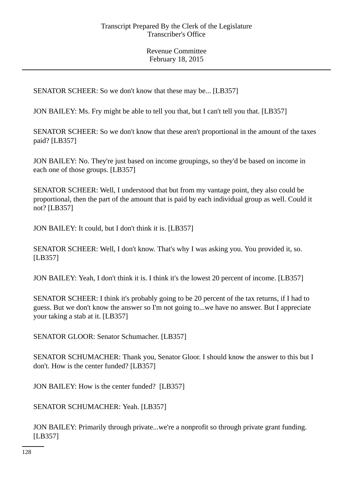SENATOR SCHEER: So we don't know that these may be... [LB357]

JON BAILEY: Ms. Fry might be able to tell you that, but I can't tell you that. [LB357]

SENATOR SCHEER: So we don't know that these aren't proportional in the amount of the taxes paid? [LB357]

JON BAILEY: No. They're just based on income groupings, so they'd be based on income in each one of those groups. [LB357]

SENATOR SCHEER: Well, I understood that but from my vantage point, they also could be proportional, then the part of the amount that is paid by each individual group as well. Could it not? [LB357]

JON BAILEY: It could, but I don't think it is. [LB357]

SENATOR SCHEER: Well, I don't know. That's why I was asking you. You provided it, so. [LB357]

JON BAILEY: Yeah, I don't think it is. I think it's the lowest 20 percent of income. [LB357]

SENATOR SCHEER: I think it's probably going to be 20 percent of the tax returns, if I had to guess. But we don't know the answer so I'm not going to...we have no answer. But I appreciate your taking a stab at it. [LB357]

SENATOR GLOOR: Senator Schumacher. [LB357]

SENATOR SCHUMACHER: Thank you, Senator Gloor. I should know the answer to this but I don't. How is the center funded? [LB357]

JON BAILEY: How is the center funded? [LB357]

SENATOR SCHUMACHER: Yeah. [LB357]

JON BAILEY: Primarily through private...we're a nonprofit so through private grant funding. [LB357]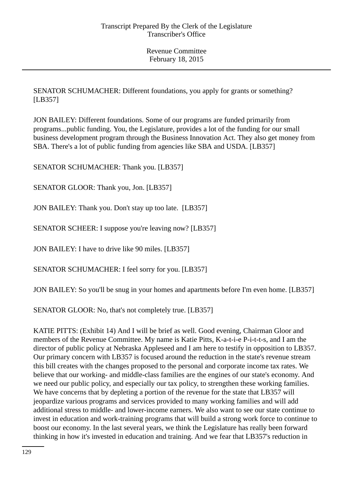SENATOR SCHUMACHER: Different foundations, you apply for grants or something? [LB357]

JON BAILEY: Different foundations. Some of our programs are funded primarily from programs...public funding. You, the Legislature, provides a lot of the funding for our small business development program through the Business Innovation Act. They also get money from SBA. There's a lot of public funding from agencies like SBA and USDA. [LB357]

SENATOR SCHUMACHER: Thank you. [LB357]

SENATOR GLOOR: Thank you, Jon. [LB357]

JON BAILEY: Thank you. Don't stay up too late. [LB357]

SENATOR SCHEER: I suppose you're leaving now? [LB357]

JON BAILEY: I have to drive like 90 miles. [LB357]

SENATOR SCHUMACHER: I feel sorry for you. [LB357]

JON BAILEY: So you'll be snug in your homes and apartments before I'm even home. [LB357]

SENATOR GLOOR: No, that's not completely true. [LB357]

KATIE PITTS: (Exhibit 14) And I will be brief as well. Good evening, Chairman Gloor and members of the Revenue Committee. My name is Katie Pitts, K-a-t-i-e P-i-t-t-s, and I am the director of public policy at Nebraska Appleseed and I am here to testify in opposition to LB357. Our primary concern with LB357 is focused around the reduction in the state's revenue stream this bill creates with the changes proposed to the personal and corporate income tax rates. We believe that our working- and middle-class families are the engines of our state's economy. And we need our public policy, and especially our tax policy, to strengthen these working families. We have concerns that by depleting a portion of the revenue for the state that LB357 will jeopardize various programs and services provided to many working families and will add additional stress to middle- and lower-income earners. We also want to see our state continue to invest in education and work-training programs that will build a strong work force to continue to boost our economy. In the last several years, we think the Legislature has really been forward thinking in how it's invested in education and training. And we fear that LB357's reduction in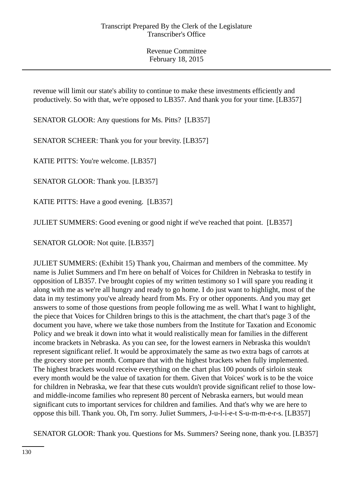revenue will limit our state's ability to continue to make these investments efficiently and productively. So with that, we're opposed to LB357. And thank you for your time. [LB357]

SENATOR GLOOR: Any questions for Ms. Pitts? [LB357]

SENATOR SCHEER: Thank you for your brevity. [LB357]

KATIE PITTS: You're welcome. [LB357]

SENATOR GLOOR: Thank you. [LB357]

KATIE PITTS: Have a good evening. [LB357]

JULIET SUMMERS: Good evening or good night if we've reached that point. [LB357]

SENATOR GLOOR: Not quite. [LB357]

JULIET SUMMERS: (Exhibit 15) Thank you, Chairman and members of the committee. My name is Juliet Summers and I'm here on behalf of Voices for Children in Nebraska to testify in opposition of LB357. I've brought copies of my written testimony so I will spare you reading it along with me as we're all hungry and ready to go home. I do just want to highlight, most of the data in my testimony you've already heard from Ms. Fry or other opponents. And you may get answers to some of those questions from people following me as well. What I want to highlight, the piece that Voices for Children brings to this is the attachment, the chart that's page 3 of the document you have, where we take those numbers from the Institute for Taxation and Economic Policy and we break it down into what it would realistically mean for families in the different income brackets in Nebraska. As you can see, for the lowest earners in Nebraska this wouldn't represent significant relief. It would be approximately the same as two extra bags of carrots at the grocery store per month. Compare that with the highest brackets when fully implemented. The highest brackets would receive everything on the chart plus 100 pounds of sirloin steak every month would be the value of taxation for them. Given that Voices' work is to be the voice for children in Nebraska, we fear that these cuts wouldn't provide significant relief to those lowand middle-income families who represent 80 percent of Nebraska earners, but would mean significant cuts to important services for children and families. And that's why we are here to oppose this bill. Thank you. Oh, I'm sorry. Juliet Summers, J-u-l-i-e-t S-u-m-m-e-r-s. [LB357]

SENATOR GLOOR: Thank you. Questions for Ms. Summers? Seeing none, thank you. [LB357]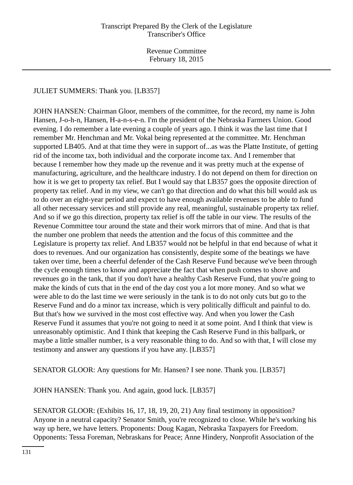## JULIET SUMMERS: Thank you. [LB357]

JOHN HANSEN: Chairman Gloor, members of the committee, for the record, my name is John Hansen, J-o-h-n, Hansen, H-a-n-s-e-n. I'm the president of the Nebraska Farmers Union. Good evening. I do remember a late evening a couple of years ago. I think it was the last time that I remember Mr. Henchman and Mr. Vokal being represented at the committee. Mr. Henchman supported LB405. And at that time they were in support of...as was the Platte Institute, of getting rid of the income tax, both individual and the corporate income tax. And I remember that because I remember how they made up the revenue and it was pretty much at the expense of manufacturing, agriculture, and the healthcare industry. I do not depend on them for direction on how it is we get to property tax relief. But I would say that LB357 goes the opposite direction of property tax relief. And in my view, we can't go that direction and do what this bill would ask us to do over an eight-year period and expect to have enough available revenues to be able to fund all other necessary services and still provide any real, meaningful, sustainable property tax relief. And so if we go this direction, property tax relief is off the table in our view. The results of the Revenue Committee tour around the state and their work mirrors that of mine. And that is that the number one problem that needs the attention and the focus of this committee and the Legislature is property tax relief. And LB357 would not be helpful in that end because of what it does to revenues. And our organization has consistently, despite some of the beatings we have taken over time, been a cheerful defender of the Cash Reserve Fund because we've been through the cycle enough times to know and appreciate the fact that when push comes to shove and revenues go in the tank, that if you don't have a healthy Cash Reserve Fund, that you're going to make the kinds of cuts that in the end of the day cost you a lot more money. And so what we were able to do the last time we were seriously in the tank is to do not only cuts but go to the Reserve Fund and do a minor tax increase, which is very politically difficult and painful to do. But that's how we survived in the most cost effective way. And when you lower the Cash Reserve Fund it assumes that you're not going to need it at some point. And I think that view is unreasonably optimistic. And I think that keeping the Cash Reserve Fund in this ballpark, or maybe a little smaller number, is a very reasonable thing to do. And so with that, I will close my testimony and answer any questions if you have any. [LB357]

SENATOR GLOOR: Any questions for Mr. Hansen? I see none. Thank you. [LB357]

JOHN HANSEN: Thank you. And again, good luck. [LB357]

SENATOR GLOOR: (Exhibits 16, 17, 18, 19, 20, 21) Any final testimony in opposition? Anyone in a neutral capacity? Senator Smith, you're recognized to close. While he's working his way up here, we have letters. Proponents: Doug Kagan, Nebraska Taxpayers for Freedom. Opponents: Tessa Foreman, Nebraskans for Peace; Anne Hindery, Nonprofit Association of the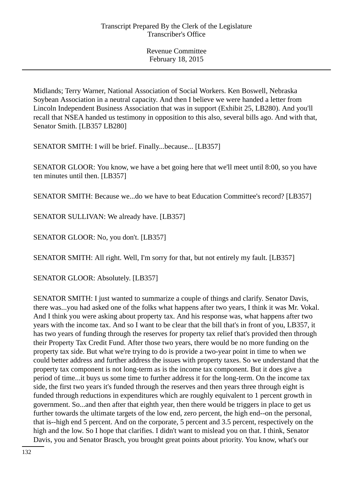Midlands; Terry Warner, National Association of Social Workers. Ken Boswell, Nebraska Soybean Association in a neutral capacity. And then I believe we were handed a letter from Lincoln Independent Business Association that was in support (Exhibit 25, LB280). And you'll recall that NSEA handed us testimony in opposition to this also, several bills ago. And with that, Senator Smith. [LB357 LB280]

SENATOR SMITH: I will be brief. Finally...because... [LB357]

SENATOR GLOOR: You know, we have a bet going here that we'll meet until 8:00, so you have ten minutes until then. [LB357]

SENATOR SMITH: Because we...do we have to beat Education Committee's record? [LB357]

SENATOR SULLIVAN: We already have. [LB357]

SENATOR GLOOR: No, you don't. [LB357]

SENATOR SMITH: All right. Well, I'm sorry for that, but not entirely my fault. [LB357]

SENATOR GLOOR: Absolutely. [LB357]

SENATOR SMITH: I just wanted to summarize a couple of things and clarify. Senator Davis, there was...you had asked one of the folks what happens after two years, I think it was Mr. Vokal. And I think you were asking about property tax. And his response was, what happens after two years with the income tax. And so I want to be clear that the bill that's in front of you, LB357, it has two years of funding through the reserves for property tax relief that's provided then through their Property Tax Credit Fund. After those two years, there would be no more funding on the property tax side. But what we're trying to do is provide a two-year point in time to when we could better address and further address the issues with property taxes. So we understand that the property tax component is not long-term as is the income tax component. But it does give a period of time...it buys us some time to further address it for the long-term. On the income tax side, the first two years it's funded through the reserves and then years three through eight is funded through reductions in expenditures which are roughly equivalent to 1 percent growth in government. So...and then after that eighth year, then there would be triggers in place to get us further towards the ultimate targets of the low end, zero percent, the high end--on the personal, that is--high end 5 percent. And on the corporate, 5 percent and 3.5 percent, respectively on the high and the low. So I hope that clarifies. I didn't want to mislead you on that. I think, Senator Davis, you and Senator Brasch, you brought great points about priority. You know, what's our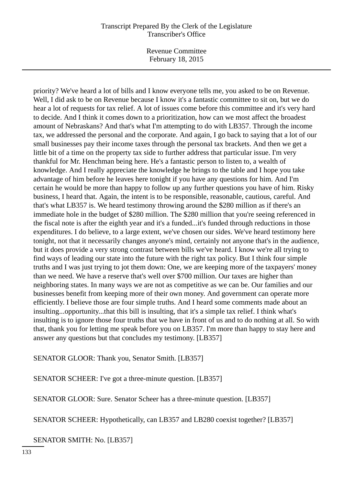Revenue Committee February 18, 2015

priority? We've heard a lot of bills and I know everyone tells me, you asked to be on Revenue. Well, I did ask to be on Revenue because I know it's a fantastic committee to sit on, but we do hear a lot of requests for tax relief. A lot of issues come before this committee and it's very hard to decide. And I think it comes down to a prioritization, how can we most affect the broadest amount of Nebraskans? And that's what I'm attempting to do with LB357. Through the income tax, we addressed the personal and the corporate. And again, I go back to saying that a lot of our small businesses pay their income taxes through the personal tax brackets. And then we get a little bit of a time on the property tax side to further address that particular issue. I'm very thankful for Mr. Henchman being here. He's a fantastic person to listen to, a wealth of knowledge. And I really appreciate the knowledge he brings to the table and I hope you take advantage of him before he leaves here tonight if you have any questions for him. And I'm certain he would be more than happy to follow up any further questions you have of him. Risky business, I heard that. Again, the intent is to be responsible, reasonable, cautious, careful. And that's what LB357 is. We heard testimony throwing around the \$280 million as if there's an immediate hole in the budget of \$280 million. The \$280 million that you're seeing referenced in the fiscal note is after the eighth year and it's a funded...it's funded through reductions in those expenditures. I do believe, to a large extent, we've chosen our sides. We've heard testimony here tonight, not that it necessarily changes anyone's mind, certainly not anyone that's in the audience, but it does provide a very strong contrast between bills we've heard. I know we're all trying to find ways of leading our state into the future with the right tax policy. But I think four simple truths and I was just trying to jot them down: One, we are keeping more of the taxpayers' money than we need. We have a reserve that's well over \$700 million. Our taxes are higher than neighboring states. In many ways we are not as competitive as we can be. Our families and our businesses benefit from keeping more of their own money. And government can operate more efficiently. I believe those are four simple truths. And I heard some comments made about an insulting...opportunity...that this bill is insulting, that it's a simple tax relief. I think what's insulting is to ignore those four truths that we have in front of us and to do nothing at all. So with that, thank you for letting me speak before you on LB357. I'm more than happy to stay here and answer any questions but that concludes my testimony. [LB357]

## SENATOR GLOOR: Thank you, Senator Smith. [LB357]

SENATOR SCHEER: I've got a three-minute question. [LB357]

SENATOR GLOOR: Sure. Senator Scheer has a three-minute question. [LB357]

SENATOR SCHEER: Hypothetically, can LB357 and LB280 coexist together? [LB357]

SENATOR SMITH: No. [LB357]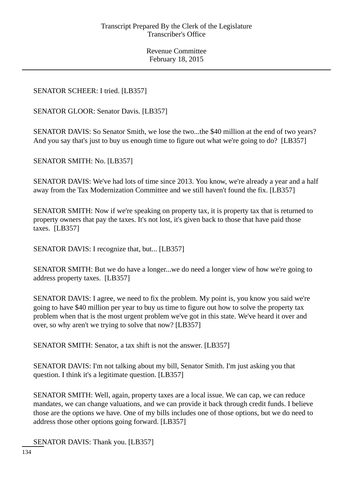# SENATOR SCHEER: I tried. [LB357]

SENATOR GLOOR: Senator Davis. [LB357]

SENATOR DAVIS: So Senator Smith, we lose the two...the \$40 million at the end of two years? And you say that's just to buy us enough time to figure out what we're going to do? [LB357]

SENATOR SMITH: No. [LB357]

SENATOR DAVIS: We've had lots of time since 2013. You know, we're already a year and a half away from the Tax Modernization Committee and we still haven't found the fix. [LB357]

SENATOR SMITH: Now if we're speaking on property tax, it is property tax that is returned to property owners that pay the taxes. It's not lost, it's given back to those that have paid those taxes. [LB357]

SENATOR DAVIS: I recognize that, but... [LB357]

SENATOR SMITH: But we do have a longer...we do need a longer view of how we're going to address property taxes. [LB357]

SENATOR DAVIS: I agree, we need to fix the problem. My point is, you know you said we're going to have \$40 million per year to buy us time to figure out how to solve the property tax problem when that is the most urgent problem we've got in this state. We've heard it over and over, so why aren't we trying to solve that now? [LB357]

SENATOR SMITH: Senator, a tax shift is not the answer. [LB357]

SENATOR DAVIS: I'm not talking about my bill, Senator Smith. I'm just asking you that question. I think it's a legitimate question. [LB357]

SENATOR SMITH: Well, again, property taxes are a local issue. We can cap, we can reduce mandates, we can change valuations, and we can provide it back through credit funds. I believe those are the options we have. One of my bills includes one of those options, but we do need to address those other options going forward. [LB357]

SENATOR DAVIS: Thank you. [LB357]